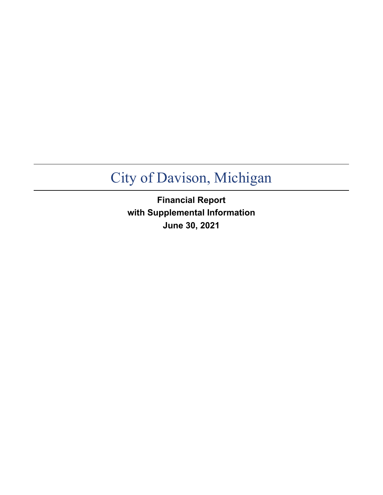# City of Davison, Michigan

**Financial Report with Supplemental Information June 30, 2021**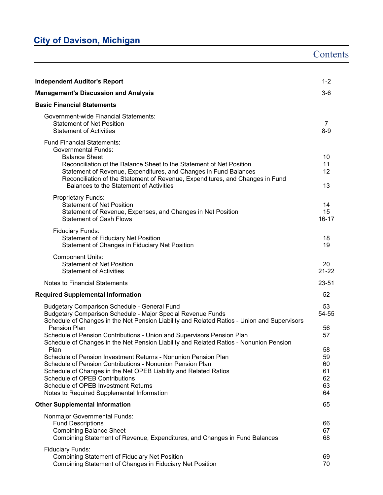## **City of Davison, Michigan**

## Contents

| <b>Independent Auditor's Report</b>                                                                                                                                                                                                                                                                                                                                                                                                                                                                                                                                                                                                                | $1 - 2$                                               |
|----------------------------------------------------------------------------------------------------------------------------------------------------------------------------------------------------------------------------------------------------------------------------------------------------------------------------------------------------------------------------------------------------------------------------------------------------------------------------------------------------------------------------------------------------------------------------------------------------------------------------------------------------|-------------------------------------------------------|
| <b>Management's Discussion and Analysis</b>                                                                                                                                                                                                                                                                                                                                                                                                                                                                                                                                                                                                        | $3-6$                                                 |
| <b>Basic Financial Statements</b>                                                                                                                                                                                                                                                                                                                                                                                                                                                                                                                                                                                                                  |                                                       |
| <b>Government-wide Financial Statements:</b><br><b>Statement of Net Position</b><br><b>Statement of Activities</b>                                                                                                                                                                                                                                                                                                                                                                                                                                                                                                                                 | 7<br>$8 - 9$                                          |
| <b>Fund Financial Statements:</b><br><b>Governmental Funds:</b><br><b>Balance Sheet</b><br>Reconciliation of the Balance Sheet to the Statement of Net Position<br>Statement of Revenue, Expenditures, and Changes in Fund Balances<br>Reconciliation of the Statement of Revenue, Expenditures, and Changes in Fund<br>Balances to the Statement of Activities                                                                                                                                                                                                                                                                                    | 10<br>11<br>12<br>13                                  |
| <b>Proprietary Funds:</b><br><b>Statement of Net Position</b><br>Statement of Revenue, Expenses, and Changes in Net Position<br><b>Statement of Cash Flows</b>                                                                                                                                                                                                                                                                                                                                                                                                                                                                                     | 14<br>15<br>$16 - 17$                                 |
| <b>Fiduciary Funds:</b><br><b>Statement of Fiduciary Net Position</b><br>Statement of Changes in Fiduciary Net Position                                                                                                                                                                                                                                                                                                                                                                                                                                                                                                                            | 18<br>19                                              |
| <b>Component Units:</b><br><b>Statement of Net Position</b><br><b>Statement of Activities</b>                                                                                                                                                                                                                                                                                                                                                                                                                                                                                                                                                      | 20<br>$21 - 22$                                       |
| <b>Notes to Financial Statements</b>                                                                                                                                                                                                                                                                                                                                                                                                                                                                                                                                                                                                               | 23-51                                                 |
| <b>Required Supplemental Information</b>                                                                                                                                                                                                                                                                                                                                                                                                                                                                                                                                                                                                           | 52                                                    |
| <b>Budgetary Comparison Schedule - General Fund</b><br>Budgetary Comparison Schedule - Major Special Revenue Funds<br>Schedule of Changes in the Net Pension Liability and Related Ratios - Union and Supervisors<br>Pension Plan<br>Schedule of Pension Contributions - Union and Supervisors Pension Plan<br>Schedule of Changes in the Net Pension Liability and Related Ratios - Nonunion Pension<br>Plan<br>Schedule of Pension Investment Returns - Nonunion Pension Plan<br>Schedule of Pension Contributions - Nonunion Pension Plan<br>Schedule of Changes in the Net OPEB Liability and Related Ratios<br>Schedule of OPEB Contributions | 53<br>54-55<br>56<br>57<br>58<br>59<br>60<br>61<br>62 |
| Schedule of OPEB Investment Returns<br>Notes to Required Supplemental Information                                                                                                                                                                                                                                                                                                                                                                                                                                                                                                                                                                  | 63<br>64                                              |
| <b>Other Supplemental Information</b>                                                                                                                                                                                                                                                                                                                                                                                                                                                                                                                                                                                                              | 65                                                    |
| Nonmajor Governmental Funds:<br><b>Fund Descriptions</b><br><b>Combining Balance Sheet</b><br>Combining Statement of Revenue, Expenditures, and Changes in Fund Balances                                                                                                                                                                                                                                                                                                                                                                                                                                                                           | 66<br>67<br>68                                        |
| <b>Fiduciary Funds:</b><br><b>Combining Statement of Fiduciary Net Position</b><br>Combining Statement of Changes in Fiduciary Net Position                                                                                                                                                                                                                                                                                                                                                                                                                                                                                                        | 69<br>70                                              |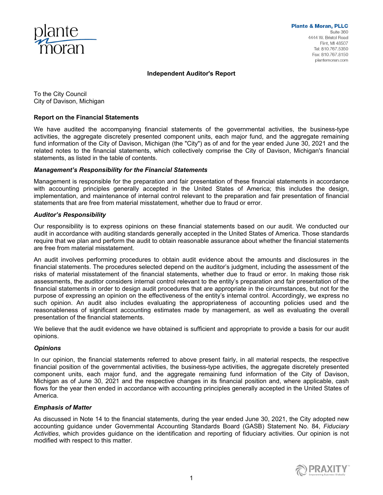

#### **Independent Auditor's Report**

To the City Council City of Davison, Michigan

#### **Report on the Financial Statements**

We have audited the accompanying financial statements of the governmental activities, the business-type activities, the aggregate discretely presented component units, each major fund, and the aggregate remaining fund information of the City of Davison, Michigan (the "City") as of and for the year ended June 30, 2021 and the related notes to the financial statements, which collectively comprise the City of Davison, Michigan's financial statements, as listed in the table of contents.

#### *Management's Responsibility for the Financial Statements*

Management is responsible for the preparation and fair presentation of these financial statements in accordance with accounting principles generally accepted in the United States of America; this includes the design, implementation, and maintenance of internal control relevant to the preparation and fair presentation of financial statements that are free from material misstatement, whether due to fraud or error.

#### *Auditor's Responsibility*

Our responsibility is to express opinions on these financial statements based on our audit. We conducted our audit in accordance with auditing standards generally accepted in the United States of America. Those standards require that we plan and perform the audit to obtain reasonable assurance about whether the financial statements are free from material misstatement.

An audit involves performing procedures to obtain audit evidence about the amounts and disclosures in the financial statements. The procedures selected depend on the auditor's judgment, including the assessment of the risks of material misstatement of the financial statements, whether due to fraud or error. In making those risk assessments, the auditor considers internal control relevant to the entity's preparation and fair presentation of the financial statements in order to design audit procedures that are appropriate in the circumstances, but not for the purpose of expressing an opinion on the effectiveness of the entity's internal control. Accordingly, we express no such opinion. An audit also includes evaluating the appropriateness of accounting policies used and the reasonableness of significant accounting estimates made by management, as well as evaluating the overall presentation of the financial statements.

We believe that the audit evidence we have obtained is sufficient and appropriate to provide a basis for our audit opinions.

#### *Opinions*

In our opinion, the financial statements referred to above present fairly, in all material respects, the respective financial position of the governmental activities, the business-type activities, the aggregate discretely presented component units, each major fund, and the aggregate remaining fund information of the City of Davison, Michigan as of June 30, 2021 and the respective changes in its financial position and, where applicable, cash flows for the year then ended in accordance with accounting principles generally accepted in the United States of America.

#### *Emphasis of Matter*

As discussed in Note 14 to the financial statements, during the year ended June 30, 2021, the City adopted new accounting guidance under Governmental Accounting Standards Board (GASB) Statement No. 84, *Fiduciary Activities*, which provides guidance on the identification and reporting of fiduciary activities. Our opinion is not modified with respect to this matter.

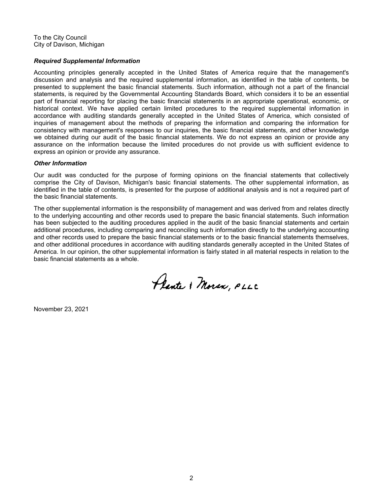To the City Council City of Davison, Michigan

#### *Required Supplemental Information*

Accounting principles generally accepted in the United States of America require that the management's discussion and analysis and the required supplemental information, as identified in the table of contents, be presented to supplement the basic financial statements. Such information, although not a part of the financial statements, is required by the Governmental Accounting Standards Board, which considers it to be an essential part of financial reporting for placing the basic financial statements in an appropriate operational, economic, or historical context. We have applied certain limited procedures to the required supplemental information in accordance with auditing standards generally accepted in the United States of America, which consisted of inquiries of management about the methods of preparing the information and comparing the information for consistency with management's responses to our inquiries, the basic financial statements, and other knowledge we obtained during our audit of the basic financial statements. We do not express an opinion or provide any assurance on the information because the limited procedures do not provide us with sufficient evidence to express an opinion or provide any assurance.

#### *Other Information*

Our audit was conducted for the purpose of forming opinions on the financial statements that collectively comprise the City of Davison, Michigan's basic financial statements. The other supplemental information, as identified in the table of contents, is presented for the purpose of additional analysis and is not a required part of the basic financial statements.

The other supplemental information is the responsibility of management and was derived from and relates directly to the underlying accounting and other records used to prepare the basic financial statements. Such information has been subjected to the auditing procedures applied in the audit of the basic financial statements and certain additional procedures, including comparing and reconciling such information directly to the underlying accounting and other records used to prepare the basic financial statements or to the basic financial statements themselves, and other additional procedures in accordance with auditing standards generally accepted in the United States of America. In our opinion, the other supplemental information is fairly stated in all material respects in relation to the basic financial statements as a whole.

Plante & Morsa, PLLC

November 23, 2021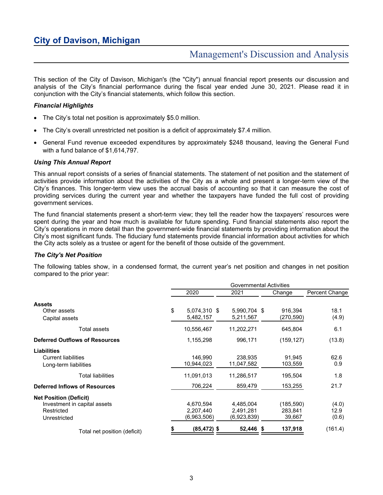## Management's Discussion and Analysis

This section of the City of Davison, Michigan's (the "City") annual financial report presents our discussion and analysis of the City's financial performance during the fiscal year ended June 30, 2021. Please read it in conjunction with the City's financial statements, which follow this section.

#### *Financial Highlights*

- The City's total net position is approximately \$5.0 million.
- The City's overall unrestricted net position is a deficit of approximately \$7.4 million.
- General Fund revenue exceeded expenditures by approximately \$248 thousand, leaving the General Fund with a fund balance of \$1,614,797.

#### *Using This Annual Report*

This annual report consists of a series of financial statements. The statement of net position and the statement of activities provide information about the activities of the City as a whole and present a longer-term view of the City's finances. This longer-term view uses the accrual basis of accounting so that it can measure the cost of providing services during the current year and whether the taxpayers have funded the full cost of providing government services.

The fund financial statements present a short-term view; they tell the reader how the taxpayers' resources were spent during the year and how much is available for future spending. Fund financial statements also report the City's operations in more detail than the government-wide financial statements by providing information about the City's most significant funds. The fiduciary fund statements provide financial information about activities for which the City acts solely as a trustee or agent for the benefit of those outside of the government.

#### *The City's Net Position*

The following tables show, in a condensed format, the current year's net position and changes in net position compared to the prior year:

|                                       |                    | <b>Governmental Activities</b> |            |                |
|---------------------------------------|--------------------|--------------------------------|------------|----------------|
|                                       | 2020               | 2021                           | Change     | Percent Change |
| <b>Assets</b>                         |                    |                                |            |                |
| Other assets                          | \$<br>5.074.310 \$ | 5.990.704 \$                   | 916.394    | 18.1           |
| Capital assets                        | 5,482,157          | 5,211,567                      | (270,590)  | (4.9)          |
| <b>Total assets</b>                   | 10,556,467         | 11,202,271                     | 645,804    | 6.1            |
| <b>Deferred Outflows of Resources</b> | 1,155,298          | 996,171                        | (159, 127) | (13.8)         |
| Liabilities                           |                    |                                |            |                |
| <b>Current liabilities</b>            | 146.990            | 238,935                        | 91.945     | 62.6           |
| Long-term liabilities                 | 10,944,023         | 11,047,582                     | 103,559    | 0.9            |
| <b>Total liabilities</b>              | 11,091,013         | 11,286,517                     | 195,504    | 1.8            |
| <b>Deferred Inflows of Resources</b>  | 706,224            | 859,479                        | 153,255    | 21.7           |
| <b>Net Position (Deficit)</b>         |                    |                                |            |                |
| Investment in capital assets          | 4,670,594          | 4,485,004                      | (185,590)  | (4.0)          |
| Restricted                            | 2,207,440          | 2,491,281                      | 283.841    | 12.9           |
| Unrestricted                          | (6,963,506)        | (6,923,839)                    | 39,667     | (0.6)          |
| Total net position (deficit)          | $(85, 472)$ \$     | 52,446 \$                      | 137,918    | (161.4)        |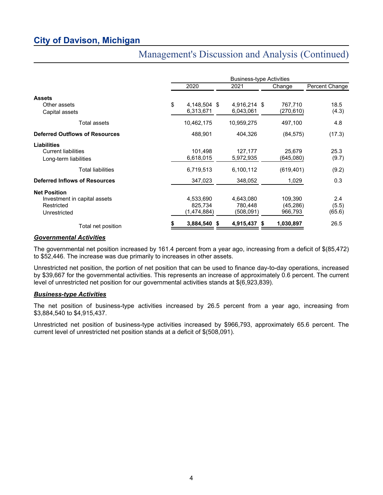## **City of Davison, Michigan**

## Management's Discussion and Analysis (Continued)

|                                                                                   |                                     | <b>Business-type Activities</b>   |     |                                 |                        |
|-----------------------------------------------------------------------------------|-------------------------------------|-----------------------------------|-----|---------------------------------|------------------------|
|                                                                                   | 2020                                | 2021                              |     | Change                          | Percent Change         |
| <b>Assets</b><br>Other assets<br>Capital assets                                   | \$<br>4,148,504 \$<br>6,313,671     | 4,916,214 \$<br>6.043.061         |     | 767,710<br>(270,610)            | 18.5<br>(4.3)          |
| Total assets                                                                      | 10,462,175                          | 10,959,275                        |     | 497,100                         | 4.8                    |
| <b>Deferred Outflows of Resources</b>                                             | 488,901                             | 404,326                           |     | (84, 575)                       | (17.3)                 |
| <b>Liabilities</b><br><b>Current liabilities</b><br>Long-term liabilities         | 101,498<br>6,618,015                | 127,177<br>5,972,935              |     | 25,679<br>(645,080)             | 25.3<br>(9.7)          |
| <b>Total liabilities</b>                                                          | 6,719,513                           | 6,100,112                         |     | (619, 401)                      | (9.2)                  |
| Deferred Inflows of Resources                                                     | 347,023                             | 348,052                           |     | 1,029                           | 0.3                    |
| <b>Net Position</b><br>Investment in capital assets<br>Restricted<br>Unrestricted | 4,533,690<br>825,734<br>(1,474,884) | 4,643,080<br>780,448<br>(508,091) |     | 109.390<br>(45, 286)<br>966,793 | 2.4<br>(5.5)<br>(65.6) |
| Total net position                                                                | 3,884,540 \$                        | 4,915,437                         | - 5 | 1,030,897                       | 26.5                   |

#### *Governmental Activities*

The governmental net position increased by 161.4 percent from a year ago, increasing from a deficit of \$(85,472) to \$52,446. The increase was due primarily to increases in other assets.

Unrestricted net position, the portion of net position that can be used to finance day-to-day operations, increased by \$39,667 for the governmental activities. This represents an increase of approximately 0.6 percent. The current level of unrestricted net position for our governmental activities stands at \$(6,923,839).

#### *Business-type Activities*

The net position of business-type activities increased by 26.5 percent from a year ago, increasing from \$3,884,540 to \$4,915,437.

Unrestricted net position of business-type activities increased by \$966,793, approximately 65.6 percent. The current level of unrestricted net position stands at a deficit of \$(508,091).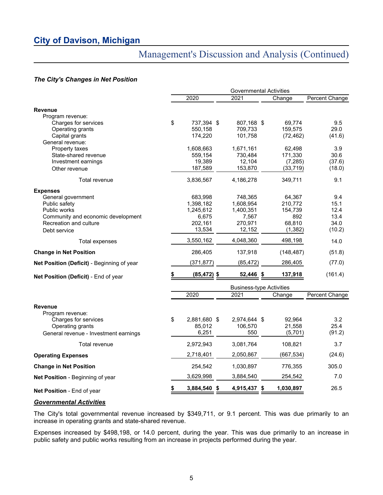## Management's Discussion and Analysis (Continued)

#### *The City's Changes in Net Position*

|                                            |                    | <b>Governmental Activities</b>  |            |                |  |  |
|--------------------------------------------|--------------------|---------------------------------|------------|----------------|--|--|
|                                            | 2020               | 2021                            | Change     | Percent Change |  |  |
| <b>Revenue</b>                             |                    |                                 |            |                |  |  |
| Program revenue:                           |                    |                                 |            |                |  |  |
| Charges for services                       | \$<br>737,394 \$   | 807,168 \$                      | 69,774     | 9.5            |  |  |
| Operating grants                           | 550,158            | 709,733                         | 159,575    | 29.0           |  |  |
| Capital grants                             | 174,220            | 101,758                         | (72, 462)  | (41.6)         |  |  |
| General revenue:                           |                    |                                 |            |                |  |  |
| Property taxes                             | 1,608,663          | 1,671,161                       | 62,498     | 3.9            |  |  |
| State-shared revenue                       | 559,154            | 730,484                         | 171,330    | 30.6           |  |  |
| Investment earnings                        | 19,389             | 12,104                          | (7, 285)   | (37.6)         |  |  |
| Other revenue                              | 187,589            | 153,870                         | (33, 719)  | (18.0)         |  |  |
| Total revenue                              | 3,836,567          | 4,186,278                       | 349,711    | 9.1            |  |  |
| <b>Expenses</b>                            |                    |                                 |            |                |  |  |
| General government                         | 683,998            | 748.365                         | 64,367     | 9.4            |  |  |
| Public safety                              | 1,398,182          | 1,608,954                       | 210,772    | 15.1           |  |  |
| <b>Public works</b>                        | 1,245,612          | 1,400,351                       | 154,739    | 12.4           |  |  |
| Community and economic development         | 6,675              | 7,567                           | 892        | 13.4           |  |  |
| Recreation and culture                     | 202,161            | 270,971                         | 68,810     | 34.0           |  |  |
| Debt service                               | 13,534             | 12,152                          | (1, 382)   | (10.2)         |  |  |
| Total expenses                             | 3,550,162          | 4,048,360                       | 498,198    | 14.0           |  |  |
| <b>Change in Net Position</b>              | 286,405            | 137,918                         | (148, 487) | (51.8)         |  |  |
| Net Position (Deficit) - Beginning of year | (371, 877)         | (85, 472)                       | 286,405    | (77.0)         |  |  |
| Net Position (Deficit) - End of year       | $(85, 472)$ \$     | 52,446 \$                       | 137,918    | (161.4)        |  |  |
|                                            |                    | <b>Business-type Activities</b> |            |                |  |  |
|                                            | 2020               | 2021                            | Change     | Percent Change |  |  |
| <b>Revenue</b>                             |                    |                                 |            |                |  |  |
| Program revenue:                           |                    |                                 |            |                |  |  |
| Charges for services                       | \$<br>2,881,680 \$ | 2,974,644 \$                    | 92,964     | 3.2            |  |  |
| Operating grants                           | 85,012             | 106,570                         | 21,558     | 25.4           |  |  |
| General revenue - Investment earnings      | 6,251              | 550                             | (5,701)    | (91.2)         |  |  |
| Total revenue                              | 2,972,943          | 3,081,764                       | 108,821    | 3.7            |  |  |
|                                            | 2,718,401          | 2,050,867                       | (667, 534) | (24.6)         |  |  |
| <b>Operating Expenses</b>                  |                    |                                 |            |                |  |  |
| <b>Change in Net Position</b>              | 254,542            | 1,030,897                       | 776,355    | 305.0          |  |  |
| Net Position - Beginning of year           | 3,629,998          | 3,884,540                       | 254,542    | 7.0            |  |  |
| Net Position - End of year                 | 3,884,540 \$       | 4,915,437 \$                    | 1,030,897  | 26.5           |  |  |
|                                            |                    |                                 |            |                |  |  |

#### *Governmental Activities*

The City's total governmental revenue increased by \$349,711, or 9.1 percent. This was due primarily to an increase in operating grants and state-shared revenue.

Expenses increased by \$498,198, or 14.0 percent, during the year. This was due primarily to an increase in public safety and public works resulting from an increase in projects performed during the year.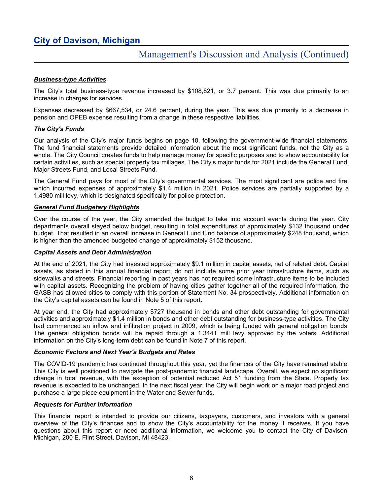## **City of Davison, Michigan**

## Management's Discussion and Analysis (Continued)

#### *Business-type Activities*

The City's total business-type revenue increased by \$108,821, or 3.7 percent. This was due primarily to an increase in charges for services.

Expenses decreased by \$667,534, or 24.6 percent, during the year. This was due primarily to a decrease in pension and OPEB expense resulting from a change in these respective liabilities.

#### *The City's Funds*

Our analysis of the City's major funds begins on page 10, following the government-wide financial statements. The fund financial statements provide detailed information about the most significant funds, not the City as a whole. The City Council creates funds to help manage money for specific purposes and to show accountability for certain activities, such as special property tax millages. The City's major funds for 2021 include the General Fund, Major Streets Fund, and Local Streets Fund.

The General Fund pays for most of the City's governmental services. The most significant are police and fire, which incurred expenses of approximately \$1.4 million in 2021. Police services are partially supported by a 1.4980 mill levy, which is designated specifically for police protection.

#### *General Fund Budgetary Highlights*

Over the course of the year, the City amended the budget to take into account events during the year. City departments overall stayed below budget, resulting in total expenditures of approximately \$132 thousand under budget. That resulted in an overall increase in General Fund fund balance of approximately \$248 thousand, which is higher than the amended budgeted change of approximately \$152 thousand.

#### *Capital Assets and Debt Administration*

At the end of 2021, the City had invested approximately \$9.1 million in capital assets, net of related debt. Capital assets, as stated in this annual financial report, do not include some prior year infrastructure items, such as sidewalks and streets. Financial reporting in past years has not required some infrastructure items to be included with capital assets. Recognizing the problem of having cities gather together all of the required information, the GASB has allowed cities to comply with this portion of Statement No. 34 prospectively. Additional information on the City's capital assets can be found in Note 5 of this report.

At year end, the City had approximately \$727 thousand in bonds and other debt outstanding for governmental activities and approximately \$1.4 million in bonds and other debt outstanding for business-type activities. The City had commenced an inflow and infiltration project in 2009, which is being funded with general obligation bonds. The general obligation bonds will be repaid through a 1.3441 mill levy approved by the voters. Additional information on the City's long-term debt can be found in Note 7 of this report.

#### *Economic Factors and Next Year's Budgets and Rates*

The COVID-19 pandemic has continued throughout this year, yet the finances of the City have remained stable. This City is well positioned to navigate the post-pandemic financial landscape. Overall, we expect no significant change in total revenue, with the exception of potential reduced Act 51 funding from the State. Property tax revenue is expected to be unchanged. In the next fiscal year, the City will begin work on a major road project and purchase a large piece equipment in the Water and Sewer funds.

#### *Requests for Further Information*

This financial report is intended to provide our citizens, taxpayers, customers, and investors with a general overview of the City's finances and to show the City's accountability for the money it receives. If you have questions about this report or need additional information, we welcome you to contact the City of Davison, Michigan, 200 E. Flint Street, Davison, MI 48423.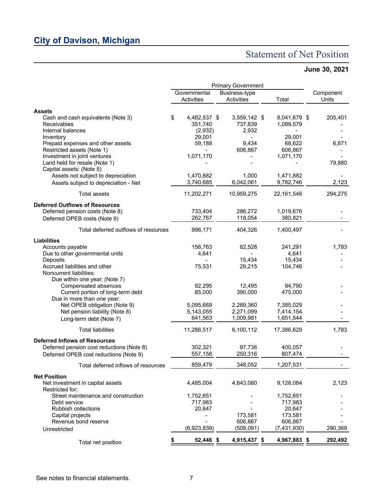## Statement of Net Position

### **June 30, 2021**

|                                                                                           |                                          | <b>Primary Government</b>        |                           |                    |
|-------------------------------------------------------------------------------------------|------------------------------------------|----------------------------------|---------------------------|--------------------|
|                                                                                           | Governmental<br>Activities               | Business-type<br>Activities      | Total                     | Component<br>Units |
| <b>Assets</b>                                                                             |                                          |                                  |                           |                    |
| Cash and cash equivalents (Note 3)<br>Receivables<br>Internal balances                    | \$<br>4,482,537 \$<br>351,740<br>(2,932) | 3,559,142 \$<br>737,839<br>2,932 | 8,041,679 \$<br>1,089,579 | 205,401            |
| Inventory<br>Prepaid expenses and other assets                                            | 29,001<br>59,188                         | 9,434                            | 29,001<br>68,622          | 6,871              |
| Restricted assets (Note 1)<br>Investment in joint ventures                                | 1,071,170                                | 606.867                          | 606,867<br>1,071,170      |                    |
| Land held for resale (Note 1)<br>Capital assets: (Note 5)                                 |                                          |                                  |                           | 79,880             |
| Assets not subject to depreciation<br>Assets subject to depreciation - Net                | 1,470,882<br>3,740,685                   | 1,000<br>6,042,061               | 1,471,882<br>9,782,746    | 2,123              |
| <b>Total assets</b>                                                                       | 11,202,271                               | 10,959,275                       | 22,161,546                | 294,275            |
| <b>Deferred Outflows of Resources</b>                                                     |                                          |                                  |                           |                    |
| Deferred pension costs (Note 8)<br>Deferred OPEB costs (Note 9)                           | 733,404<br>262,767                       | 286,272<br>118,054               | 1,019,676<br>380,821      |                    |
| Total deferred outflows of resources                                                      | 996,171                                  | 404,326                          | 1,400,497                 |                    |
| <b>Liabilities</b>                                                                        |                                          |                                  |                           |                    |
| Accounts payable                                                                          | 158,763                                  | 82,528                           | 241,291                   | 1,783              |
| Due to other governmental units                                                           | 4,641                                    |                                  | 4,641                     |                    |
| Deposits                                                                                  |                                          | 15,434                           | 15,434                    |                    |
| Accrued liabilities and other<br>Noncurrent liabilities:<br>Due within one year: (Note 7) | 75,531                                   | 29,215                           | 104,746                   |                    |
| Compensated absences                                                                      | 82,295                                   | 12,495                           | 94,790                    |                    |
| Current portion of long-term debt<br>Due in more than one year:                           | 85,000                                   | 390,000                          | 475,000                   |                    |
| Net OPEB obligation (Note 9)                                                              | 5,095,669                                | 2,289,360                        | 7,385,029                 |                    |
| Net pension liability (Note 8)                                                            | 5,143,055                                | 2,271,099                        | 7,414,154                 |                    |
| Long-term debt (Note 7)                                                                   | 641,563                                  | 1,009,981                        | 1,651,544                 |                    |
| <b>Total liabilities</b>                                                                  | 11,286,517                               | 6,100,112                        | 17,386,629                | 1,783              |
| <b>Deferred Inflows of Resources</b>                                                      |                                          |                                  |                           |                    |
| Deferred pension cost reductions (Note 8)                                                 | 302,321                                  | 97,736<br>250,316                | 400,057<br>807,474        |                    |
| Deferred OPEB cost reductions (Note 9)                                                    | 557,158                                  |                                  |                           |                    |
| Total deferred inflows of resources                                                       | 859,479                                  | 348,052                          | 1,207,531                 |                    |
| <b>Net Position</b>                                                                       |                                          |                                  |                           |                    |
| Net investment in capital assets<br>Restricted for:                                       | 4,485,004                                | 4,643,080                        | 9,128,084                 | 2,123              |
| Street maintenance and construction                                                       | 1,752,651                                |                                  | 1,752,651                 |                    |
| Debt service                                                                              | 717,983                                  |                                  | 717,983                   |                    |
| Rubbish collections                                                                       | 20,647                                   | 173,581                          | 20,647<br>173,581         |                    |
| Capital projects<br>Revenue bond reserve                                                  |                                          | 606,867                          | 606,867                   |                    |
| Unrestricted                                                                              | (6,923,839)                              | (508, 091)                       | (7, 431, 930)             | 290,369            |
| Total net position                                                                        | 52,446 \$                                | 4,915,437 \$                     | 4,967,883 \$              | 292,492            |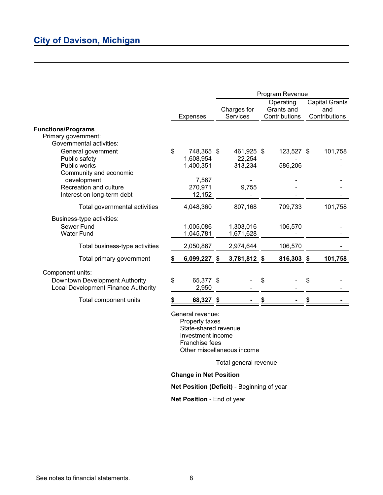|                                                                                                    |    |                                    |                         | Program Revenue                          |                                               |
|----------------------------------------------------------------------------------------------------|----|------------------------------------|-------------------------|------------------------------------------|-----------------------------------------------|
|                                                                                                    |    | <b>Expenses</b>                    | Charges for<br>Services | Operating<br>Grants and<br>Contributions | <b>Capital Grants</b><br>and<br>Contributions |
| <b>Functions/Programs</b><br>Primary government:<br>Governmental activities:<br>General government |    | 748,365 \$                         | 461,925 \$              | 123,527 \$                               | 101,758                                       |
| Public safety<br>Public works<br>Community and economic                                            | \$ | 1,608,954<br>1,400,351             | 22,254<br>313,234       | 586,206                                  |                                               |
| development<br>Recreation and culture<br>Interest on long-term debt                                |    | 7,567<br>270,971<br>12,152         | 9,755                   |                                          |                                               |
| Total governmental activities                                                                      |    | 4,048,360                          | 807,168                 | 709,733                                  | 101,758                                       |
| Business-type activities:<br>Sewer Fund<br><b>Water Fund</b>                                       |    | 1,005,086<br>1,045,781             | 1,303,016<br>1,671,628  | 106,570                                  |                                               |
| Total business-type activities                                                                     |    | 2,050,867                          | 2,974,644               | 106,570                                  |                                               |
| Total primary government                                                                           |    | 6,099,227 \$                       | 3,781,812 \$            | 816,303 \$                               | 101,758                                       |
| Component units:<br>Downtown Development Authority<br>Local Development Finance Authority          | \$ | 65,377 \$<br>2,950                 |                         | \$                                       |                                               |
| Total component units                                                                              |    | 68,327 \$                          |                         |                                          |                                               |
|                                                                                                    |    | General revenue:<br>Property taxes |                         |                                          |                                               |

Property taxes State-shared revenue Investment income Franchise fees Other miscellaneous income

Total general revenue

#### **Change in Net Position**

**Net Position (Deficit)** - Beginning of year

**Net Position** - End of year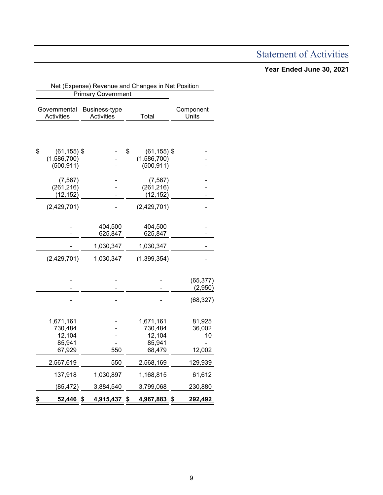## Statement of Activities

| \$<br>52,446                        | \$<br>4,915,437                                   | \$<br>4,967,883                     | \$<br>292,492        |
|-------------------------------------|---------------------------------------------------|-------------------------------------|----------------------|
| (85, 472)                           | 3,884,540                                         | 3,799,068                           | 230,880              |
| 137,918                             | 1,030,897                                         | 1,168,815                           | 61,612               |
| 2,567,619                           | 550                                               | 2,568,169                           | 129,939              |
| 67,929                              | 550                                               | 68,479                              | 12,002               |
| 12,104<br>85,941                    |                                                   | 12,104<br>85,941                    | 10                   |
| 730,484                             |                                                   | 730,484                             | 36,002               |
| 1,671,161                           |                                                   | 1,671,161                           | 81,925               |
|                                     |                                                   |                                     | (68, 327)            |
|                                     |                                                   |                                     | (65, 377)<br>(2,950) |
| (2,429,701)                         | 1,030,347                                         | (1, 399, 354)                       |                      |
|                                     | 1,030,347                                         | 1,030,347                           |                      |
|                                     | 404,500<br>625,847                                | 404,500<br>625,847                  |                      |
| (2,429,701)                         |                                                   | (2, 429, 701)                       |                      |
| (12, 152)                           |                                                   | (12, 152)                           |                      |
| (7, 567)<br>(261, 216)              |                                                   | (7, 567)<br>(261, 216)              |                      |
| (500, 911)                          |                                                   | (500, 911)                          |                      |
| \$<br>$(61, 155)$ \$<br>(1,586,700) |                                                   | \$<br>$(61, 155)$ \$<br>(1,586,700) |                      |
|                                     |                                                   |                                     |                      |
| Governmental<br><b>Activities</b>   | Business-type<br><b>Activities</b>                | Total                               | Component<br>Units   |
|                                     | <b>Primary Government</b>                         |                                     |                      |
|                                     | Net (Expense) Revenue and Changes in Net Position |                                     |                      |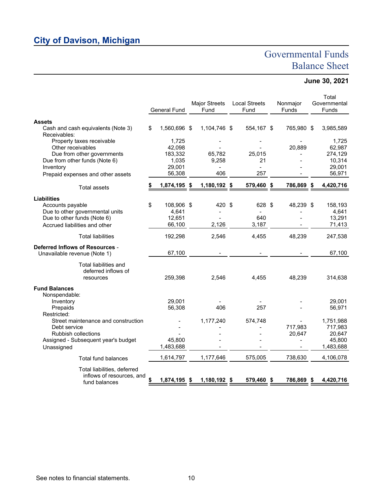## Governmental Funds Balance Sheet

### **June 30, 2021**

|                                                                                                                                                                 | <b>General Fund</b>                                     | <b>Major Streets</b><br>Fund                       | <b>Local Streets</b><br>Fund                    | Nonmajor<br><b>Funds</b> | Total<br>Governmental<br>Funds                           |
|-----------------------------------------------------------------------------------------------------------------------------------------------------------------|---------------------------------------------------------|----------------------------------------------------|-------------------------------------------------|--------------------------|----------------------------------------------------------|
| <b>Assets</b><br>Cash and cash equivalents (Note 3)<br>Receivables:                                                                                             | \$<br>1,560,696 \$                                      | 1,104,746 \$                                       | 554,167 \$                                      | 765,980 \$               | 3,985,589                                                |
| Property taxes receivable<br>Other receivables<br>Due from other governments<br>Due from other funds (Note 6)<br>Inventory<br>Prepaid expenses and other assets | 1.725<br>42.098<br>183,332<br>1,035<br>29,001<br>56,308 | 65,782<br>9,258<br>$\overline{\phantom{a}}$<br>406 | 25.015<br>21<br>$\overline{\phantom{0}}$<br>257 | 20.889                   | 1.725<br>62.987<br>274,129<br>10,314<br>29,001<br>56,971 |
| Total assets                                                                                                                                                    | 1,874,195 \$                                            | 1,180,192 \$                                       | 579,460 \$                                      | 786,869 \$               | 4,420,716                                                |
| <b>Liabilities</b><br>Accounts payable<br>Due to other governmental units<br>Due to other funds (Note 6)<br>Accrued liabilities and other                       | \$<br>108,906 \$<br>4,641<br>12,651<br>66,100           | 420 \$<br>2,126                                    | 628 \$<br>640<br>3,187                          | 48,239 \$                | 158,193<br>4,641<br>13,291<br>71,413                     |
| <b>Total liabilities</b>                                                                                                                                        | 192,298                                                 | 2,546                                              | 4,455                                           | 48,239                   | 247,538                                                  |
| <b>Deferred Inflows of Resources -</b><br>Unavailable revenue (Note 1)                                                                                          | 67,100                                                  |                                                    |                                                 |                          | 67,100                                                   |
| <b>Total liabilities and</b><br>deferred inflows of<br>resources                                                                                                | 259,398                                                 | 2,546                                              | 4,455                                           | 48,239                   | 314,638                                                  |
| <b>Fund Balances</b><br>Nonspendable:<br>Inventory<br>Prepaids<br>Restricted:                                                                                   | 29,001<br>56,308                                        | 406                                                | 257                                             |                          | 29,001<br>56,971                                         |
| Street maintenance and construction<br>Debt service<br>Rubbish collections<br>Assigned - Subsequent year's budget<br>Unassigned                                 | 45.800<br>1,483,688                                     | 1,177,240                                          | 574,748                                         | 717,983<br>20,647        | 1,751,988<br>717,983<br>20,647<br>45,800<br>1,483,688    |
| <b>Total fund balances</b>                                                                                                                                      | 1,614,797                                               | 1,177,646                                          | 575,005                                         | 738,630                  | 4,106,078                                                |
| Total liabilities, deferred<br>inflows of resources, and<br>fund balances                                                                                       | 1,874,195 \$                                            | 1,180,192 \$                                       | 579,460                                         | \$<br>786,869            | \$<br>4,420,716                                          |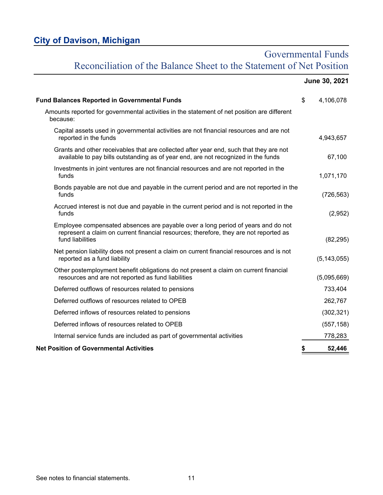Governmental Funds

Reconciliation of the Balance Sheet to the Statement of Net Position

|                                                                                                                                                                                               | June 30, 2021   |
|-----------------------------------------------------------------------------------------------------------------------------------------------------------------------------------------------|-----------------|
| <b>Fund Balances Reported in Governmental Funds</b>                                                                                                                                           | \$<br>4,106,078 |
| Amounts reported for governmental activities in the statement of net position are different<br>because:                                                                                       |                 |
| Capital assets used in governmental activities are not financial resources and are not<br>reported in the funds                                                                               | 4,943,657       |
| Grants and other receivables that are collected after year end, such that they are not<br>available to pay bills outstanding as of year end, are not recognized in the funds                  | 67,100          |
| Investments in joint ventures are not financial resources and are not reported in the<br>funds                                                                                                | 1,071,170       |
| Bonds payable are not due and payable in the current period and are not reported in the<br>funds                                                                                              | (726, 563)      |
| Accrued interest is not due and payable in the current period and is not reported in the<br>funds                                                                                             | (2,952)         |
| Employee compensated absences are payable over a long period of years and do not<br>represent a claim on current financial resources; therefore, they are not reported as<br>fund liabilities | (82, 295)       |
| Net pension liability does not present a claim on current financial resources and is not<br>reported as a fund liability                                                                      | (5, 143, 055)   |
| Other postemployment benefit obligations do not present a claim on current financial<br>resources and are not reported as fund liabilities                                                    | (5,095,669)     |
| Deferred outflows of resources related to pensions                                                                                                                                            | 733,404         |
| Deferred outflows of resources related to OPEB                                                                                                                                                | 262,767         |
| Deferred inflows of resources related to pensions                                                                                                                                             | (302, 321)      |
| Deferred inflows of resources related to OPEB                                                                                                                                                 | (557, 158)      |
| Internal service funds are included as part of governmental activities                                                                                                                        | 778,283         |
| <b>Net Position of Governmental Activities</b>                                                                                                                                                | \$<br>52,446    |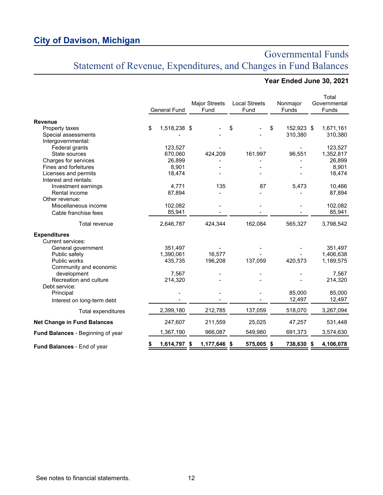## **City of Davison, Michigan**

## Governmental Funds Statement of Revenue, Expenditures, and Changes in Fund Balances

|                                    | <b>General Fund</b> |      | Major Streets<br>Fund | <b>Local Streets</b><br>Fund | Nonmajor<br><b>Funds</b> | Total<br>Governmental<br>Funds |
|------------------------------------|---------------------|------|-----------------------|------------------------------|--------------------------|--------------------------------|
| Revenue                            |                     |      |                       |                              |                          |                                |
| Property taxes                     | \$<br>1,518,238 \$  |      |                       | \$                           | \$<br>152,923 \$         | 1,671,161                      |
| Special assessments                |                     |      |                       |                              | 310,380                  | 310,380                        |
| Intergovernmental:                 |                     |      |                       |                              |                          |                                |
| Federal grants                     | 123,527             |      |                       |                              |                          | 123,527                        |
| State sources                      | 670.060             |      | 424,209               | 161,997                      | 96,551                   | 1,352,817                      |
| Charges for services               | 26,899              |      |                       |                              |                          | 26,899                         |
| Fines and forfeitures              | 8,901               |      |                       |                              |                          | 8,901                          |
| Licenses and permits               | 18,474              |      |                       |                              |                          | 18,474                         |
| Interest and rentals:              |                     |      |                       |                              |                          |                                |
| Investment earnings                | 4,771               |      | 135                   | 87                           | 5,473                    | 10,466                         |
| Rental income                      | 87,894              |      |                       |                              |                          | 87,894                         |
| Other revenue:                     |                     |      |                       |                              |                          |                                |
| Miscellaneous income               | 102,082             |      |                       |                              |                          | 102,082                        |
| Cable franchise fees               | 85,941              |      |                       |                              |                          | 85,941                         |
| Total revenue                      | 2,646,787           |      | 424,344               | 162,084                      | 565,327                  | 3,798,542                      |
| <b>Expenditures</b>                |                     |      |                       |                              |                          |                                |
| Current services:                  |                     |      |                       |                              |                          |                                |
| General government                 | 351,497             |      |                       |                              |                          | 351,497                        |
| Public safety                      | 1,390,061           |      | 16,577                |                              |                          | 1,406,638                      |
| Public works                       | 435,735             |      | 196,208               | 137,059                      | 420,573                  | 1,189,575                      |
| Community and economic             |                     |      |                       |                              |                          |                                |
| development                        | 7,567               |      |                       |                              |                          | 7,567                          |
| Recreation and culture             | 214,320             |      |                       |                              |                          | 214,320                        |
| Debt service:                      |                     |      |                       |                              |                          |                                |
| Principal                          |                     |      |                       |                              | 85,000                   | 85,000                         |
| Interest on long-term debt         |                     |      |                       |                              | 12,497                   | 12,497                         |
| Total expenditures                 | 2,399,180           |      | 212,785               | 137,059                      | 518,070                  | 3,267,094                      |
| <b>Net Change in Fund Balances</b> | 247,607             |      | 211,559               | 25,025                       | 47,257                   | 531,448                        |
| Fund Balances - Beginning of year  | 1,367,190           |      | 966,087               | 549,980                      | 691,373                  | 3,574,630                      |
| Fund Balances - End of year        | 1,614,797           | - \$ | 1,177,646 \$          | 575,005 \$                   | 738,630 \$               | 4,106,078                      |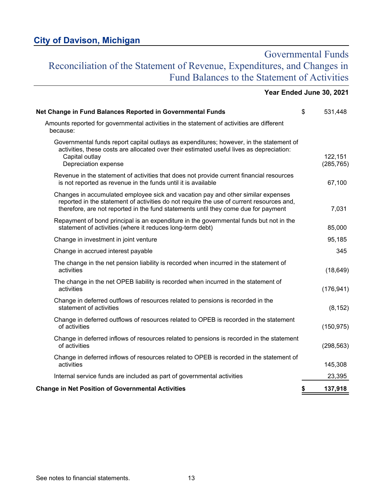Governmental Funds Reconciliation of the Statement of Revenue, Expenditures, and Changes in Fund Balances to the Statement of Activities

| Amounts reported for governmental activities in the statement of activities are different<br>because:                                                                                                                                                              |               |
|--------------------------------------------------------------------------------------------------------------------------------------------------------------------------------------------------------------------------------------------------------------------|---------------|
| Governmental funds report capital outlays as expenditures; however, in the statement of<br>activities, these costs are allocated over their estimated useful lives as depreciation:<br>Capital outlay                                                              | 122,151       |
| Depreciation expense                                                                                                                                                                                                                                               | (285, 765)    |
| Revenue in the statement of activities that does not provide current financial resources<br>is not reported as revenue in the funds until it is available                                                                                                          | 67,100        |
| Changes in accumulated employee sick and vacation pay and other similar expenses<br>reported in the statement of activities do not require the use of current resources and,<br>therefore, are not reported in the fund statements until they come due for payment | 7,031         |
| Repayment of bond principal is an expenditure in the governmental funds but not in the<br>statement of activities (where it reduces long-term debt)                                                                                                                | 85,000        |
| Change in investment in joint venture                                                                                                                                                                                                                              | 95,185        |
| Change in accrued interest payable                                                                                                                                                                                                                                 | 345           |
| The change in the net pension liability is recorded when incurred in the statement of<br>activities                                                                                                                                                                | (18, 649)     |
| The change in the net OPEB liability is recorded when incurred in the statement of<br>activities                                                                                                                                                                   | (176, 941)    |
| Change in deferred outflows of resources related to pensions is recorded in the<br>statement of activities                                                                                                                                                         | (8, 152)      |
| Change in deferred outflows of resources related to OPEB is recorded in the statement<br>of activities                                                                                                                                                             | (150, 975)    |
| Change in deferred inflows of resources related to pensions is recorded in the statement<br>of activities                                                                                                                                                          | (298, 563)    |
| Change in deferred inflows of resources related to OPEB is recorded in the statement of<br>activities                                                                                                                                                              | 145,308       |
| Internal service funds are included as part of governmental activities                                                                                                                                                                                             | 23,395        |
| <b>Change in Net Position of Governmental Activities</b>                                                                                                                                                                                                           | \$<br>137,918 |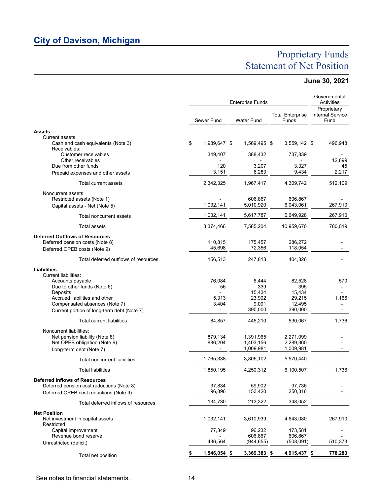## Proprietary Funds Statement of Net Position

### **June 30, 2021**

|                                                    |                    | Governmental<br>Activities |                                  |                                                |
|----------------------------------------------------|--------------------|----------------------------|----------------------------------|------------------------------------------------|
|                                                    | Sewer Fund         | <b>Water Fund</b>          | <b>Total Enterprise</b><br>Funds | Proprietary<br><b>Internal Service</b><br>Fund |
| <b>Assets</b>                                      |                    |                            |                                  |                                                |
| Current assets:                                    |                    |                            |                                  |                                                |
| Cash and cash equivalents (Note 3)<br>Receivables: | \$<br>1,989,647 \$ | 1,569,495 \$               | 3,559,142 \$                     | 496,948                                        |
| Customer receivables                               | 349,407            | 388,432                    | 737,839                          |                                                |
| Other receivables                                  |                    |                            |                                  | 12,899                                         |
| Due from other funds                               | 120<br>3,151       | 3,207<br>6,283             | 3,327<br>9,434                   | 45<br>2,217                                    |
| Prepaid expenses and other assets                  |                    |                            |                                  |                                                |
| Total current assets                               | 2,342,325          | 1,967,417                  | 4,309,742                        | 512,109                                        |
| Noncurrent assets:                                 |                    |                            |                                  |                                                |
| Restricted assets (Note 1)                         |                    | 606,867                    | 606,867                          |                                                |
| Capital assets - Net (Note 5)                      | 1,032,141          | 5,010,920                  | 6,043,061                        | 267,910                                        |
| Total noncurrent assets                            | 1,032,141          | 5,617,787                  | 6,649,928                        | 267,910                                        |
| <b>Total assets</b>                                | 3,374,466          | 7,585,204                  | 10,959,670                       | 780,019                                        |
| <b>Deferred Outflows of Resources</b>              |                    |                            |                                  |                                                |
| Deferred pension costs (Note 8)                    | 110,815            | 175,457                    | 286,272                          |                                                |
| Deferred OPEB costs (Note 9)                       | 45,698             | 72,356                     | 118,054                          |                                                |
| Total deferred outflows of resources               | 156,513            | 247,813                    | 404,326                          |                                                |
| <b>Liabilities</b>                                 |                    |                            |                                  |                                                |
| Current liabilities:                               |                    |                            |                                  |                                                |
| Accounts payable                                   | 76,084             | 6,444                      | 82,528                           | 570                                            |
| Due to other funds (Note 6)<br>Deposits            | 56                 | 339<br>15,434              | 395<br>15,434                    | $\blacksquare$                                 |
| Accrued liabilities and other                      | 5,313              | 23,902                     | 29,215                           | 1,166                                          |
| Compensated absences (Note 7)                      | 3,404              | 9,091                      | 12,495                           |                                                |
| Current portion of long-term debt (Note 7)         |                    | 390,000                    | 390,000                          |                                                |
| <b>Total current liabilities</b>                   | 84,857             | 445,210                    | 530,067                          | 1,736                                          |
| Noncurrent liabilities:                            |                    |                            |                                  |                                                |
| Net pension liability (Note 8)                     | 879,134            | 1,391,965                  | 2,271,099                        |                                                |
| Net OPEB obligation (Note 9)                       | 886,204            | 1,403,156                  | 2,289,360                        |                                                |
| Long-term debt (Note 7)                            | $\overline{a}$     | 1,009,981                  | 1,009,981                        |                                                |
| Total noncurrent liabilities                       | 1,765,338          | 3,805,102                  | 5,570,440                        |                                                |
| <b>Total liabilities</b>                           | 1,850,195          | 4,250,312                  | 6,100,507                        | 1,736                                          |
| <b>Deferred Inflows of Resources</b>               |                    |                            |                                  |                                                |
| Deferred pension cost reductions (Note 8)          | 37,834             | 59,902                     | 97,736                           |                                                |
| Deferred OPEB cost reductions (Note 9)             | 96,896             | 153,420                    | 250,316                          |                                                |
| Total deferred inflows of resources                | 134,730            | 213,322                    | 348,052                          |                                                |
| <b>Net Position</b>                                |                    |                            |                                  |                                                |
| Net investment in capital assets                   | 1,032,141          | 3,610,939                  | 4,643,080                        | 267,910                                        |
| Restricted:                                        |                    |                            |                                  |                                                |
| Capital improvement                                | 77,349             | 96,232                     | 173,581                          |                                                |
| Revenue bond reserve<br>Unrestricted (deficit)     | 436,564            | 606,867<br>(944, 655)      | 606,867<br>(508, 091)            | 510,373                                        |
|                                                    | 1,546,054 \$       | 3,369,383 \$               | 4,915,437 \$                     | 778,283                                        |
| Total net position                                 |                    |                            |                                  |                                                |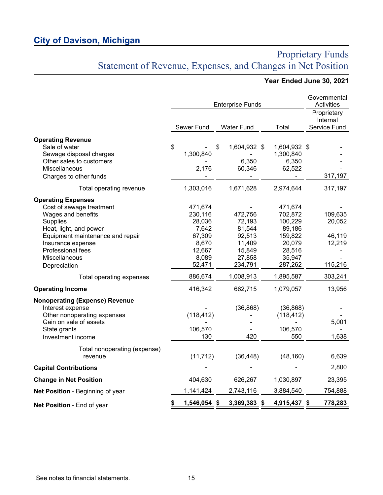## Proprietary Funds Statement of Revenue, Expenses, and Changes in Net Position

|                                                                                                                                                                                                                                                                                                |                                                                                                             | <b>Enterprise Funds</b>                                                                                |                                                                                                                       | Governmental<br>Activities                                            |
|------------------------------------------------------------------------------------------------------------------------------------------------------------------------------------------------------------------------------------------------------------------------------------------------|-------------------------------------------------------------------------------------------------------------|--------------------------------------------------------------------------------------------------------|-----------------------------------------------------------------------------------------------------------------------|-----------------------------------------------------------------------|
|                                                                                                                                                                                                                                                                                                | <b>Water Fund</b><br>Total<br>Sewer Fund                                                                    |                                                                                                        |                                                                                                                       | Proprietary<br>Internal<br>Service Fund                               |
| <b>Operating Revenue</b><br>Sale of water<br>Sewage disposal charges<br>Other sales to customers<br>Miscellaneous<br>Charges to other funds                                                                                                                                                    | \$<br>1,300,840<br>2,176                                                                                    | \$<br>1,604,932 \$<br>6,350<br>60,346                                                                  | 1,604,932 \$<br>1,300,840<br>6,350<br>62,522                                                                          | 317,197                                                               |
| Total operating revenue                                                                                                                                                                                                                                                                        | 1,303,016                                                                                                   | 1,671,628                                                                                              | 2,974,644                                                                                                             | 317,197                                                               |
| <b>Operating Expenses</b><br>Cost of sewage treatment<br>Wages and benefits<br><b>Supplies</b><br>Heat, light, and power<br>Equipment maintenance and repair<br>Insurance expense<br>Professional fees<br>Miscellaneous<br>Depreciation<br>Total operating expenses<br><b>Operating Income</b> | 471,674<br>230,116<br>28,036<br>7,642<br>67,309<br>8,670<br>12,667<br>8,089<br>52,471<br>886,674<br>416,342 | 472,756<br>72,193<br>81,544<br>92,513<br>11,409<br>15,849<br>27,858<br>234,791<br>1,008,913<br>662,715 | 471,674<br>702,872<br>100,229<br>89,186<br>159,822<br>20,079<br>28,516<br>35,947<br>287,262<br>1,895,587<br>1,079,057 | 109,635<br>20,052<br>46,119<br>12,219<br>115,216<br>303,241<br>13,956 |
| <b>Nonoperating (Expense) Revenue</b><br>Interest expense<br>Other nonoperating expenses<br>Gain on sale of assets<br>State grants<br>Investment income<br>Total nonoperating (expense)<br>revenue                                                                                             | (118, 412)<br>106,570<br>130<br>(11, 712)                                                                   | (36, 868)<br>420<br>(36, 448)                                                                          | (36, 868)<br>(118, 412)<br>106,570<br>550<br>(48, 160)                                                                | 5,001<br>1,638<br>6,639                                               |
| <b>Capital Contributions</b>                                                                                                                                                                                                                                                                   |                                                                                                             |                                                                                                        |                                                                                                                       | 2,800                                                                 |
| <b>Change in Net Position</b>                                                                                                                                                                                                                                                                  | 404,630                                                                                                     | 626,267                                                                                                | 1,030,897                                                                                                             | 23,395                                                                |
| Net Position - Beginning of year                                                                                                                                                                                                                                                               | 1,141,424                                                                                                   | 2,743,116                                                                                              | 3,884,540                                                                                                             | 754,888                                                               |
| Net Position - End of year                                                                                                                                                                                                                                                                     | 1,546,054 \$<br>\$                                                                                          | 3,369,383 \$                                                                                           | 4,915,437 \$                                                                                                          | 778,283                                                               |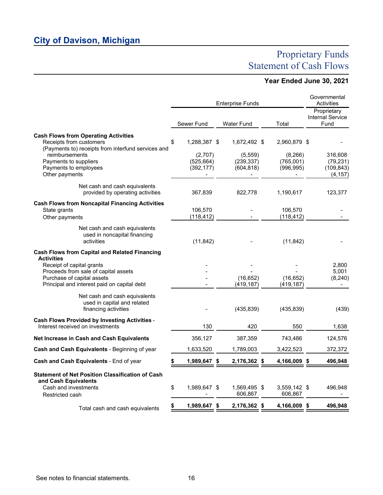## Proprietary Funds Statement of Cash Flows

|                                                                                                                                                                                                                             |                                     | <b>Enterprise Funds</b>              |                                    | Governmental<br><b>Activities</b>              |
|-----------------------------------------------------------------------------------------------------------------------------------------------------------------------------------------------------------------------------|-------------------------------------|--------------------------------------|------------------------------------|------------------------------------------------|
|                                                                                                                                                                                                                             | Sewer Fund                          | <b>Water Fund</b>                    | Total                              | Proprietary<br>Internal Service<br>Fund        |
| <b>Cash Flows from Operating Activities</b><br>Receipts from customers<br>(Payments to) receipts from interfund services and                                                                                                | \$<br>1,288,387 \$                  | 1,672,492 \$                         | 2,960,879 \$                       |                                                |
| reimbursements<br>Payments to suppliers<br>Payments to employees<br>Other payments                                                                                                                                          | (2,707)<br>(525, 664)<br>(392, 177) | (5, 559)<br>(239, 337)<br>(604, 818) | (8,266)<br>(765,001)<br>(996, 995) | 316,608<br>(79, 231)<br>(109, 843)<br>(4, 157) |
| Net cash and cash equivalents<br>provided by operating activities                                                                                                                                                           | 367,839                             | 822,778                              | 1,190,617                          | 123,377                                        |
| <b>Cash Flows from Noncapital Financing Activities</b><br>State grants<br>Other payments                                                                                                                                    | 106,570<br>(118, 412)               |                                      | 106,570<br>(118, 412)              |                                                |
| Net cash and cash equivalents<br>used in noncapital financing<br>activities                                                                                                                                                 | (11, 842)                           |                                      | (11, 842)                          |                                                |
| <b>Cash Flows from Capital and Related Financing</b><br><b>Activities</b><br>Receipt of capital grants<br>Proceeds from sale of capital assets<br>Purchase of capital assets<br>Principal and interest paid on capital debt |                                     | (16, 652)<br>(419, 187)              | (16,652)<br>(419,187)              | 2.800<br>5,001<br>(8, 240)                     |
| Net cash and cash equivalents<br>used in capital and related<br>financing activities                                                                                                                                        |                                     | (435, 839)                           | (435, 839)                         | (439)                                          |
| <b>Cash Flows Provided by Investing Activities -</b><br>Interest received on investments                                                                                                                                    | 130                                 | 420                                  | 550                                | 1,638                                          |
| Net Increase in Cash and Cash Equivalents                                                                                                                                                                                   | 356,127                             | 387,359                              | 743,486                            | 124,576                                        |
| Cash and Cash Equivalents - Beginning of year                                                                                                                                                                               | 1,633,520                           | 1,789,003                            | 3,422,523                          | 372,372                                        |
| Cash and Cash Equivalents - End of year                                                                                                                                                                                     | 1,989,647 \$                        | 2,176,362 \$                         | 4,166,009 \$                       | 496,948                                        |
| <b>Statement of Net Position Classification of Cash</b><br>and Cash Equivalents<br>Cash and investments<br>Restricted cash                                                                                                  | \$<br>1,989,647 \$                  | 1,569,495 \$<br>606,867              | 3,559,142 \$<br>606,867            | 496,948                                        |
| Total cash and cash equivalents                                                                                                                                                                                             | 1,989,647<br>\$                     | 2,176,362 \$<br>- \$                 | 4,166,009 \$                       | 496,948                                        |
|                                                                                                                                                                                                                             |                                     |                                      |                                    |                                                |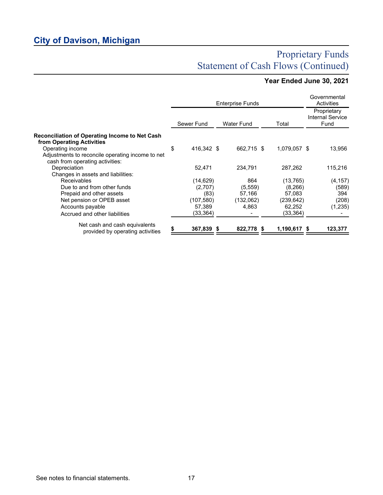## Proprietary Funds Statement of Cash Flows (Continued)

|                                                                                    | <b>Enterprise Funds</b>           |            |  |            |                | Governmental<br>Activities                     |
|------------------------------------------------------------------------------------|-----------------------------------|------------|--|------------|----------------|------------------------------------------------|
|                                                                                    | Sewer Fund<br>Water Fund<br>Total |            |  |            |                | Proprietary<br><b>Internal Service</b><br>Fund |
| <b>Reconciliation of Operating Income to Net Cash</b><br>from Operating Activities |                                   |            |  |            |                |                                                |
| Operating income                                                                   | \$                                | 416,342 \$ |  | 662.715 \$ | 1,079,057 \$   | 13,956                                         |
| Adjustments to reconcile operating income to net                                   |                                   |            |  |            |                |                                                |
| cash from operating activities:                                                    |                                   |            |  |            |                |                                                |
| Depreciation                                                                       |                                   | 52,471     |  | 234,791    | 287,262        | 115,216                                        |
| Changes in assets and liabilities:                                                 |                                   |            |  |            |                |                                                |
| <b>Receivables</b>                                                                 |                                   | (14, 629)  |  | 864        | (13,765)       | (4, 157)                                       |
| Due to and from other funds                                                        |                                   | (2,707)    |  | (5, 559)   | (8,266)        | (589)                                          |
| Prepaid and other assets                                                           |                                   | (83)       |  | 57,166     | 57,083         | 394                                            |
| Net pension or OPEB asset                                                          |                                   | (107,580)  |  | (132,062)  | (239,642)      | (208)                                          |
| Accounts payable                                                                   |                                   | 57,389     |  | 4,863      | 62,252         | (1,235)                                        |
| Accrued and other liabilities                                                      |                                   | (33, 364)  |  |            | (33,364)       |                                                |
| Net cash and cash equivalents<br>provided by operating activities                  |                                   | 367,839 \$ |  | 822,778 \$ | $1,190,617$ \$ | 123,377                                        |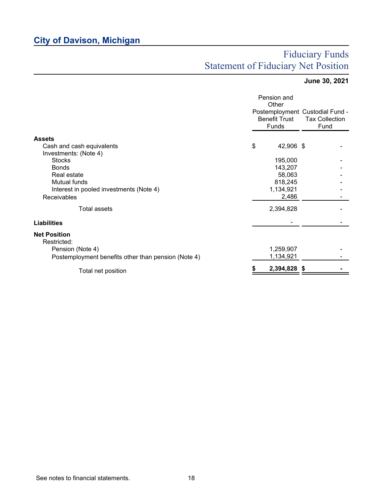## Fiduciary Funds Statement of Fiduciary Net Position

## **June 30, 2021**

|                                                     | Pension and                          |                      |  |                                                                  |  |
|-----------------------------------------------------|--------------------------------------|----------------------|--|------------------------------------------------------------------|--|
|                                                     | <b>Benefit Trust</b><br><b>Funds</b> |                      |  | Postemployment Custodial Fund -<br><b>Tax Collection</b><br>Fund |  |
| <b>Assets</b>                                       |                                      |                      |  |                                                                  |  |
| Cash and cash equivalents<br>Investments: (Note 4)  | \$                                   | 42,906 \$            |  |                                                                  |  |
| <b>Stocks</b>                                       |                                      | 195,000              |  |                                                                  |  |
| <b>Bonds</b>                                        |                                      | 143,207              |  |                                                                  |  |
| Real estate<br>Mutual funds                         |                                      | 58,063               |  |                                                                  |  |
| Interest in pooled investments (Note 4)             |                                      | 818,245<br>1,134,921 |  |                                                                  |  |
| Receivables                                         |                                      | 2,486                |  |                                                                  |  |
| <b>Total assets</b>                                 |                                      | 2,394,828            |  |                                                                  |  |
| <b>Liabilities</b>                                  |                                      |                      |  |                                                                  |  |
| <b>Net Position</b><br>Restricted:                  |                                      |                      |  |                                                                  |  |
| Pension (Note 4)                                    |                                      | 1,259,907            |  |                                                                  |  |
| Postemployment benefits other than pension (Note 4) |                                      | 1,134,921            |  |                                                                  |  |
| Total net position                                  |                                      | 2,394,828 \$         |  |                                                                  |  |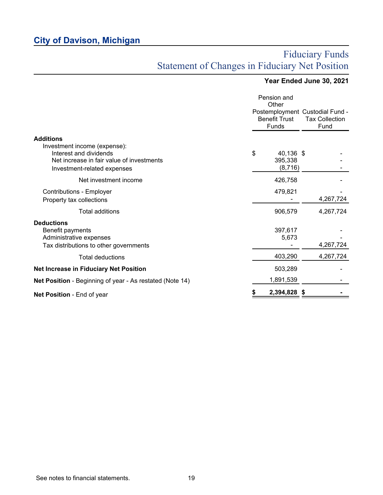## Fiduciary Funds Statement of Changes in Fiduciary Net Position

|                                                                                                                                                        | Pension and<br><b>Benefit Trust</b> | Postemployment Custodial Fund -<br><b>Tax Collection</b><br>Fund |           |  |
|--------------------------------------------------------------------------------------------------------------------------------------------------------|-------------------------------------|------------------------------------------------------------------|-----------|--|
| <b>Additions</b><br>Investment income (expense):<br>Interest and dividends<br>Net increase in fair value of investments<br>Investment-related expenses | \$                                  | 40,136 \$<br>395,338<br>(8, 716)                                 |           |  |
| Net investment income                                                                                                                                  |                                     | 426,758                                                          |           |  |
| <b>Contributions - Employer</b><br>Property tax collections                                                                                            |                                     | 479,821                                                          | 4,267,724 |  |
| Total additions                                                                                                                                        |                                     | 906,579                                                          | 4,267,724 |  |
| <b>Deductions</b><br>Benefit payments<br>Administrative expenses<br>Tax distributions to other governments                                             |                                     | 397,617<br>5,673                                                 | 4,267,724 |  |
| <b>Total deductions</b>                                                                                                                                |                                     | 403,290                                                          | 4,267,724 |  |
| <b>Net Increase in Fiduciary Net Position</b>                                                                                                          |                                     | 503,289                                                          |           |  |
| <b>Net Position</b> - Beginning of year - As restated (Note 14)                                                                                        |                                     | 1,891,539                                                        |           |  |
| <b>Net Position - End of year</b>                                                                                                                      |                                     | 2,394,828                                                        | - \$      |  |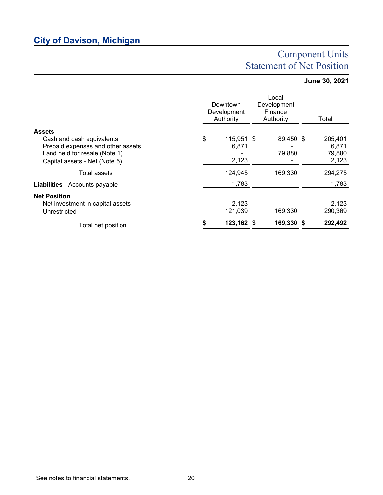## Component Units Statement of Net Position

### **June 30, 2021**

|                                                                                                                                                   | Downtown<br>Development<br>Authority |                              |  | Local<br>Development<br>Finance<br>Authority | Total                               |  |
|---------------------------------------------------------------------------------------------------------------------------------------------------|--------------------------------------|------------------------------|--|----------------------------------------------|-------------------------------------|--|
| <b>Assets</b><br>Cash and cash equivalents<br>Prepaid expenses and other assets<br>Land held for resale (Note 1)<br>Capital assets - Net (Note 5) | \$                                   | 115,951 \$<br>6.871<br>2,123 |  | 89,450 \$<br>79.880                          | 205,401<br>6,871<br>79,880<br>2,123 |  |
| Total assets                                                                                                                                      |                                      | 124,945                      |  | 169,330                                      | 294,275                             |  |
| <b>Liabilities</b> - Accounts payable                                                                                                             |                                      | 1,783                        |  |                                              | 1,783                               |  |
| <b>Net Position</b><br>Net investment in capital assets<br>Unrestricted                                                                           |                                      | 2,123<br>121,039             |  | 169,330                                      | 2,123<br>290,369                    |  |
| Total net position                                                                                                                                |                                      | 123,162 \$                   |  | 169,330 \$                                   | 292,492                             |  |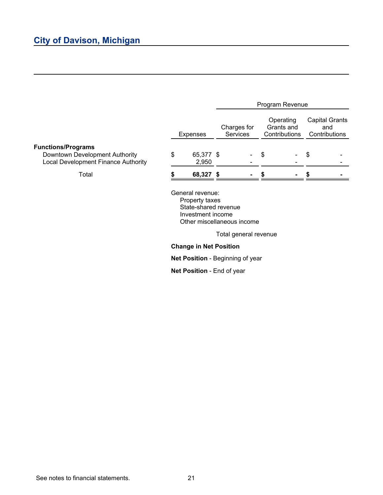|                                                                       |                 |                    | Program Revenue |                         |      |                                          |   |                                               |  |
|-----------------------------------------------------------------------|-----------------|--------------------|-----------------|-------------------------|------|------------------------------------------|---|-----------------------------------------------|--|
|                                                                       | <b>Expenses</b> |                    |                 | Charges for<br>Services |      | Operating<br>Grants and<br>Contributions |   | <b>Capital Grants</b><br>and<br>Contributions |  |
| <b>Functions/Programs</b>                                             |                 |                    |                 |                         |      |                                          |   |                                               |  |
| Downtown Development Authority<br>Local Development Finance Authority | \$              | 65,377 \$<br>2,950 |                 | ۰.                      | - \$ | . .                                      | S |                                               |  |
| Total                                                                 |                 | 68,327             |                 |                         |      |                                          |   |                                               |  |

General revenue: Property taxes State-shared revenue Investment income Other miscellaneous income

Total general revenue

**Change in Net Position**

**Net Position** - Beginning of year

**Net Position** - End of year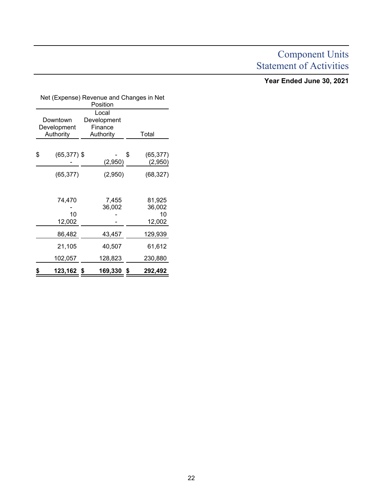## Component Units Statement of Activities

| Net (Expense) Revenue and Changes in Net<br>Position |                                              |       |                                  |  |  |  |  |  |
|------------------------------------------------------|----------------------------------------------|-------|----------------------------------|--|--|--|--|--|
| Downtown<br>Development<br>Authority                 | Local<br>Development<br>Finance<br>Authority | Total |                                  |  |  |  |  |  |
| \$<br>$(65, 377)$ \$                                 | (2,950)                                      | \$    | (65, 377)<br>(2,950)             |  |  |  |  |  |
| (65, 377)                                            | (2,950)                                      |       | (68, 327)                        |  |  |  |  |  |
| 74,470<br>10<br>12,002                               | 7,455<br>36,002                              |       | 81,925<br>36,002<br>10<br>12,002 |  |  |  |  |  |
| 86,482                                               | 43,457                                       |       | 129,939                          |  |  |  |  |  |
| 21,105                                               | 40,507                                       |       | 61,612                           |  |  |  |  |  |
| 102,057                                              | 128,823                                      |       | 230,880                          |  |  |  |  |  |
| \$<br>123,162 \$                                     | 169,330                                      | \$    | 292,492                          |  |  |  |  |  |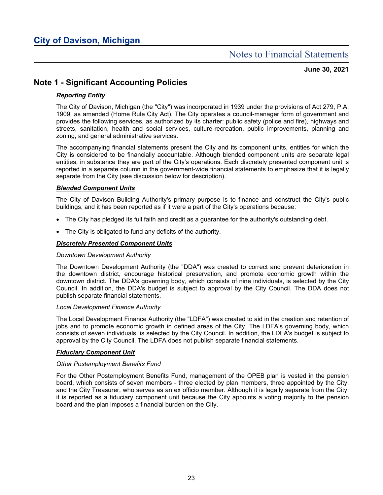#### **June 30, 2021**

### **Note 1 - Significant Accounting Policies**

#### *Reporting Entity*

The City of Davison, Michigan (the "City") was incorporated in 1939 under the provisions of Act 279, P.A. 1909, as amended (Home Rule City Act). The City operates a council-manager form of government and provides the following services, as authorized by its charter: public safety (police and fire), highways and streets, sanitation, health and social services, culture-recreation, public improvements, planning and zoning, and general administrative services.

The accompanying financial statements present the City and its component units, entities for which the City is considered to be financially accountable. Although blended component units are separate legal entities, in substance they are part of the City's operations. Each discretely presented component unit is reported in a separate column in the government-wide financial statements to emphasize that it is legally separate from the City (see discussion below for description).

#### *Blended Component Units*

The City of Davison Building Authority's primary purpose is to finance and construct the City's public buildings, and it has been reported as if it were a part of the City's operations because:

- The City has pledged its full faith and credit as a guarantee for the authority's outstanding debt.
- The City is obligated to fund any deficits of the authority.

#### *Discretely Presented Component Units*

#### *Downtown Development Authority*

The Downtown Development Authority (the "DDA") was created to correct and prevent deterioration in the downtown district, encourage historical preservation, and promote economic growth within the downtown district. The DDA's governing body, which consists of nine individuals, is selected by the City Council. In addition, the DDA's budget is subject to approval by the City Council. The DDA does not publish separate financial statements.

#### *Local Development Finance Authority*

The Local Development Finance Authority (the "LDFA") was created to aid in the creation and retention of jobs and to promote economic growth in defined areas of the City. The LDFA's governing body, which consists of seven individuals, is selected by the City Council. In addition, the LDFA's budget is subject to approval by the City Council. The LDFA does not publish separate financial statements.

#### *Fiduciary Component Unit*

#### *Other Postemployment Benefits Fund*

For the Other Postemployment Benefits Fund, management of the OPEB plan is vested in the pension board, which consists of seven members - three elected by plan members, three appointed by the City, and the City Treasurer, who serves as an ex officio member. Although it is legally separate from the City, it is reported as a fiduciary component unit because the City appoints a voting majority to the pension board and the plan imposes a financial burden on the City.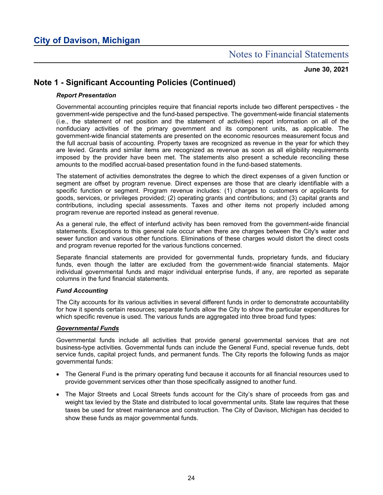**June 30, 2021**

### **Note 1 - Significant Accounting Policies (Continued)**

#### *Report Presentation*

Governmental accounting principles require that financial reports include two different perspectives - the government-wide perspective and the fund-based perspective. The government-wide financial statements (i.e., the statement of net position and the statement of activities) report information on all of the nonfiduciary activities of the primary government and its component units, as applicable. The government-wide financial statements are presented on the economic resources measurement focus and the full accrual basis of accounting. Property taxes are recognized as revenue in the year for which they are levied. Grants and similar items are recognized as revenue as soon as all eligibility requirements imposed by the provider have been met. The statements also present a schedule reconciling these amounts to the modified accrual-based presentation found in the fund-based statements.

The statement of activities demonstrates the degree to which the direct expenses of a given function or segment are offset by program revenue. Direct expenses are those that are clearly identifiable with a specific function or segment. Program revenue includes: (1) charges to customers or applicants for goods, services, or privileges provided; (2) operating grants and contributions; and (3) capital grants and contributions, including special assessments. Taxes and other items not properly included among program revenue are reported instead as general revenue.

As a general rule, the effect of interfund activity has been removed from the government-wide financial statements. Exceptions to this general rule occur when there are charges between the City's water and sewer function and various other functions. Eliminations of these charges would distort the direct costs and program revenue reported for the various functions concerned.

Separate financial statements are provided for governmental funds, proprietary funds, and fiduciary funds, even though the latter are excluded from the government-wide financial statements. Major individual governmental funds and major individual enterprise funds, if any, are reported as separate columns in the fund financial statements.

#### *Fund Accounting*

The City accounts for its various activities in several different funds in order to demonstrate accountability for how it spends certain resources; separate funds allow the City to show the particular expenditures for which specific revenue is used. The various funds are aggregated into three broad fund types:

#### *Governmental Funds*

Governmental funds include all activities that provide general governmental services that are not business-type activities. Governmental funds can include the General Fund, special revenue funds, debt service funds, capital project funds, and permanent funds. The City reports the following funds as major governmental funds:

- The General Fund is the primary operating fund because it accounts for all financial resources used to provide government services other than those specifically assigned to another fund.
- The Major Streets and Local Streets funds account for the City's share of proceeds from gas and weight tax levied by the State and distributed to local governmental units. State law requires that these taxes be used for street maintenance and construction. The City of Davison, Michigan has decided to show these funds as major governmental funds.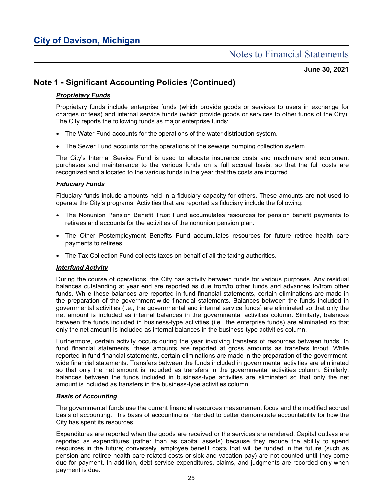#### **June 30, 2021**

### **Note 1 - Significant Accounting Policies (Continued)**

#### *Proprietary Funds*

Proprietary funds include enterprise funds (which provide goods or services to users in exchange for charges or fees) and internal service funds (which provide goods or services to other funds of the City). The City reports the following funds as major enterprise funds:

- The Water Fund accounts for the operations of the water distribution system.
- The Sewer Fund accounts for the operations of the sewage pumping collection system.

The City's Internal Service Fund is used to allocate insurance costs and machinery and equipment purchases and maintenance to the various funds on a full accrual basis, so that the full costs are recognized and allocated to the various funds in the year that the costs are incurred.

#### *Fiduciary Funds*

Fiduciary funds include amounts held in a fiduciary capacity for others. These amounts are not used to operate the City's programs. Activities that are reported as fiduciary include the following:

- The Nonunion Pension Benefit Trust Fund accumulates resources for pension benefit payments to retirees and accounts for the activities of the nonunion pension plan.
- The Other Postemployment Benefits Fund accumulates resources for future retiree health care payments to retirees.
- The Tax Collection Fund collects taxes on behalf of all the taxing authorities.

#### *Interfund Activity*

During the course of operations, the City has activity between funds for various purposes. Any residual balances outstanding at year end are reported as due from/to other funds and advances to/from other funds. While these balances are reported in fund financial statements, certain eliminations are made in the preparation of the government-wide financial statements. Balances between the funds included in governmental activities (i.e., the governmental and internal service funds) are eliminated so that only the net amount is included as internal balances in the governmental activities column. Similarly, balances between the funds included in business-type activities (i.e., the enterprise funds) are eliminated so that only the net amount is included as internal balances in the business-type activities column.

Furthermore, certain activity occurs during the year involving transfers of resources between funds. In fund financial statements, these amounts are reported at gross amounts as transfers in/out. While reported in fund financial statements, certain eliminations are made in the preparation of the governmentwide financial statements. Transfers between the funds included in governmental activities are eliminated so that only the net amount is included as transfers in the governmental activities column. Similarly, balances between the funds included in business-type activities are eliminated so that only the net amount is included as transfers in the business-type activities column.

#### *Basis of Accounting*

The governmental funds use the current financial resources measurement focus and the modified accrual basis of accounting. This basis of accounting is intended to better demonstrate accountability for how the City has spent its resources.

Expenditures are reported when the goods are received or the services are rendered. Capital outlays are reported as expenditures (rather than as capital assets) because they reduce the ability to spend resources in the future; conversely, employee benefit costs that will be funded in the future (such as pension and retiree health care-related costs or sick and vacation pay) are not counted until they come due for payment. In addition, debt service expenditures, claims, and judgments are recorded only when payment is due.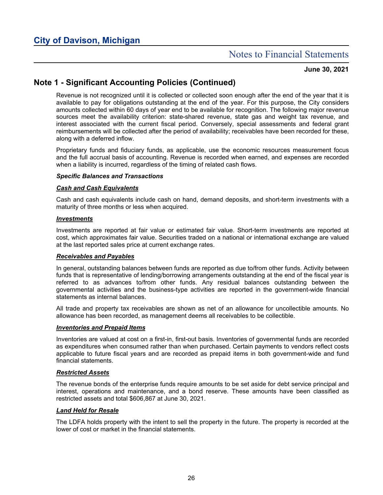#### **June 30, 2021**

### **Note 1 - Significant Accounting Policies (Continued)**

Revenue is not recognized until it is collected or collected soon enough after the end of the year that it is available to pay for obligations outstanding at the end of the year. For this purpose, the City considers amounts collected within 60 days of year end to be available for recognition. The following major revenue sources meet the availability criterion: state-shared revenue, state gas and weight tax revenue, and interest associated with the current fiscal period. Conversely, special assessments and federal grant reimbursements will be collected after the period of availability; receivables have been recorded for these, along with a deferred inflow.

Proprietary funds and fiduciary funds, as applicable, use the economic resources measurement focus and the full accrual basis of accounting. Revenue is recorded when earned, and expenses are recorded when a liability is incurred, regardless of the timing of related cash flows.

#### *Specific Balances and Transactions*

#### *Cash and Cash Equivalents*

Cash and cash equivalents include cash on hand, demand deposits, and short-term investments with a maturity of three months or less when acquired.

#### *Investments*

Investments are reported at fair value or estimated fair value. Short-term investments are reported at cost, which approximates fair value. Securities traded on a national or international exchange are valued at the last reported sales price at current exchange rates.

#### *Receivables and Payables*

In general, outstanding balances between funds are reported as due to/from other funds. Activity between funds that is representative of lending/borrowing arrangements outstanding at the end of the fiscal year is referred to as advances to/from other funds. Any residual balances outstanding between the governmental activities and the business-type activities are reported in the government-wide financial statements as internal balances.

All trade and property tax receivables are shown as net of an allowance for uncollectible amounts. No allowance has been recorded, as management deems all receivables to be collectible.

#### *Inventories and Prepaid Items*

Inventories are valued at cost on a first-in, first-out basis. Inventories of governmental funds are recorded as expenditures when consumed rather than when purchased. Certain payments to vendors reflect costs applicable to future fiscal years and are recorded as prepaid items in both government-wide and fund financial statements.

#### *Restricted Assets*

The revenue bonds of the enterprise funds require amounts to be set aside for debt service principal and interest, operations and maintenance, and a bond reserve. These amounts have been classified as restricted assets and total \$606,867 at June 30, 2021.

#### *Land Held for Resale*

The LDFA holds property with the intent to sell the property in the future. The property is recorded at the lower of cost or market in the financial statements.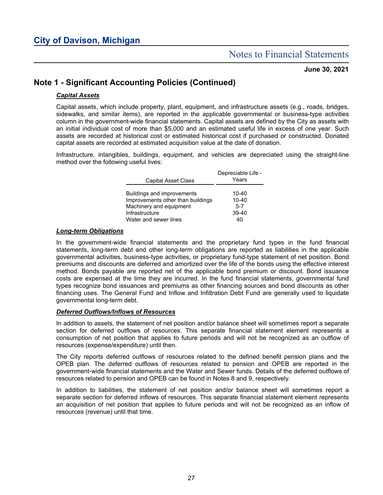#### **June 30, 2021**

### **Note 1 - Significant Accounting Policies (Continued)**

#### *Capital Assets*

Capital assets, which include property, plant, equipment, and infrastructure assets (e.g., roads, bridges, sidewalks, and similar items), are reported in the applicable governmental or business-type activities column in the government-wide financial statements. Capital assets are defined by the City as assets with an initial individual cost of more than \$5,000 and an estimated useful life in excess of one year. Such assets are recorded at historical cost or estimated historical cost if purchased or constructed. Donated capital assets are recorded at estimated acquisition value at the date of donation.

Infrastructure, intangibles, buildings, equipment, and vehicles are depreciated using the straight-line method over the following useful lives:

| <b>Capital Asset Class</b>        | Depreciable Life -<br>Years |
|-----------------------------------|-----------------------------|
| Buildings and improvements        | $10 - 40$                   |
| Improvements other than buildings | $10 - 40$                   |
| Machinery and equipment           | $5 - 7$                     |
| Infrastructure                    | $39 - 40$                   |
| Water and sewer lines             |                             |

#### *Long-term Obligations*

In the government-wide financial statements and the proprietary fund types in the fund financial statements, long-term debt and other long-term obligations are reported as liabilities in the applicable governmental activities, business-type activities, or proprietary fund-type statement of net position. Bond premiums and discounts are deferred and amortized over the life of the bonds using the effective interest method. Bonds payable are reported net of the applicable bond premium or discount. Bond issuance costs are expensed at the time they are incurred. In the fund financial statements, governmental fund types recognize bond issuances and premiums as other financing sources and bond discounts as other financing uses. The General Fund and Inflow and Infiltration Debt Fund are generally used to liquidate governmental long-term debt.

#### *Deferred Outflows/Inflows of Resources*

In addition to assets, the statement of net position and/or balance sheet will sometimes report a separate section for deferred outflows of resources. This separate financial statement element represents a consumption of net position that applies to future periods and will not be recognized as an outflow of resources (expense/expenditure) until then.

The City reports deferred outflows of resources related to the defined benefit pension plans and the OPEB plan. The deferred outflows of resources related to pension and OPEB are reported in the government-wide financial statements and the Water and Sewer funds. Details of the deferred outflows of resources related to pension and OPEB can be found in Notes 8 and 9, respectively.

In addition to liabilities, the statement of net position and/or balance sheet will sometimes report a separate section for deferred inflows of resources. This separate financial statement element represents an acquisition of net position that applies to future periods and will not be recognized as an inflow of resources (revenue) until that time.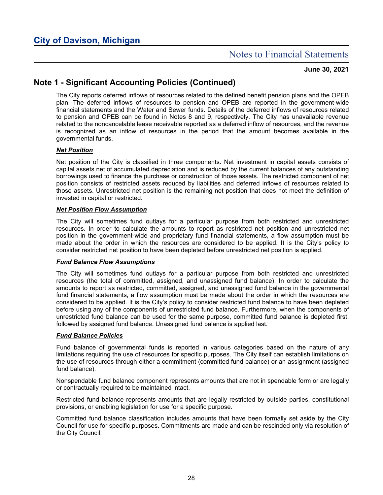#### **June 30, 2021**

### **Note 1 - Significant Accounting Policies (Continued)**

The City reports deferred inflows of resources related to the defined benefit pension plans and the OPEB plan. The deferred inflows of resources to pension and OPEB are reported in the government-wide financial statements and the Water and Sewer funds. Details of the deferred inflows of resources related to pension and OPEB can be found in Notes 8 and 9, respectively. The City has unavailable revenue related to the noncancelable lease receivable reported as a deferred inflow of resources, and the revenue is recognized as an inflow of resources in the period that the amount becomes available in the governmental funds.

#### *Net Position*

Net position of the City is classified in three components. Net investment in capital assets consists of capital assets net of accumulated depreciation and is reduced by the current balances of any outstanding borrowings used to finance the purchase or construction of those assets. The restricted component of net position consists of restricted assets reduced by liabilities and deferred inflows of resources related to those assets. Unrestricted net position is the remaining net position that does not meet the definition of invested in capital or restricted.

#### *Net Position Flow Assumption*

The City will sometimes fund outlays for a particular purpose from both restricted and unrestricted resources. In order to calculate the amounts to report as restricted net position and unrestricted net position in the government-wide and proprietary fund financial statements, a flow assumption must be made about the order in which the resources are considered to be applied. It is the City's policy to consider restricted net position to have been depleted before unrestricted net position is applied.

#### *Fund Balance Flow Assumptions*

The City will sometimes fund outlays for a particular purpose from both restricted and unrestricted resources (the total of committed, assigned, and unassigned fund balance). In order to calculate the amounts to report as restricted, committed, assigned, and unassigned fund balance in the governmental fund financial statements, a flow assumption must be made about the order in which the resources are considered to be applied. It is the City's policy to consider restricted fund balance to have been depleted before using any of the components of unrestricted fund balance. Furthermore, when the components of unrestricted fund balance can be used for the same purpose, committed fund balance is depleted first, followed by assigned fund balance. Unassigned fund balance is applied last.

#### *Fund Balance Policies*

Fund balance of governmental funds is reported in various categories based on the nature of any limitations requiring the use of resources for specific purposes. The City itself can establish limitations on the use of resources through either a commitment (committed fund balance) or an assignment (assigned fund balance).

Nonspendable fund balance component represents amounts that are not in spendable form or are legally or contractually required to be maintained intact.

Restricted fund balance represents amounts that are legally restricted by outside parties, constitutional provisions, or enabling legislation for use for a specific purpose.

Committed fund balance classification includes amounts that have been formally set aside by the City Council for use for specific purposes. Commitments are made and can be rescinded only via resolution of the City Council.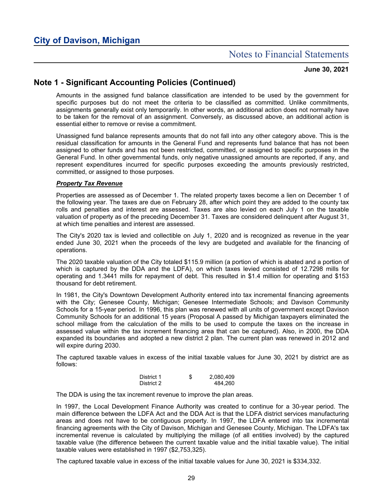#### **June 30, 2021**

#### **Note 1 - Significant Accounting Policies (Continued)**

Amounts in the assigned fund balance classification are intended to be used by the government for specific purposes but do not meet the criteria to be classified as committed. Unlike commitments, assignments generally exist only temporarily. In other words, an additional action does not normally have to be taken for the removal of an assignment. Conversely, as discussed above, an additional action is essential either to remove or revise a commitment.

Unassigned fund balance represents amounts that do not fall into any other category above. This is the residual classification for amounts in the General Fund and represents fund balance that has not been assigned to other funds and has not been restricted, committed, or assigned to specific purposes in the General Fund. In other governmental funds, only negative unassigned amounts are reported, if any, and represent expenditures incurred for specific purposes exceeding the amounts previously restricted, committed, or assigned to those purposes.

#### *Property Tax Revenue*

Properties are assessed as of December 1. The related property taxes become a lien on December 1 of the following year. The taxes are due on February 28, after which point they are added to the county tax rolls and penalties and interest are assessed. Taxes are also levied on each July 1 on the taxable valuation of property as of the preceding December 31. Taxes are considered delinquent after August 31, at which time penalties and interest are assessed.

The City's 2020 tax is levied and collectible on July 1, 2020 and is recognized as revenue in the year ended June 30, 2021 when the proceeds of the levy are budgeted and available for the financing of operations.

The 2020 taxable valuation of the City totaled \$115.9 million (a portion of which is abated and a portion of which is captured by the DDA and the LDFA), on which taxes levied consisted of 12.7298 mills for operating and 1.3441 mills for repayment of debt. This resulted in \$1.4 million for operating and \$153 thousand for debt retirement.

In 1981, the City's Downtown Development Authority entered into tax incremental financing agreements with the City; Genesee County, Michigan; Genesee Intermediate Schools; and Davison Community Schools for a 15-year period. In 1996, this plan was renewed with all units of government except Davison Community Schools for an additional 15 years (Proposal A passed by Michigan taxpayers eliminated the school millage from the calculation of the mills to be used to compute the taxes on the increase in assessed value within the tax increment financing area that can be captured). Also, in 2000, the DDA expanded its boundaries and adopted a new district 2 plan. The current plan was renewed in 2012 and will expire during 2030.

The captured taxable values in excess of the initial taxable values for June 30, 2021 by district are as follows:

| District 1 | \$<br>2,080,409 |
|------------|-----------------|
| District 2 | 484,260         |

The DDA is using the tax increment revenue to improve the plan areas.

In 1997, the Local Development Finance Authority was created to continue for a 30-year period. The main difference between the LDFA Act and the DDA Act is that the LDFA district services manufacturing areas and does not have to be contiguous property. In 1997, the LDFA entered into tax incremental financing agreements with the City of Davison, Michigan and Genesee County, Michigan. The LDFA's tax incremental revenue is calculated by multiplying the millage (of all entities involved) by the captured taxable value (the difference between the current taxable value and the initial taxable value). The initial taxable values were established in 1997 (\$2,753,325).

The captured taxable value in excess of the initial taxable values for June 30, 2021 is \$334,332.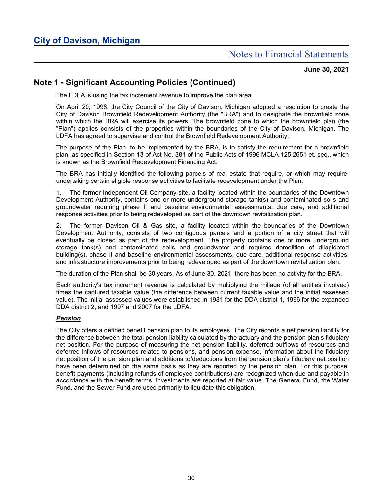**June 30, 2021**

### **Note 1 - Significant Accounting Policies (Continued)**

The LDFA is using the tax increment revenue to improve the plan area.

On April 20, 1998, the City Council of the City of Davison, Michigan adopted a resolution to create the City of Davison Brownfield Redevelopment Authority (the "BRA") and to designate the brownfield zone within which the BRA will exercise its powers. The brownfield zone to which the brownfield plan (the "Plan") applies consists of the properties within the boundaries of the City of Davison, Michigan. The LDFA has agreed to supervise and control the Brownfield Redevelopment Authority.

The purpose of the Plan, to be implemented by the BRA, is to satisfy the requirement for a brownfield plan, as specified in Section 13 of Act No. 381 of the Public Acts of 1996 MCLA 125.2651 et. seq., which is known as the Brownfield Redevelopment Financing Act.

The BRA has initially identified the following parcels of real estate that require, or which may require, undertaking certain eligible response activities to facilitate redevelopment under the Plan:

1. The former Independent Oil Company site, a facility located within the boundaries of the Downtown Development Authority, contains one or more underground storage tank(s) and contaminated soils and groundwater requiring phase II and baseline environmental assessments, due care, and additional response activities prior to being redeveloped as part of the downtown revitalization plan.

2. The former Davison Oil & Gas site, a facility located within the boundaries of the Downtown Development Authority, consists of two contiguous parcels and a portion of a city street that will eventually be closed as part of the redevelopment. The property contains one or more underground storage tank(s) and contaminated soils and groundwater and requires demolition of dilapidated building(s), phase II and baseline environmental assessments, due care, additional response activities, and infrastructure improvements prior to being redeveloped as part of the downtown revitalization plan.

The duration of the Plan shall be 30 years. As of June 30, 2021, there has been no activity for the BRA.

Each authority's tax increment revenue is calculated by multiplying the millage (of all entities involved) times the captured taxable value (the difference between current taxable value and the initial assessed value). The initial assessed values were established in 1981 for the DDA district 1, 1996 for the expanded DDA district 2, and 1997 and 2007 for the LDFA.

#### *Pension*

The City offers a defined benefit pension plan to its employees. The City records a net pension liability for the difference between the total pension liability calculated by the actuary and the pension plan's fiduciary net position. For the purpose of measuring the net pension liability, deferred outflows of resources and deferred inflows of resources related to pensions, and pension expense, information about the fiduciary net position of the pension plan and additions to/deductions from the pension plan's fiduciary net position have been determined on the same basis as they are reported by the pension plan. For this purpose, benefit payments (including refunds of employee contributions) are recognized when due and payable in accordance with the benefit terms. Investments are reported at fair value. The General Fund, the Water Fund, and the Sewer Fund are used primarily to liquidate this obligation.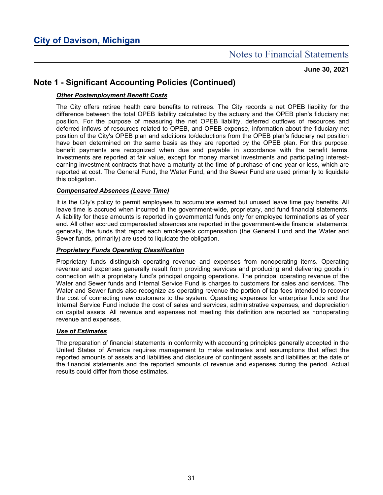**June 30, 2021**

### **Note 1 - Significant Accounting Policies (Continued)**

#### *Other Postemployment Benefit Costs*

The City offers retiree health care benefits to retirees. The City records a net OPEB liability for the difference between the total OPEB liability calculated by the actuary and the OPEB plan's fiduciary net position. For the purpose of measuring the net OPEB liability, deferred outflows of resources and deferred inflows of resources related to OPEB, and OPEB expense, information about the fiduciary net position of the City's OPEB plan and additions to/deductions from the OPEB plan's fiduciary net position have been determined on the same basis as they are reported by the OPEB plan. For this purpose, benefit payments are recognized when due and payable in accordance with the benefit terms. Investments are reported at fair value, except for money market investments and participating interestearning investment contracts that have a maturity at the time of purchase of one year or less, which are reported at cost. The General Fund, the Water Fund, and the Sewer Fund are used primarily to liquidate this obligation.

#### *Compensated Absences (Leave Time)*

It is the City's policy to permit employees to accumulate earned but unused leave time pay benefits. All leave time is accrued when incurred in the government-wide, proprietary, and fund financial statements. A liability for these amounts is reported in governmental funds only for employee terminations as of year end. All other accrued compensated absences are reported in the government-wide financial statements; generally, the funds that report each employee's compensation (the General Fund and the Water and Sewer funds, primarily) are used to liquidate the obligation.

#### *Proprietary Funds Operating Classification*

Proprietary funds distinguish operating revenue and expenses from nonoperating items. Operating revenue and expenses generally result from providing services and producing and delivering goods in connection with a proprietary fund's principal ongoing operations. The principal operating revenue of the Water and Sewer funds and Internal Service Fund is charges to customers for sales and services. The Water and Sewer funds also recognize as operating revenue the portion of tap fees intended to recover the cost of connecting new customers to the system. Operating expenses for enterprise funds and the Internal Service Fund include the cost of sales and services, administrative expenses, and depreciation on capital assets. All revenue and expenses not meeting this definition are reported as nonoperating revenue and expenses.

#### *Use of Estimates*

The preparation of financial statements in conformity with accounting principles generally accepted in the United States of America requires management to make estimates and assumptions that affect the reported amounts of assets and liabilities and disclosure of contingent assets and liabilities at the date of the financial statements and the reported amounts of revenue and expenses during the period. Actual results could differ from those estimates.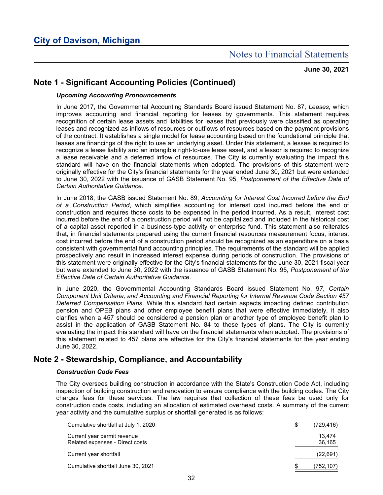**June 30, 2021**

### **Note 1 - Significant Accounting Policies (Continued)**

#### *Upcoming Accounting Pronouncements*

In June 2017, the Governmental Accounting Standards Board issued Statement No. 87, *Leases*, which improves accounting and financial reporting for leases by governments. This statement requires recognition of certain lease assets and liabilities for leases that previously were classified as operating leases and recognized as inflows of resources or outflows of resources based on the payment provisions of the contract. It establishes a single model for lease accounting based on the foundational principle that leases are financings of the right to use an underlying asset. Under this statement, a lessee is required to recognize a lease liability and an intangible right-to-use lease asset, and a lessor is required to recognize a lease receivable and a deferred inflow of resources. The City is currently evaluating the impact this standard will have on the financial statements when adopted. The provisions of this statement were originally effective for the City's financial statements for the year ended June 30, 2021 but were extended to June 30, 2022 with the issuance of GASB Statement No. 95, *Postponement of the Effective Date of Certain Authoritative Guidance*.

In June 2018, the GASB issued Statement No. 89, *Accounting for Interest Cost Incurred before the End of a Construction Period*, which simplifies accounting for interest cost incurred before the end of construction and requires those costs to be expensed in the period incurred. As a result, interest cost incurred before the end of a construction period will not be capitalized and included in the historical cost of a capital asset reported in a business-type activity or enterprise fund. This statement also reiterates that, in financial statements prepared using the current financial resources measurement focus, interest cost incurred before the end of a construction period should be recognized as an expenditure on a basis consistent with governmental fund accounting principles. The requirements of the standard will be applied prospectively and result in increased interest expense during periods of construction. The provisions of this statement were originally effective for the City's financial statements for the June 30, 2021 fiscal year but were extended to June 30, 2022 with the issuance of GASB Statement No. 95, *Postponement of the Effective Date of Certain Authoritative Guidance*.

In June 2020, the Governmental Accounting Standards Board issued Statement No. 9*7*, *Certain Component Unit Criteria, and Accounting and Financial Reporting for Internal Revenue Code Section 457 Deferred Compensation Plans*. While this standard had certain aspects impacting defined contribution pension and OPEB plans and other employee benefit plans that were effective immediately, it also clarifies when a 457 should be considered a pension plan or another type of employee benefit plan to assist in the application of GASB Statement No. 84 to these types of plans. The City is currently evaluating the impact this standard will have on the financial statements when adopted. The provisions of this statement related to 457 plans are effective for the City's financial statements for the year ending June 30, 2022.

### **Note 2 - Stewardship, Compliance, and Accountability**

#### *Construction Code Fees*

The City oversees building construction in accordance with the State's Construction Code Act, including inspection of building construction and renovation to ensure compliance with the building codes. The City charges fees for these services. The law requires that collection of these fees be used only for construction code costs, including an allocation of estimated overhead costs. A summary of the current year activity and the cumulative surplus or shortfall generated is as follows:

| Cumulative shortfall at July 1, 2020                           | (729, 416)       |
|----------------------------------------------------------------|------------------|
| Current year permit revenue<br>Related expenses - Direct costs | 13.474<br>36,165 |
| Current year shortfall                                         | (22, 691)        |
| Cumulative shortfall June 30, 2021                             | (752,107)        |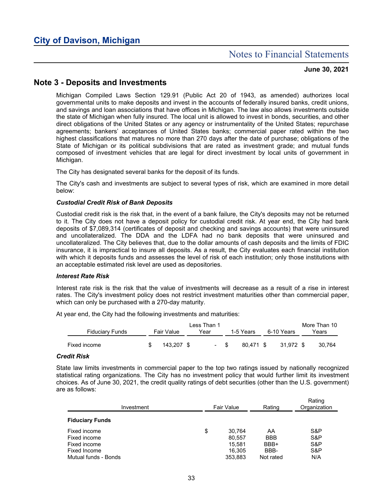#### **June 30, 2021**

#### **Note 3 - Deposits and Investments**

Michigan Compiled Laws Section 129.91 (Public Act 20 of 1943, as amended) authorizes local governmental units to make deposits and invest in the accounts of federally insured banks, credit unions, and savings and loan associations that have offices in Michigan. The law also allows investments outside the state of Michigan when fully insured. The local unit is allowed to invest in bonds, securities, and other direct obligations of the United States or any agency or instrumentality of the United States; repurchase agreements; bankers' acceptances of United States banks; commercial paper rated within the two highest classifications that matures no more than 270 days after the date of purchase; obligations of the State of Michigan or its political subdivisions that are rated as investment grade; and mutual funds composed of investment vehicles that are legal for direct investment by local units of government in Michigan.

The City has designated several banks for the deposit of its funds.

The City's cash and investments are subject to several types of risk, which are examined in more detail below:

#### *Custodial Credit Risk of Bank Deposits*

Custodial credit risk is the risk that, in the event of a bank failure, the City's deposits may not be returned to it. The City does not have a deposit policy for custodial credit risk. At year end, the City had bank deposits of \$7,089,314 (certificates of deposit and checking and savings accounts) that were uninsured and uncollateralized. The DDA and the LDFA had no bank deposits that were uninsured and uncollateralized. The City believes that, due to the dollar amounts of cash deposits and the limits of FDIC insurance, it is impractical to insure all deposits. As a result, the City evaluates each financial institution with which it deposits funds and assesses the level of risk of each institution; only those institutions with an acceptable estimated risk level are used as depositories.

#### *Interest Rate Risk*

Interest rate risk is the risk that the value of investments will decrease as a result of a rise in interest rates. The City's investment policy does not restrict investment maturities other than commercial paper, which can only be purchased with a 270-day maturity.

At year end, the City had the following investments and maturities:

| <b>Fiduciary Funds</b> | Fair Value | Less Than 1<br>Year | 1-5 Years | 6-10 Years | More Than 10<br>Years |
|------------------------|------------|---------------------|-----------|------------|-----------------------|
| Fixed income           | 143.207 \$ | $-$ \$              | 80.471 \$ | 31.972 \$  | 30.764                |

#### *Credit Risk*

State law limits investments in commercial paper to the top two ratings issued by nationally recognized statistical rating organizations. The City has no investment policy that would further limit its investment choices. As of June 30, 2021, the credit quality ratings of debt securities (other than the U.S. government) are as follows:

| Investment                           | <b>Fair Value</b> |                   | Rating             | Rating<br>Organization |  |
|--------------------------------------|-------------------|-------------------|--------------------|------------------------|--|
| <b>Fiduciary Funds</b>               |                   |                   |                    |                        |  |
| Fixed income                         | \$                | 30.764            | AA                 | S&P                    |  |
| Fixed income<br>Fixed income         |                   | 80.557<br>15.581  | <b>BBB</b><br>BBB+ | S&P<br>S&P             |  |
| Fixed Income<br>Mutual funds - Bonds |                   | 16.305<br>353,883 | BBB-<br>Not rated  | S&P<br>N/A             |  |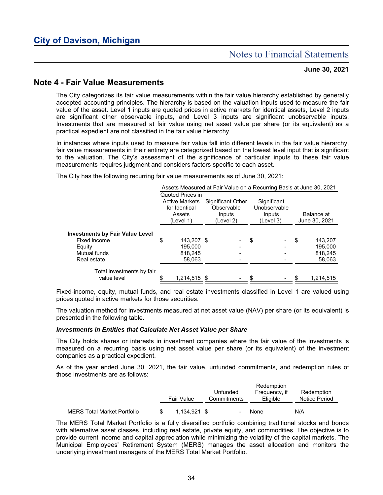#### **June 30, 2021**

#### **Note 4 - Fair Value Measurements**

The City categorizes its fair value measurements within the fair value hierarchy established by generally accepted accounting principles. The hierarchy is based on the valuation inputs used to measure the fair value of the asset. Level 1 inputs are quoted prices in active markets for identical assets, Level 2 inputs are significant other observable inputs, and Level 3 inputs are significant unobservable inputs. Investments that are measured at fair value using net asset value per share (or its equivalent) as a practical expedient are not classified in the fair value hierarchy.

In instances where inputs used to measure fair value fall into different levels in the fair value hierarchy, fair value measurements in their entirety are categorized based on the lowest level input that is significant to the valuation. The City's assessment of the significance of particular inputs to these fair value measurements requires judgment and considers factors specific to each asset.

The City has the following recurring fair value measurements as of June 30, 2021:

|                                        | Assets Measured at Fair Value on a Recurring Basis at June 30, 2021 |                       |  |                   |    |              |    |               |
|----------------------------------------|---------------------------------------------------------------------|-----------------------|--|-------------------|----|--------------|----|---------------|
|                                        | Quoted Prices in                                                    |                       |  |                   |    |              |    |               |
|                                        |                                                                     | <b>Active Markets</b> |  | Significant Other |    | Significant  |    |               |
|                                        |                                                                     | for Identical         |  | Observable        |    | Unobservable |    |               |
|                                        |                                                                     | Assets                |  | Inputs            |    | Inputs       |    | Balance at    |
|                                        |                                                                     | (Level 1)             |  | (Level 2)         |    | (Level 3)    |    | June 30, 2021 |
| <b>Investments by Fair Value Level</b> |                                                                     |                       |  |                   |    |              |    |               |
| Fixed income                           | \$                                                                  | 143.207 \$            |  |                   | \$ |              | \$ | 143.207       |
| Equity                                 |                                                                     | 195.000               |  |                   |    |              |    | 195.000       |
| Mutual funds                           |                                                                     | 818.245               |  |                   |    |              |    | 818.245       |
| Real estate                            |                                                                     | 58,063                |  |                   |    |              |    | 58,063        |
| Total investments by fair              |                                                                     |                       |  |                   |    |              |    |               |
| value level                            |                                                                     | 1,214,515 \$          |  |                   |    |              |    | 1,214,515     |

Fixed-income, equity, mutual funds, and real estate investments classified in Level 1 are valued using prices quoted in active markets for those securities.

The valuation method for investments measured at net asset value (NAV) per share (or its equivalent) is presented in the following table.

#### *Investments in Entities that Calculate Net Asset Value per Share*

The City holds shares or interests in investment companies where the fair value of the investments is measured on a recurring basis using net asset value per share (or its equivalent) of the investment companies as a practical expedient.

As of the year ended June 30, 2021, the fair value, unfunded commitments, and redemption rules of those investments are as follows:

|                             | <b>Fair Value</b> | Unfunded<br>Commitments | Redemption<br>Frequency, if<br>Eligible | Redemption<br>Notice Period |
|-----------------------------|-------------------|-------------------------|-----------------------------------------|-----------------------------|
| MERS Total Market Portfolio | 1.134.921 \$      |                         | None                                    | N/A                         |

The MERS Total Market Portfolio is a fully diversified portfolio combining traditional stocks and bonds with alternative asset classes, including real estate, private equity, and commodities. The objective is to provide current income and capital appreciation while minimizing the volatility of the capital markets. The Municipal Employees' Retirement System (MERS) manages the asset allocation and monitors the underlying investment managers of the MERS Total Market Portfolio.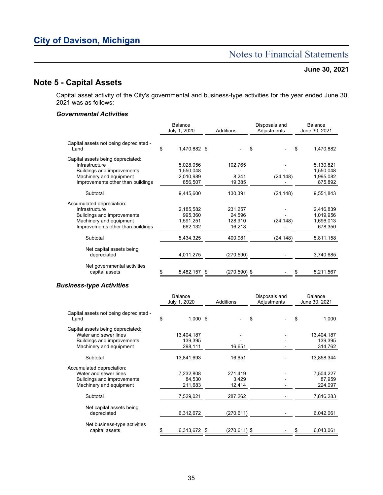# Notes to Financial Statements

### **June 30, 2021**

### **Note 5 - Capital Assets**

Capital asset activity of the City's governmental and business-type activities for the year ended June 30, 2021 was as follows:

### *Governmental Activities*

|                                                                                                                                                          |    | Balance<br>July 1, 2020                        |    | Additions                              |    | Disposals and<br>Adjustments | <b>Balance</b><br>June 30, 2021                |
|----------------------------------------------------------------------------------------------------------------------------------------------------------|----|------------------------------------------------|----|----------------------------------------|----|------------------------------|------------------------------------------------|
|                                                                                                                                                          |    |                                                |    |                                        |    |                              |                                                |
| Capital assets not being depreciated -<br>Land                                                                                                           | \$ | 1,470,882 \$                                   |    |                                        | \$ |                              | \$<br>1,470,882                                |
| Capital assets being depreciated:<br>Infrastructure<br><b>Buildings and improvements</b><br>Machinery and equipment<br>Improvements other than buildings |    | 5,028,056<br>1,550,048<br>2,010,989<br>856,507 |    | 102,765<br>8,241<br>19,385             |    | (24, 148)                    | 5,130,821<br>1,550,048<br>1,995,082<br>875,892 |
| Subtotal                                                                                                                                                 |    | 9,445,600                                      |    | 130,391                                |    | (24, 148)                    | 9,551,843                                      |
| Accumulated depreciation:<br>Infrastructure<br><b>Buildings and improvements</b><br>Machinery and equipment<br>Improvements other than buildings         |    | 2,185,582<br>995.360<br>1,591,251<br>662,132   |    | 231,257<br>24,596<br>128,910<br>16,218 |    | (24, 148)                    | 2,416,839<br>1,019,956<br>1,696,013<br>678,350 |
| Subtotal                                                                                                                                                 |    | 5,434,325                                      |    | 400,981                                |    | (24, 148)                    | 5,811,158                                      |
| Net capital assets being<br>depreciated                                                                                                                  |    | 4,011,275                                      |    | (270,590)                              |    |                              | 3,740,685                                      |
| Net governmental activities<br>capital assets                                                                                                            | S  | 5,482,157                                      | \$ | (270,590) \$                           |    |                              | 5,211,567                                      |

### *Business-type Activities*

|                                                                                                                     | <b>Balance</b><br>July 1, 2020   |  | Additions                  | Disposals and<br>Adjustments |  | Balance<br>June 30, 2021         |  |
|---------------------------------------------------------------------------------------------------------------------|----------------------------------|--|----------------------------|------------------------------|--|----------------------------------|--|
| Capital assets not being depreciated -<br>Land                                                                      | \$<br>$1,000$ \$                 |  |                            | \$                           |  | \$<br>1,000                      |  |
| Capital assets being depreciated:<br>Water and sewer lines<br>Buildings and improvements<br>Machinery and equipment | 13,404,187<br>139.395<br>298,111 |  | 16,651                     |                              |  | 13,404,187<br>139,395<br>314,762 |  |
| Subtotal                                                                                                            | 13,841,693                       |  | 16,651                     |                              |  | 13,858,344                       |  |
| Accumulated depreciation:<br>Water and sewer lines<br>Buildings and improvements<br>Machinery and equipment         | 7,232,808<br>84,530<br>211,683   |  | 271,419<br>3,429<br>12,414 |                              |  | 7,504,227<br>87,959<br>224,097   |  |
| Subtotal                                                                                                            | 7,529,021                        |  | 287,262                    |                              |  | 7,816,283                        |  |
| Net capital assets being<br>depreciated                                                                             | 6,312,672                        |  | (270,611)                  |                              |  | 6,042,061                        |  |
| Net business-type activities<br>capital assets                                                                      | \$<br>6,313,672 \$               |  | (270,611) \$               |                              |  | 6.043,061                        |  |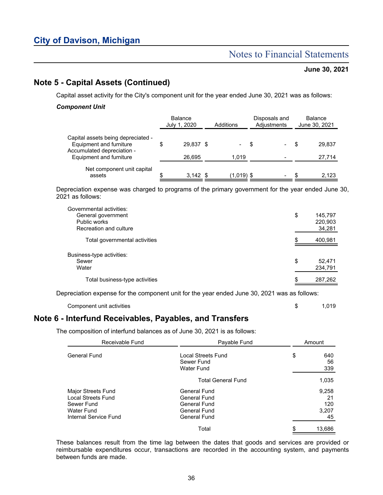# Notes to Financial Statements

### **June 30, 2021**

### **Note 5 - Capital Assets (Continued)**

Capital asset activity for the City's component unit for the year ended June 30, 2021 was as follows:

#### *Component Unit*

|                                                                                             |   | <b>Balance</b><br>July 1, 2020 | Additions        |      | Disposals and<br>Adjustments |    | <b>Balance</b><br>June 30, 2021 |
|---------------------------------------------------------------------------------------------|---|--------------------------------|------------------|------|------------------------------|----|---------------------------------|
| Capital assets being depreciated -<br>Equipment and furniture<br>Accumulated depreciation - | S | 29.837 \$                      | $\sim$ 100 $\mu$ | - \$ |                              | -S | 29.837                          |
| Equipment and furniture                                                                     |   | 26,695                         | 1.019            |      |                              |    | 27,714                          |
| Net component unit capital<br>assets                                                        |   | $3.142$ \$                     | (1,019) \$       |      |                              |    | 2.123                           |

Depreciation expense was charged to programs of the primary government for the year ended June 30, 2021 as follows:

| Governmental activities:       |    |         |
|--------------------------------|----|---------|
| General government             | \$ | 145,797 |
| Public works                   |    | 220,903 |
| Recreation and culture         |    | 34,281  |
| Total governmental activities  | S  | 400,981 |
| Business-type activities:      |    |         |
| Sewer                          | \$ | 52,471  |
| Water                          |    | 234,791 |
| Total business-type activities | c  | 287,262 |

Depreciation expense for the component unit for the year ended June 30, 2021 was as follows:

Component unit activities \$ 1,019

### **Note 6 - Interfund Receivables, Payables, and Transfers**

The composition of interfund balances as of June 30, 2021 is as follows:

| Receivable Fund                                                                                      | Payable Fund                                                                 | Amount                            |  |  |
|------------------------------------------------------------------------------------------------------|------------------------------------------------------------------------------|-----------------------------------|--|--|
| <b>Local Streets Fund</b><br><b>General Fund</b><br>Sewer Fund<br>Water Fund                         |                                                                              | \$<br>640<br>56<br>339            |  |  |
|                                                                                                      | <b>Total General Fund</b>                                                    | 1,035                             |  |  |
| Major Streets Fund<br><b>Local Streets Fund</b><br>Sewer Fund<br>Water Fund<br>Internal Service Fund | General Fund<br>General Fund<br>General Fund<br>General Fund<br>General Fund | 9,258<br>21<br>120<br>3,207<br>45 |  |  |
|                                                                                                      | Total                                                                        | 13,686                            |  |  |

These balances result from the time lag between the dates that goods and services are provided or reimbursable expenditures occur, transactions are recorded in the accounting system, and payments between funds are made.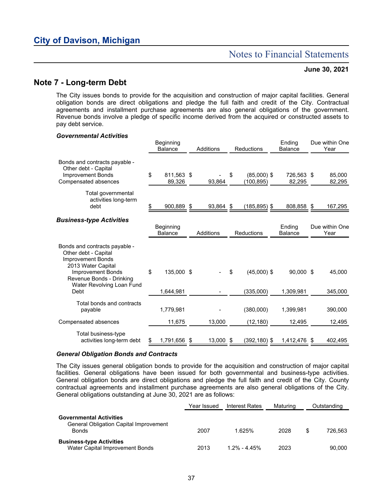# Notes to Financial Statements

### **June 30, 2021**

### **Note 7 - Long-term Debt**

The City issues bonds to provide for the acquisition and construction of major capital facilities. General obligation bonds are direct obligations and pledge the full faith and credit of the City. Contractual agreements and installment purchase agreements are also general obligations of the government. Revenue bonds involve a pledge of specific income derived from the acquired or constructed assets to pay debt service.

#### *Governmental Activities*

|                                                                                                                                                                                                      |    | Beginning<br><b>Balance</b> | <b>Additions</b> | <b>Reductions</b>                 | Ending<br><b>Balance</b> |    | Due within One<br>Year |
|------------------------------------------------------------------------------------------------------------------------------------------------------------------------------------------------------|----|-----------------------------|------------------|-----------------------------------|--------------------------|----|------------------------|
| Bonds and contracts payable -<br>Other debt - Capital<br><b>Improvement Bonds</b><br>Compensated absences                                                                                            | \$ | 811.563 \$<br>89,326        | 93,864           | \$<br>$(85,000)$ \$<br>(100, 895) | 726,563 \$<br>82,295     |    | 85,000<br>82,295       |
| Total governmental<br>activities long-term<br>debt                                                                                                                                                   | S  | 900,889 \$                  | 93,864 \$        | $(185, 895)$ \$                   | 808,858                  | \$ | 167,295                |
| <b>Business-type Activities</b>                                                                                                                                                                      |    | Beginning<br><b>Balance</b> | Additions        | <b>Reductions</b>                 | Ending<br><b>Balance</b> |    | Due within One<br>Year |
| Bonds and contracts payable -<br>Other debt - Capital<br><b>Improvement Bonds</b><br>2013 Water Capital<br><b>Improvement Bonds</b><br>Revenue Bonds - Drinking<br>Water Revolving Loan Fund<br>Debt | \$ | 135,000 \$<br>1,644,981     |                  | \$<br>$(45,000)$ \$<br>(335,000)  | 90,000 \$<br>1,309,981   |    | 45,000<br>345,000      |
| Total bonds and contracts<br>payable                                                                                                                                                                 |    | 1,779,981                   |                  | (380,000)                         | 1,399,981                |    | 390,000                |
| Compensated absences                                                                                                                                                                                 |    | 11,675                      | 13,000           | (12, 180)                         | 12,495                   |    | 12,495                 |
| Total business-type<br>activities long-term debt                                                                                                                                                     | \$ | 1,791,656 \$                | 13,000 \$        | $(392, 180)$ \$                   | 1,412,476 \$             |    | 402,495                |

### *General Obligation Bonds and Contracts*

The City issues general obligation bonds to provide for the acquisition and construction of major capital facilities. General obligations have been issued for both governmental and business-type activities. General obligation bonds are direct obligations and pledge the full faith and credit of the City. County contractual agreements and installment purchase agreements are also general obligations of the City. General obligations outstanding at June 30, 2021 are as follows:

|                                                                                                 | Year Issued | Interest Rates   | Maturing |   | Outstanding |
|-------------------------------------------------------------------------------------------------|-------------|------------------|----------|---|-------------|
| <b>Governmental Activities</b><br><b>General Obligation Capital Improvement</b><br><b>Bonds</b> | 2007        | 1.625%           | 2028     | S | 726.563     |
| <b>Business-type Activities</b><br>Water Capital Improvement Bonds                              | 2013        | $1.2\% - 4.45\%$ | 2023     |   | 90.000      |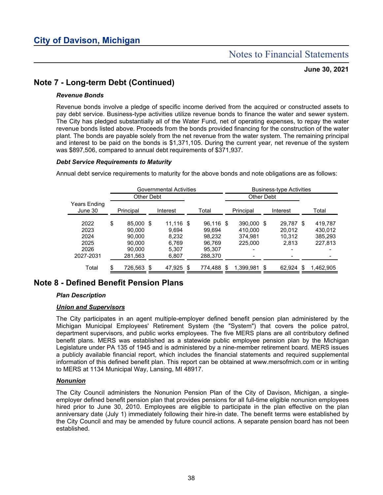### **June 30, 2021**

### **Note 7 - Long-term Debt (Continued)**

### *Revenue Bonds*

Revenue bonds involve a pledge of specific income derived from the acquired or constructed assets to pay debt service. Business-type activities utilize revenue bonds to finance the water and sewer system. The City has pledged substantially all of the Water Fund, net of operating expenses, to repay the water revenue bonds listed above. Proceeds from the bonds provided financing for the construction of the water plant. The bonds are payable solely from the net revenue from the water system. The remaining principal and interest to be paid on the bonds is \$1,371,105. During the current year, net revenue of the system was \$897,506, compared to annual debt requirements of \$371,937.

### *Debt Service Requirements to Maturity*

| Governmental Activities |    |                            |    |                         |                            | <b>Business-type Activities</b> |                         |      |                     |    |                         |
|-------------------------|----|----------------------------|----|-------------------------|----------------------------|---------------------------------|-------------------------|------|---------------------|----|-------------------------|
|                         |    | Other Debt                 |    |                         |                            |                                 | Other Debt              |      |                     |    |                         |
| Years Ending<br>June 30 |    | Principal                  |    | Interest                | Total                      |                                 | Principal               |      | Interest            |    | Total                   |
| 2022<br>2023            | \$ | 85,000 \$<br>90.000        |    | $11.116$ \$<br>9.694    | 96.116 \$<br>99.694        |                                 | 390,000 \$<br>410,000   |      | 29.787 \$<br>20.012 |    | 419.787<br>430.012      |
| 2024<br>2025<br>2026    |    | 90.000<br>90.000<br>90.000 |    | 8,232<br>6.769<br>5.307 | 98.232<br>96,769<br>95.307 |                                 | 374.981<br>225.000<br>- |      | 10.312<br>2.813     |    | 385.293<br>227,813<br>۰ |
| 2027-2031               |    | 281,563                    |    | 6,807                   | 288,370                    |                                 |                         |      |                     |    |                         |
| Total                   | \$ | 726,563                    | \$ | 47,925 \$               | 774,488                    | S                               | 1,399,981               | - \$ | 62.924              | \$ | 1,462,905               |

Annual debt service requirements to maturity for the above bonds and note obligations are as follows:

### **Note 8 - Defined Benefit Pension Plans**

### *Plan Description*

### *Union and Supervisors*

The City participates in an agent multiple-employer defined benefit pension plan administered by the Michigan Municipal Employees' Retirement System (the "System") that covers the police patrol, department supervisors, and public works employees. The five MERS plans are all contributory defined benefit plans. MERS was established as a statewide public employee pension plan by the Michigan Legislature under PA 135 of 1945 and is administered by a nine-member retirement board. MERS issues a publicly available financial report, which includes the financial statements and required supplemental information of this defined benefit plan. This report can be obtained at www.mersofmich.com or in writing to MERS at 1134 Municipal Way, Lansing, MI 48917.

### *Nonunion*

The City Council administers the Nonunion Pension Plan of the City of Davison, Michigan, a singleemployer defined benefit pension plan that provides pensions for all full-time eligible nonunion employees hired prior to June 30, 2010. Employees are eligible to participate in the plan effective on the plan anniversary date (July 1) immediately following their hire-in date. The benefit terms were established by the City Council and may be amended by future council actions. A separate pension board has not been established.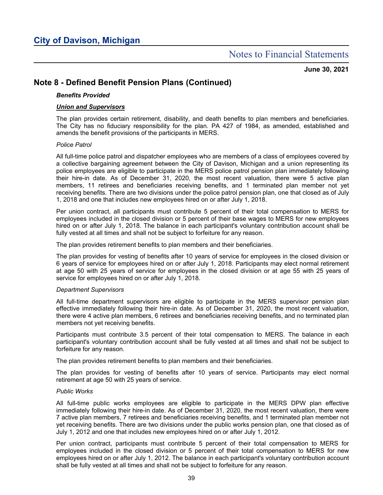**June 30, 2021**

### **Note 8 - Defined Benefit Pension Plans (Continued)**

#### *Benefits Provided*

#### *Union and Supervisors*

The plan provides certain retirement, disability, and death benefits to plan members and beneficiaries. The City has no fiduciary responsibility for the plan. PA 427 of 1984, as amended, established and amends the benefit provisions of the participants in MERS.

#### *Police Patrol*

All full-time police patrol and dispatcher employees who are members of a class of employees covered by a collective bargaining agreement between the City of Davison, Michigan and a union representing its police employees are eligible to participate in the MERS police patrol pension plan immediately following their hire-in date. As of December 31, 2020, the most recent valuation, there were 5 active plan members, 11 retirees and beneficiaries receiving benefits, and 1 terminated plan member not yet receiving benefits. There are two divisions under the police patrol pension plan, one that closed as of July 1, 2018 and one that includes new employees hired on or after July 1, 2018.

Per union contract, all participants must contribute 5 percent of their total compensation to MERS for employees included in the closed division or 5 percent of their base wages to MERS for new employees hired on or after July 1, 2018. The balance in each participant's voluntary contribution account shall be fully vested at all times and shall not be subject to forfeiture for any reason.

The plan provides retirement benefits to plan members and their beneficiaries.

The plan provides for vesting of benefits after 10 years of service for employees in the closed division or 6 years of service for employees hired on or after July 1, 2018. Participants may elect normal retirement at age 50 with 25 years of service for employees in the closed division or at age 55 with 25 years of service for employees hired on or after July 1, 2018.

#### *Department Supervisors*

All full-time department supervisors are eligible to participate in the MERS supervisor pension plan effective immediately following their hire-in date. As of December 31, 2020, the most recent valuation, there were 4 active plan members, 6 retirees and beneficiaries receiving benefits, and no terminated plan members not yet receiving benefits.

Participants must contribute 3.5 percent of their total compensation to MERS. The balance in each participant's voluntary contribution account shall be fully vested at all times and shall not be subject to forfeiture for any reason.

The plan provides retirement benefits to plan members and their beneficiaries.

The plan provides for vesting of benefits after 10 years of service. Participants may elect normal retirement at age 50 with 25 years of service.

#### *Public Works*

All full-time public works employees are eligible to participate in the MERS DPW plan effective immediately following their hire-in date. As of December 31, 2020, the most recent valuation, there were 7 active plan members, 7 retirees and beneficiaries receiving benefits, and 1 terminated plan member not yet receiving benefits. There are two divisions under the public works pension plan, one that closed as of July 1, 2012 and one that includes new employees hired on or after July 1, 2012.

Per union contract, participants must contribute 5 percent of their total compensation to MERS for employees included in the closed division or 5 percent of their total compensation to MERS for new employees hired on or after July 1, 2012. The balance in each participant's voluntary contribution account shall be fully vested at all times and shall not be subject to forfeiture for any reason.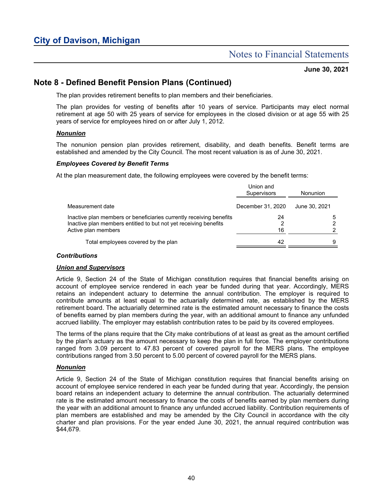### **June 30, 2021**

### **Note 8 - Defined Benefit Pension Plans (Continued)**

The plan provides retirement benefits to plan members and their beneficiaries.

The plan provides for vesting of benefits after 10 years of service. Participants may elect normal retirement at age 50 with 25 years of service for employees in the closed division or at age 55 with 25 years of service for employees hired on or after July 1, 2012.

#### *Nonunion*

The nonunion pension plan provides retirement, disability, and death benefits. Benefit terms are established and amended by the City Council. The most recent valuation is as of June 30, 2021.

#### *Employees Covered by Benefit Terms*

At the plan measurement date, the following employees were covered by the benefit terms:

|                                                                                                                                                                | Union and<br><b>Supervisors</b> | <b>Nonunion</b> |
|----------------------------------------------------------------------------------------------------------------------------------------------------------------|---------------------------------|-----------------|
| Measurement date                                                                                                                                               | December 31, 2020               | June 30, 2021   |
| Inactive plan members or beneficiaries currently receiving benefits<br>Inactive plan members entitled to but not yet receiving benefits<br>Active plan members | 24<br>16                        | 5               |
| Total employees covered by the plan                                                                                                                            | 42                              |                 |

### *Contributions*

#### *Union and Supervisors*

Article 9, Section 24 of the State of Michigan constitution requires that financial benefits arising on account of employee service rendered in each year be funded during that year. Accordingly, MERS retains an independent actuary to determine the annual contribution. The employer is required to contribute amounts at least equal to the actuarially determined rate, as established by the MERS retirement board. The actuarially determined rate is the estimated amount necessary to finance the costs of benefits earned by plan members during the year, with an additional amount to finance any unfunded accrued liability. The employer may establish contribution rates to be paid by its covered employees.

The terms of the plans require that the City make contributions of at least as great as the amount certified by the plan's actuary as the amount necessary to keep the plan in full force. The employer contributions ranged from 3.09 percent to 47.83 percent of covered payroll for the MERS plans. The employee contributions ranged from 3.50 percent to 5.00 percent of covered payroll for the MERS plans.

### *Nonunion*

Article 9, Section 24 of the State of Michigan constitution requires that financial benefits arising on account of employee service rendered in each year be funded during that year. Accordingly, the pension board retains an independent actuary to determine the annual contribution. The actuarially determined rate is the estimated amount necessary to finance the costs of benefits earned by plan members during the year with an additional amount to finance any unfunded accrued liability. Contribution requirements of plan members are established and may be amended by the City Council in accordance with the city charter and plan provisions. For the year ended June 30, 2021, the annual required contribution was \$44,679.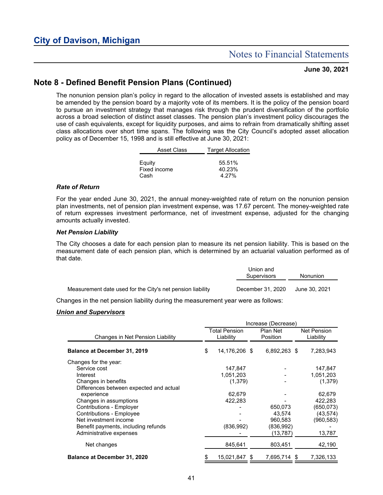### **June 30, 2021**

### **Note 8 - Defined Benefit Pension Plans (Continued)**

The nonunion pension plan's policy in regard to the allocation of invested assets is established and may be amended by the pension board by a majority vote of its members. It is the policy of the pension board to pursue an investment strategy that manages risk through the prudent diversification of the portfolio across a broad selection of distinct asset classes. The pension plan's investment policy discourages the use of cash equivalents, except for liquidity purposes, and aims to refrain from dramatically shifting asset class allocations over short time spans. The following was the City Council's adopted asset allocation policy as of December 15, 1998 and is still effective at June 30, 2021:

| Asset Class  | <b>Target Allocation</b> |
|--------------|--------------------------|
|              |                          |
| Equity       | 55.51%                   |
| Fixed income | 40.23%                   |
| Cash         | 4.27%                    |

#### *Rate of Return*

For the year ended June 30, 2021, the annual money-weighted rate of return on the nonunion pension plan investments, net of pension plan investment expense, was 17.67 percent. The money-weighted rate of return expresses investment performance, net of investment expense, adjusted for the changing amounts actually invested.

#### *Net Pension Liability*

The City chooses a date for each pension plan to measure its net pension liability. This is based on the measurement date of each pension plan, which is determined by an actuarial valuation performed as of that date.

|                                                            | Union and<br>Supervisors | <b>Nonunion</b> |
|------------------------------------------------------------|--------------------------|-----------------|
| Measurement date used for the City's net pension liability | December 31, 2020        | June 30. 2021   |

Changes in the net pension liability during the measurement year were as follows:

### *Union and Supervisors*

|                                         | Increase (Decrease) |                                   |    |                      |  |                                 |  |
|-----------------------------------------|---------------------|-----------------------------------|----|----------------------|--|---------------------------------|--|
| Changes in Net Pension Liability        |                     | <b>Total Pension</b><br>Liability |    | Plan Net<br>Position |  | <b>Net Pension</b><br>Liability |  |
|                                         |                     |                                   |    |                      |  |                                 |  |
| <b>Balance at December 31, 2019</b>     | \$                  | 14,176,206 \$                     |    | 6,892,263 \$         |  | 7,283,943                       |  |
| Changes for the year:                   |                     |                                   |    |                      |  |                                 |  |
| Service cost                            |                     | 147,847                           |    |                      |  | 147,847                         |  |
| Interest                                |                     | 1,051,203                         |    |                      |  | 1,051,203                       |  |
| Changes in benefits                     |                     | (1,379)                           |    |                      |  | (1, 379)                        |  |
| Differences between expected and actual |                     |                                   |    |                      |  |                                 |  |
| experience                              |                     | 62,679                            |    |                      |  | 62,679                          |  |
| Changes in assumptions                  |                     | 422,283                           |    |                      |  | 422,283                         |  |
| <b>Contributions - Employer</b>         |                     |                                   |    | 650,073              |  | (650, 073)                      |  |
| Contributions - Employee                |                     |                                   |    | 43,574               |  | (43, 574)                       |  |
| Net investment income                   |                     |                                   |    | 960,583              |  | (960, 583)                      |  |
| Benefit payments, including refunds     |                     | (836,992)                         |    | (836,992)            |  |                                 |  |
| Administrative expenses                 |                     |                                   |    | (13,787)             |  | 13,787                          |  |
| Net changes                             |                     | 845,641                           |    | 803,451              |  | 42,190                          |  |
| <b>Balance at December 31, 2020</b>     |                     | 15,021,847                        | -S | 7,695,714 \$         |  | 7,326,133                       |  |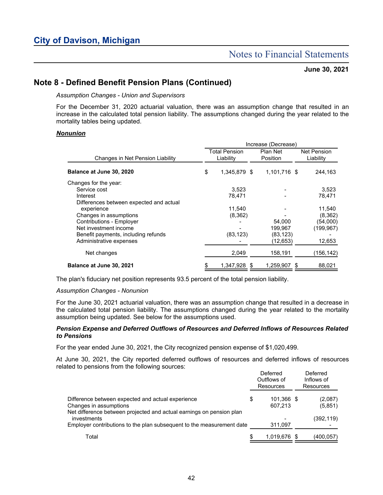**June 30, 2021**

### **Note 8 - Defined Benefit Pension Plans (Continued)**

#### *Assumption Changes - Union and Supervisors*

For the December 31, 2020 actuarial valuation, there was an assumption change that resulted in an increase in the calculated total pension liability. The assumptions changed during the year related to the mortality tables being updated.

### *Nonunion*

|                                         | Increase (Decrease) |                                   |                      |   |                          |  |  |
|-----------------------------------------|---------------------|-----------------------------------|----------------------|---|--------------------------|--|--|
| Changes in Net Pension Liability        |                     | <b>Total Pension</b><br>Liability | Plan Net<br>Position |   | Net Pension<br>Liability |  |  |
| Balance at June 30, 2020                | \$                  | 1.345.879 \$                      | 1,101,716 \$         |   | 244,163                  |  |  |
| Changes for the year:                   |                     |                                   |                      |   |                          |  |  |
| Service cost                            |                     | 3,523                             |                      |   | 3,523                    |  |  |
| Interest                                |                     | 78,471                            |                      |   | 78,471                   |  |  |
| Differences between expected and actual |                     |                                   |                      |   |                          |  |  |
| experience                              |                     | 11,540                            |                      |   | 11,540                   |  |  |
| Changes in assumptions                  |                     | (8,362)                           |                      |   | (8, 362)                 |  |  |
| <b>Contributions - Employer</b>         |                     |                                   | 54.000               |   | (54,000)                 |  |  |
| Net investment income                   |                     |                                   | 199,967              |   | (199,967)                |  |  |
| Benefit payments, including refunds     |                     | (83, 123)                         | (83,123)             |   |                          |  |  |
| Administrative expenses                 |                     |                                   | (12,653)             |   | 12,653                   |  |  |
| Net changes                             |                     | 2,049                             | 158,191              |   | (156,142)                |  |  |
| Balance at June 30, 2021                |                     | 1,347,928                         | 1,259,907            | S | 88,021                   |  |  |

The plan's fiduciary net position represents 93.5 percent of the total pension liability.

### *Assumption Changes - Nonunion*

For the June 30, 2021 actuarial valuation, there was an assumption change that resulted in a decrease in the calculated total pension liability. The assumptions changed during the year related to the mortality assumption being updated. See below for the assumptions used.

#### *Pension Expense and Deferred Outflows of Resources and Deferred Inflows of Resources Related to Pensions*

For the year ended June 30, 2021, the City recognized pension expense of \$1,020,499.

At June 30, 2021, the City reported deferred outflows of resources and deferred inflows of resources related to pensions from the following sources:

|                                                                       | Deferred<br>Outflows of<br>Resources | Deferred<br>Inflows of<br><b>Resources</b> |
|-----------------------------------------------------------------------|--------------------------------------|--------------------------------------------|
| Difference between expected and actual experience                     | \$<br>101,366 \$                     | (2,087)                                    |
| Changes in assumptions                                                | 607,213                              | (5,851)                                    |
| Net difference between projected and actual earnings on pension plan  |                                      |                                            |
| investments                                                           |                                      | (392, 119)                                 |
| Employer contributions to the plan subsequent to the measurement date | 311,097                              |                                            |
| Total                                                                 | \$<br>1,019,676 \$                   | (400,057)                                  |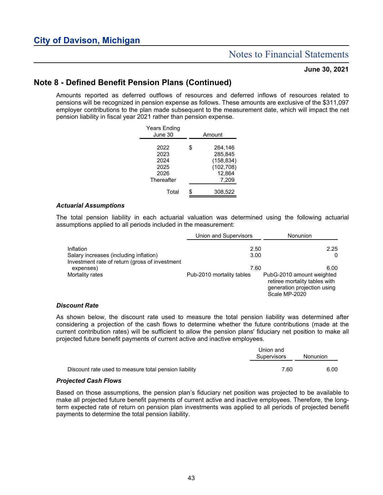### **June 30, 2021**

### **Note 8 - Defined Benefit Pension Plans (Continued)**

Amounts reported as deferred outflows of resources and deferred inflows of resources related to pensions will be recognized in pension expense as follows. These amounts are exclusive of the \$311,097 employer contributions to the plan made subsequent to the measurement date, which will impact the net pension liability in fiscal year 2021 rather than pension expense.

| Years Ending<br>June 30                            | Amount                                                                  |
|----------------------------------------------------|-------------------------------------------------------------------------|
| 2022<br>2023<br>2024<br>2025<br>2026<br>Thereafter | \$<br>264.146<br>285.845<br>(158, 834)<br>(102, 708)<br>12.864<br>7,209 |
| Total                                              | 308,522                                                                 |

### *Actuarial Assumptions*

The total pension liability in each actuarial valuation was determined using the following actuarial assumptions applied to all periods included in the measurement:

|                                                                                          | Union and Supervisors     | Nonunion                                                                                                   |
|------------------------------------------------------------------------------------------|---------------------------|------------------------------------------------------------------------------------------------------------|
| Inflation                                                                                | 2.50                      | 2.25                                                                                                       |
| Salary increases (including inflation)<br>Investment rate of return (gross of investment | 3.00                      |                                                                                                            |
| expenses)                                                                                | 7.60                      | 6.00                                                                                                       |
| Mortality rates                                                                          | Pub-2010 mortality tables | PubG-2010 amount weighted<br>retiree mortality tables with<br>generation projection using<br>Scale MP-2020 |

### *Discount Rate*

As shown below, the discount rate used to measure the total pension liability was determined after considering a projection of the cash flows to determine whether the future contributions (made at the current contribution rates) will be sufficient to allow the pension plans' fiduciary net position to make all projected future benefit payments of current active and inactive employees.

|                                                       | Union and<br>Supervisors | <b>Nonunion</b> |
|-------------------------------------------------------|--------------------------|-----------------|
| Discount rate used to measure total pension liability | 7.60                     | 6.00            |

### *Projected Cash Flows*

Based on those assumptions, the pension plan's fiduciary net position was projected to be available to make all projected future benefit payments of current active and inactive employees. Therefore, the longterm expected rate of return on pension plan investments was applied to all periods of projected benefit payments to determine the total pension liability.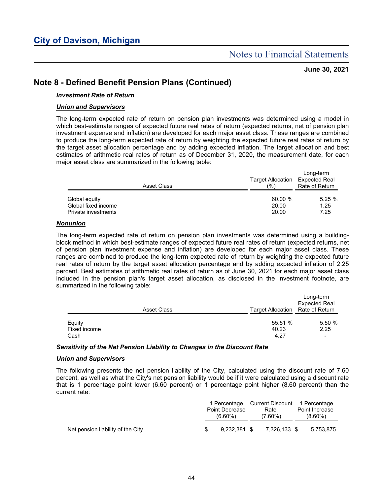### **June 30, 2021**

### **Note 8 - Defined Benefit Pension Plans (Continued)**

### *Investment Rate of Return*

### *Union and Supervisors*

The long-term expected rate of return on pension plan investments was determined using a model in which best-estimate ranges of expected future real rates of return (expected returns, net of pension plan investment expense and inflation) are developed for each major asset class. These ranges are combined to produce the long-term expected rate of return by weighting the expected future real rates of return by the target asset allocation percentage and by adding expected inflation. The target allocation and best estimates of arithmetic real rates of return as of December 31, 2020, the measurement date, for each major asset class are summarized in the following table:

| Asset Class         | Target Allocation<br>(%) | Long-term<br><b>Expected Real</b><br>Rate of Return |
|---------------------|--------------------------|-----------------------------------------------------|
| Global equity       | 60.00 %                  | 5.25%                                               |
| Global fixed income | 20.00                    | 1.25                                                |
| Private investments | 20.00                    | 7.25                                                |

### *Nonunion*

The long-term expected rate of return on pension plan investments was determined using a buildingblock method in which best-estimate ranges of expected future real rates of return (expected returns, net of pension plan investment expense and inflation) are developed for each major asset class. These ranges are combined to produce the long-term expected rate of return by weighting the expected future real rates of return by the target asset allocation percentage and by adding expected inflation of 2.25 percent. Best estimates of arithmetic real rates of return as of June 30, 2021 for each major asset class included in the pension plan's target asset allocation, as disclosed in the investment footnote, are summarized in the following table:

|                        | <b>Asset Class</b> | Target Allocation Rate of Return | Long-term<br><b>Expected Real</b> |
|------------------------|--------------------|----------------------------------|-----------------------------------|
| Equity<br>Fixed income |                    | 55.51 %<br>40.23                 | 5.50%<br>2.25                     |
| Cash                   |                    | 4.27                             |                                   |

### *Sensitivity of the Net Pension Liability to Changes in the Discount Rate*

### *Union and Supervisors*

The following presents the net pension liability of the City, calculated using the discount rate of 7.60 percent, as well as what the City's net pension liability would be if it were calculated using a discount rate that is 1 percentage point lower (6.60 percent) or 1 percentage point higher (8.60 percent) than the current rate:

|                                   | 1 Percentage          |                |            |              | Current Discount 1 Percentage |
|-----------------------------------|-----------------------|----------------|------------|--------------|-------------------------------|
|                                   | <b>Point Decrease</b> |                |            | Rate         | Point Increase                |
|                                   | $(6.60\%)$            |                | $(7.60\%)$ |              | $(8.60\%)$                    |
|                                   |                       |                |            |              |                               |
| Net pension liability of the City |                       | $9.232.381$ \$ |            | 7.326.133 \$ | 5.753.875                     |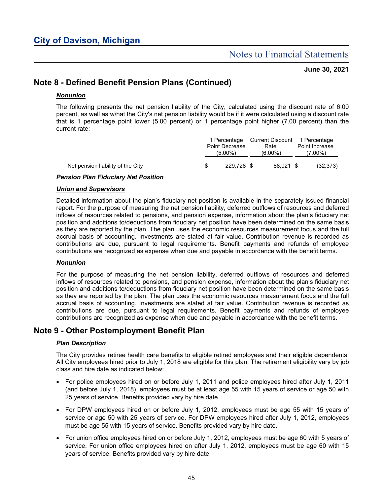### **June 30, 2021**

### **Note 8 - Defined Benefit Pension Plans (Continued)**

### *Nonunion*

The following presents the net pension liability of the City, calculated using the discount rate of 6.00 percent, as well as w\hat the City's net pension liability would be if it were calculated using a discount rate that is 1 percentage point lower (5.00 percent) or 1 percentage point higher (7.00 percent) than the current rate:

|                                   | 1 Percentage<br><b>Point Decrease</b><br>$(5.00\%)$ | Rate<br>$(6.00\%)$ | Current Discount 1 Percentage<br>Point Increase<br>$(7.00\%)$ |
|-----------------------------------|-----------------------------------------------------|--------------------|---------------------------------------------------------------|
| Net pension liability of the City | 229.728 \$                                          | 88.021 \$          | (32, 373)                                                     |

### *Pension Plan Fiduciary Net Position*

### *Union and Supervisors*

Detailed information about the plan's fiduciary net position is available in the separately issued financial report. For the purpose of measuring the net pension liability, deferred outflows of resources and deferred inflows of resources related to pensions, and pension expense, information about the plan's fiduciary net position and additions to/deductions from fiduciary net position have been determined on the same basis as they are reported by the plan. The plan uses the economic resources measurement focus and the full accrual basis of accounting. Investments are stated at fair value. Contribution revenue is recorded as contributions are due, pursuant to legal requirements. Benefit payments and refunds of employee contributions are recognized as expense when due and payable in accordance with the benefit terms.

### *Nonunion*

For the purpose of measuring the net pension liability, deferred outflows of resources and deferred inflows of resources related to pensions, and pension expense, information about the plan's fiduciary net position and additions to/deductions from fiduciary net position have been determined on the same basis as they are reported by the plan. The plan uses the economic resources measurement focus and the full accrual basis of accounting. Investments are stated at fair value. Contribution revenue is recorded as contributions are due, pursuant to legal requirements. Benefit payments and refunds of employee contributions are recognized as expense when due and payable in accordance with the benefit terms.

### **Note 9 - Other Postemployment Benefit Plan**

### *Plan Description*

The City provides retiree health care benefits to eligible retired employees and their eligible dependents. All City employees hired prior to July 1, 2018 are eligible for this plan. The retirement eligibility vary by job class and hire date as indicated below:

- For police employees hired on or before July 1, 2011 and police employees hired after July 1, 2011 (and before July 1, 2018), employees must be at least age 55 with 15 years of service or age 50 with 25 years of service. Benefits provided vary by hire date.
- For DPW employees hired on or before July 1, 2012, employees must be age 55 with 15 years of service or age 50 with 25 years of service. For DPW employees hired after July 1, 2012, employees must be age 55 with 15 years of service. Benefits provided vary by hire date.
- For union office employees hired on or before July 1, 2012, employees must be age 60 with 5 years of service. For union office employees hired on after July 1, 2012, employees must be age 60 with 15 years of service. Benefits provided vary by hire date.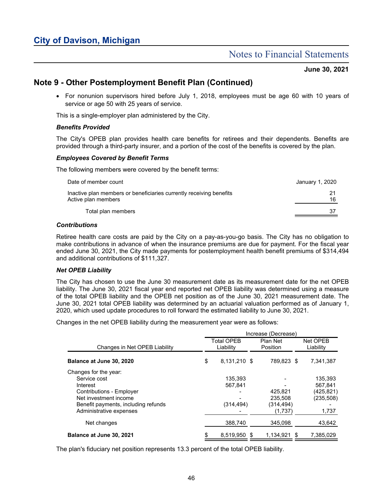### **June 30, 2021**

### **Note 9 - Other Postemployment Benefit Plan (Continued)**

 For nonunion supervisors hired before July 1, 2018, employees must be age 60 with 10 years of service or age 50 with 25 years of service.

This is a single-employer plan administered by the City.

### *Benefits Provided*

The City's OPEB plan provides health care benefits for retirees and their dependents. Benefits are provided through a third-party insurer, and a portion of the cost of the benefits is covered by the plan.

### *Employees Covered by Benefit Terms*

The following members were covered by the benefit terms:

| Date of member count                                                                       | January 1, 2020 |
|--------------------------------------------------------------------------------------------|-----------------|
| Inactive plan members or beneficiaries currently receiving benefits<br>Active plan members | 16              |
| Total plan members                                                                         |                 |

### *Contributions*

Retiree health care costs are paid by the City on a pay-as-you-go basis. The City has no obligation to make contributions in advance of when the insurance premiums are due for payment. For the fiscal year ended June 30, 2021, the City made payments for postemployment health benefit premiums of \$314,494 and additional contributions of \$111,327.

### *Net OPEB Liability*

The City has chosen to use the June 30 measurement date as its measurement date for the net OPEB liability. The June 30, 2021 fiscal year end reported net OPEB liability was determined using a measure of the total OPEB liability and the OPEB net position as of the June 30, 2021 measurement date. The June 30, 2021 total OPEB liability was determined by an actuarial valuation performed as of January 1, 2020, which used update procedures to roll forward the estimated liability to June 30, 2021.

Changes in the net OPEB liability during the measurement year were as follows:

|                                     | Increase (Decrease) |                                |  |                      |    |                       |  |
|-------------------------------------|---------------------|--------------------------------|--|----------------------|----|-----------------------|--|
| Changes in Net OPEB Liability       |                     | <b>Total OPEB</b><br>Liability |  | Plan Net<br>Position |    | Net OPEB<br>Liability |  |
| Balance at June 30, 2020            | \$                  | 8,131,210 \$                   |  | 789,823 \$           |    | 7,341,387             |  |
| Changes for the year:               |                     |                                |  |                      |    |                       |  |
| Service cost                        |                     | 135,393                        |  |                      |    | 135,393               |  |
| Interest                            |                     | 567.841                        |  |                      |    | 567.841               |  |
| <b>Contributions - Employer</b>     |                     |                                |  | 425.821              |    | (425,821)             |  |
| Net investment income               |                     |                                |  | 235.508              |    | (235, 508)            |  |
| Benefit payments, including refunds |                     | (314,494)                      |  | (314,494)            |    |                       |  |
| Administrative expenses             |                     |                                |  | (1,737)              |    | 1,737                 |  |
| Net changes                         |                     | 388,740                        |  | 345,098              |    | 43,642                |  |
| Balance at June 30, 2021            |                     | 8,519,950 \$                   |  | 1,134,921            | \$ | 7,385,029             |  |

The plan's fiduciary net position represents 13.3 percent of the total OPEB liability.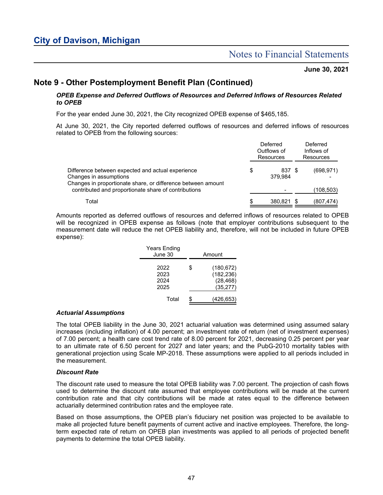**June 30, 2021**

### **Note 9 - Other Postemployment Benefit Plan (Continued)**

### *OPEB Expense and Deferred Outflows of Resources and Deferred Inflows of Resources Related to OPEB*

For the year ended June 30, 2021, the City recognized OPEB expense of \$465,185.

At June 30, 2021, the City reported deferred outflows of resources and deferred inflows of resources related to OPEB from the following sources:

|                                                                                                                      | Deferred<br>Outflows of<br>Resources | Deferred<br>Inflows of<br>Resources |
|----------------------------------------------------------------------------------------------------------------------|--------------------------------------|-------------------------------------|
| Difference between expected and actual experience<br>Changes in assumptions                                          | \$<br>837<br>379.984                 | (698.971)                           |
| Changes in proportionate share, or difference between amount<br>contributed and proportionate share of contributions |                                      | (108, 503)                          |
| Total                                                                                                                | \$<br>380.821                        | (807, 474)                          |

Amounts reported as deferred outflows of resources and deferred inflows of resources related to OPEB will be recognized in OPEB expense as follows (note that employer contributions subsequent to the measurement date will reduce the net OPEB liability and, therefore, will not be included in future OPEB expense):

| <b>Years Ending</b><br>June 30 | Amount                                                   |
|--------------------------------|----------------------------------------------------------|
| 2022<br>2023<br>2024<br>2025   | \$<br>(180, 672)<br>(182, 236)<br>(28, 468)<br>(35, 277) |
| Total                          | (426, 653)                                               |

### *Actuarial Assumptions*

The total OPEB liability in the June 30, 2021 actuarial valuation was determined using assumed salary increases (including inflation) of 4.00 percent; an investment rate of return (net of investment expenses) of 7.00 percent; a health care cost trend rate of 8.00 percent for 2021, decreasing 0.25 percent per year to an ultimate rate of 6.50 percent for 2027 and later years; and the PubG-2010 mortality tables with generational projection using Scale MP-2018. These assumptions were applied to all periods included in the measurement.

### *Discount Rate*

The discount rate used to measure the total OPEB liability was 7.00 percent. The projection of cash flows used to determine the discount rate assumed that employee contributions will be made at the current contribution rate and that city contributions will be made at rates equal to the difference between actuarially determined contribution rates and the employee rate.

Based on those assumptions, the OPEB plan's fiduciary net position was projected to be available to make all projected future benefit payments of current active and inactive employees. Therefore, the longterm expected rate of return on OPEB plan investments was applied to all periods of projected benefit payments to determine the total OPEB liability.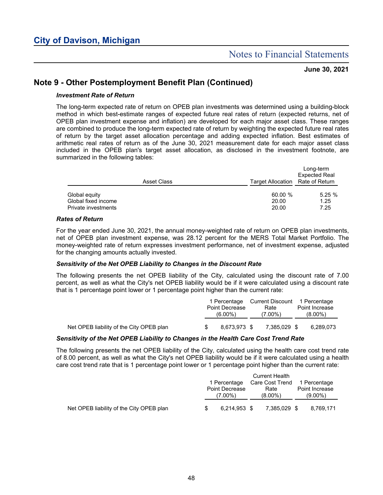### **June 30, 2021**

### **Note 9 - Other Postemployment Benefit Plan (Continued)**

### *Investment Rate of Return*

The long-term expected rate of return on OPEB plan investments was determined using a building-block method in which best-estimate ranges of expected future real rates of return (expected returns, net of OPEB plan investment expense and inflation) are developed for each major asset class. These ranges are combined to produce the long-term expected rate of return by weighting the expected future real rates of return by the target asset allocation percentage and adding expected inflation. Best estimates of arithmetic real rates of return as of the June 30, 2021 measurement date for each major asset class included in the OPEB plan's target asset allocation, as disclosed in the investment footnote, are summarized in the following tables:

|                                                             | Asset Class |                           | Long-term<br><b>Expected Real</b><br>Target Allocation Rate of Return |
|-------------------------------------------------------------|-------------|---------------------------|-----------------------------------------------------------------------|
| Global equity<br>Global fixed income<br>Private investments |             | 60.00 %<br>20.00<br>20.00 | 5.25%<br>1.25<br>7.25                                                 |

#### *Rates of Return*

For the year ended June 30, 2021, the annual money-weighted rate of return on OPEB plan investments, net of OPEB plan investment expense, was 28.12 percent for the MERS Total Market Portfolio. The money-weighted rate of return expresses investment performance, net of investment expense, adjusted for the changing amounts actually invested.

### *Sensitivity of the Net OPEB Liability to Changes in the Discount Rate*

The following presents the net OPEB liability of the City, calculated using the discount rate of 7.00 percent, as well as what the City's net OPEB liability would be if it were calculated using a discount rate that is 1 percentage point lower or 1 percentage point higher than the current rate:

|                                          | 1 Percentage Current Discount 1 Percentage |                    |                              |
|------------------------------------------|--------------------------------------------|--------------------|------------------------------|
|                                          | <b>Point Decrease</b><br>$(6.00\%)$        | Rate<br>$(7.00\%)$ | Point Increase<br>$(8.00\%)$ |
|                                          |                                            |                    |                              |
| Net OPEB liability of the City OPEB plan | 8.673.973 \$                               | 7.385.029 \$       | 6.289.073                    |

### *Sensitivity of the Net OPEB Liability to Changes in the Health Care Cost Trend Rate*

The following presents the net OPEB liability of the City, calculated using the health care cost trend rate of 8.00 percent, as well as what the City's net OPEB liability would be if it were calculated using a health care cost trend rate that is 1 percentage point lower or 1 percentage point higher than the current rate:

|                                          |     |                                                  | <b>Current Health</b><br><b>Care Cost Trend</b> | 1 Percentage                 |
|------------------------------------------|-----|--------------------------------------------------|-------------------------------------------------|------------------------------|
|                                          |     | 1 Percentage<br><b>Point Decrease</b><br>(7.00%) | Rate<br>$(8.00\%)$                              | Point Increase<br>$(9.00\%)$ |
| Net OPEB liability of the City OPEB plan | \$. | 6.214.953 \$                                     | 7.385.029 \$                                    | 8.769.171                    |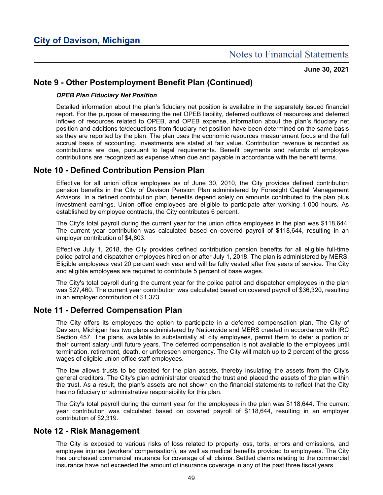**June 30, 2021**

### **Note 9 - Other Postemployment Benefit Plan (Continued)**

### *OPEB Plan Fiduciary Net Position*

Detailed information about the plan's fiduciary net position is available in the separately issued financial report. For the purpose of measuring the net OPEB liability, deferred outflows of resources and deferred inflows of resources related to OPEB, and OPEB expense, information about the plan's fiduciary net position and additions to/deductions from fiduciary net position have been determined on the same basis as they are reported by the plan. The plan uses the economic resources measurement focus and the full accrual basis of accounting. Investments are stated at fair value. Contribution revenue is recorded as contributions are due, pursuant to legal requirements. Benefit payments and refunds of employee contributions are recognized as expense when due and payable in accordance with the benefit terms.

### **Note 10 - Defined Contribution Pension Plan**

Effective for all union office employees as of June 30, 2010, the City provides defined contribution pension benefits in the City of Davison Pension Plan administered by Foresight Capital Management Advisors. In a defined contribution plan, benefits depend solely on amounts contributed to the plan plus investment earnings. Union office employees are eligible to participate after working 1,000 hours. As established by employee contracts, the City contributes 6 percent.

The City's total payroll during the current year for the union office employees in the plan was \$118,644. The current year contribution was calculated based on covered payroll of \$118,644, resulting in an employer contribution of \$4,803.

Effective July 1, 2018, the City provides defined contribution pension benefits for all eligible full-time police patrol and dispatcher employees hired on or after July 1, 2018. The plan is administered by MERS. Eligible employees vest 20 percent each year and will be fully vested after five years of service. The City and eligible employees are required to contribute 5 percent of base wages.

The City's total payroll during the current year for the police patrol and dispatcher employees in the plan was \$27,460. The current year contribution was calculated based on covered payroll of \$36,320, resulting in an employer contribution of \$1,373.

### **Note 11 - Deferred Compensation Plan**

The City offers its employees the option to participate in a deferred compensation plan. The City of Davison, Michigan has two plans administered by Nationwide and MERS created in accordance with IRC Section 457. The plans, available to substantially all city employees, permit them to defer a portion of their current salary until future years. The deferred compensation is not available to the employees until termination, retirement, death, or unforeseen emergency. The City will match up to 2 percent of the gross wages of eligible union office staff employees.

The law allows trusts to be created for the plan assets, thereby insulating the assets from the City's general creditors. The City's plan administrator created the trust and placed the assets of the plan within the trust. As a result, the plan's assets are not shown on the financial statements to reflect that the City has no fiduciary or administrative responsibility for this plan.

The City's total payroll during the current year for the employees in the plan was \$118,644. The current year contribution was calculated based on covered payroll of \$118,644, resulting in an employer contribution of \$2,319.

### **Note 12 - Risk Management**

The City is exposed to various risks of loss related to property loss, torts, errors and omissions, and employee injuries (workers' compensation), as well as medical benefits provided to employees. The City has purchased commercial insurance for coverage of all claims. Settled claims relating to the commercial insurance have not exceeded the amount of insurance coverage in any of the past three fiscal years.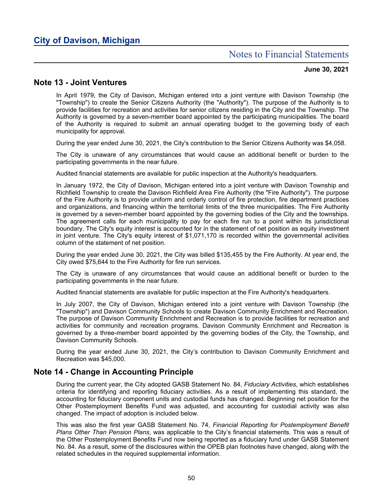### **June 30, 2021**

### **Note 13 - Joint Ventures**

In April 1979, the City of Davison, Michigan entered into a joint venture with Davison Township (the "Township") to create the Senior Citizens Authority (the "Authority"). The purpose of the Authority is to provide facilities for recreation and activities for senior citizens residing in the City and the Township. The Authority is governed by a seven-member board appointed by the participating municipalities. The board of the Authority is required to submit an annual operating budget to the governing body of each municipality for approval.

During the year ended June 30, 2021, the City's contribution to the Senior Citizens Authority was \$4,058.

The City is unaware of any circumstances that would cause an additional benefit or burden to the participating governments in the near future.

Audited financial statements are available for public inspection at the Authority's headquarters.

In January 1972, the City of Davison, Michigan entered into a joint venture with Davison Township and Richfield Township to create the Davison Richfield Area Fire Authority (the "Fire Authority"). The purpose of the Fire Authority is to provide uniform and orderly control of fire protection, fire department practices and organizations, and financing within the territorial limits of the three municipalities. The Fire Authority is governed by a seven-member board appointed by the governing bodies of the City and the townships. The agreement calls for each municipality to pay for each fire run to a point within its jurisdictional boundary. The City's equity interest is accounted for in the statement of net position as equity investment in joint venture. The City's equity interest of \$1,071,170 is recorded within the governmental activities column of the statement of net position.

During the year ended June 30, 2021, the City was billed \$135,455 by the Fire Authority. At year end, the City owed \$75,644 to the Fire Authority for fire run services.

The City is unaware of any circumstances that would cause an additional benefit or burden to the participating governments in the near future.

Audited financial statements are available for public inspection at the Fire Authority's headquarters.

In July 2007, the City of Davison, Michigan entered into a joint venture with Davison Township (the "Township") and Davison Community Schools to create Davison Community Enrichment and Recreation. The purpose of Davison Community Enrichment and Recreation is to provide facilities for recreation and activities for community and recreation programs. Davison Community Enrichment and Recreation is governed by a three-member board appointed by the governing bodies of the City, the Township, and Davison Community Schools.

During the year ended June 30, 2021, the City's contribution to Davison Community Enrichment and Recreation was \$45,000.

### **Note 14 - Change in Accounting Principle**

During the current year, the City adopted GASB Statement No. 84, *Fiduciary Activities*, which establishes criteria for identifying and reporting fiduciary activities. As a result of implementing this standard, the accounting for fiduciary component units and custodial funds has changed. Beginning net position for the Other Postemployment Benefits Fund was adjusted, and accounting for custodial activity was also changed. The impact of adoption is included below.

This was also the first year GASB Statement No. 74, *Financial Reporting for Postemployment Benefit Plans Other Than Pension Plans*, was applicable to the City's financial statements. This was a result of the Other Postemployment Benefits Fund now being reported as a fiduciary fund under GASB Statement No. 84. As a result, some of the disclosures within the OPEB plan footnotes have changed, along with the related schedules in the required supplemental information.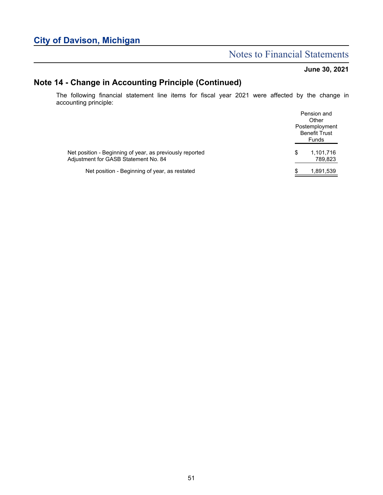# Notes to Financial Statements

### **June 30, 2021**

# **Note 14 - Change in Accounting Principle (Continued)**

The following financial statement line items for fiscal year 2021 were affected by the change in accounting principle:

|                                                                                                  |   | Pension and<br>Other<br>Postemployment<br><b>Benefit Trust</b><br><b>Funds</b> |
|--------------------------------------------------------------------------------------------------|---|--------------------------------------------------------------------------------|
| Net position - Beginning of year, as previously reported<br>Adjustment for GASB Statement No. 84 | S | 1,101,716<br>789,823                                                           |
| Net position - Beginning of year, as restated                                                    |   | 1,891,539                                                                      |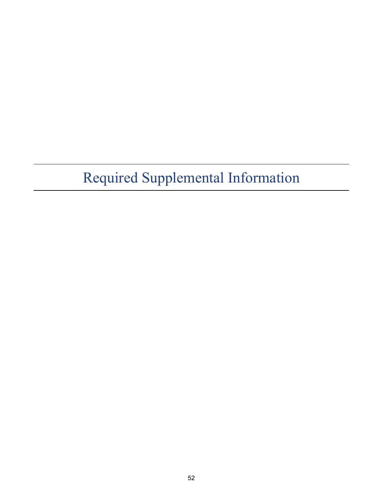# Required Supplemental Information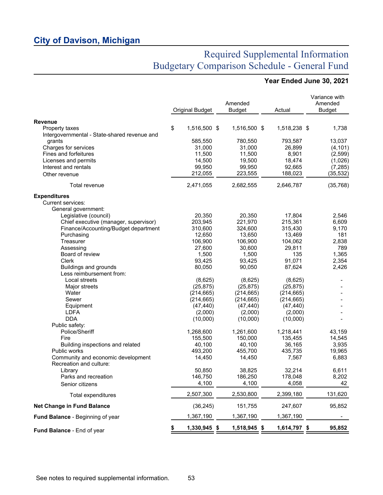# Required Supplemental Information Budgetary Comparison Schedule - General Fund

|                                                               | <b>Original Budget</b> | Amended<br><b>Budget</b> | Actual              | Variance with<br>Amended<br><b>Budget</b> |
|---------------------------------------------------------------|------------------------|--------------------------|---------------------|-------------------------------------------|
| <b>Revenue</b>                                                |                        |                          |                     |                                           |
| Property taxes                                                | \$<br>1,516,500 \$     | 1,516,500 \$             | 1,518,238 \$        | 1,738                                     |
| Intergovernmental - State-shared revenue and                  |                        |                          |                     |                                           |
| grants                                                        | 585,550                | 780,550                  | 793,587             | 13,037                                    |
| Charges for services                                          | 31,000                 | 31,000                   | 26,899              | (4, 101)                                  |
| Fines and forfeitures                                         | 11,500                 | 11,500                   | 8,901               | (2, 599)                                  |
| Licenses and permits                                          | 14,500                 | 19,500                   | 18,474              | (1,026)                                   |
| Interest and rentals                                          | 99,950                 | 99,950                   | 92,665              | (7, 285)                                  |
| Other revenue                                                 | 212,055                | 223,555                  | 188,023             | (35, 532)                                 |
| Total revenue                                                 | 2,471,055              | 2,682,555                | 2,646,787           | (35, 768)                                 |
| <b>Expenditures</b>                                           |                        |                          |                     |                                           |
| Current services:                                             |                        |                          |                     |                                           |
| General government:                                           |                        |                          |                     |                                           |
| Legislative (council)                                         | 20,350                 | 20,350                   | 17,804              | 2,546                                     |
| Chief executive (manager, supervisor)                         | 203,945                | 221,970                  | 215,361             | 6,609                                     |
| Finance/Accounting/Budget department                          | 310,600                | 324,600                  | 315,430             | 9,170                                     |
| Purchasing                                                    | 12.650                 | 13,650                   | 13,469              | 181                                       |
| Treasurer                                                     | 106,900                | 106,900                  | 104,062             | 2,838                                     |
| Assessing                                                     | 27,600                 | 30,600                   | 29,811              | 789                                       |
| Board of review<br><b>Clerk</b>                               | 1,500                  | 1,500                    | 135                 | 1,365<br>2,354                            |
| <b>Buildings and grounds</b>                                  | 93,425<br>80,050       | 93,425<br>90,050         | 91,071<br>87,624    | 2,426                                     |
| Less reimbursement from:                                      |                        |                          |                     |                                           |
| Local streets                                                 | (8,625)                | (8,625)                  | (8,625)             |                                           |
| Major streets                                                 | (25, 875)              | (25, 875)                | (25, 875)           |                                           |
| Water                                                         | (214, 665)             | (214, 665)               | (214, 665)          |                                           |
| Sewer                                                         | (214, 665)             | (214, 665)               | (214, 665)          |                                           |
| Equipment                                                     | (47, 440)              | (47, 440)                | (47, 440)           |                                           |
| <b>LDFA</b>                                                   | (2,000)                | (2,000)                  | (2,000)             |                                           |
| <b>DDA</b>                                                    | (10,000)               | (10,000)                 | (10,000)            |                                           |
| Public safety:                                                |                        |                          |                     |                                           |
| Police/Sheriff                                                | 1,268,600              | 1,261,600                | 1,218,441           | 43,159                                    |
| Fire                                                          | 155,500                | 150,000                  | 135,455             | 14,545                                    |
| Building inspections and related                              | 40,100                 | 40,100                   | 36,165              | 3,935                                     |
| Public works                                                  | 493,200                | 455,700                  | 435,735             | 19,965                                    |
| Community and economic development<br>Recreation and culture: | 14,450                 | 14,450                   | 7,567               | 6,883                                     |
| Library                                                       | 50,850                 | 38,825                   | 32,214              | 6,611                                     |
| Parks and recreation                                          | 146,750                | 186,250                  | 178,048             | 8,202                                     |
| Senior citizens                                               | 4,100                  | 4,100                    | 4,058               | 42                                        |
| Total expenditures                                            | 2,507,300              | 2,530,800                | 2,399,180           | 131,620                                   |
| <b>Net Change in Fund Balance</b>                             | (36, 245)              | 151,755                  | 247,607             | 95,852                                    |
| Fund Balance - Beginning of year                              | 1,367,190              | 1,367,190                | 1,367,190           |                                           |
| Fund Balance - End of year                                    | 1,330,945 \$           | <u>1,518,945 \$</u>      | <u>1,614,797 \$</u> | 95,852                                    |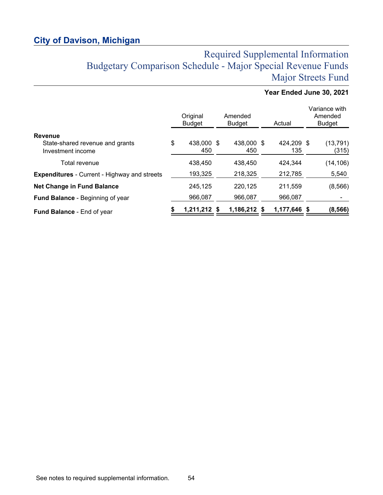# Required Supplemental Information Budgetary Comparison Schedule - Major Special Revenue Funds Major Streets Fund

|                                                                 | Original<br><b>Budget</b> | Amended<br><b>Budget</b> | Actual            | Variance with<br>Amended<br><b>Budget</b> |
|-----------------------------------------------------------------|---------------------------|--------------------------|-------------------|-------------------------------------------|
| Revenue<br>State-shared revenue and grants<br>Investment income | \$<br>438,000 \$<br>450   | 438,000 \$<br>450        | 424,209 \$<br>135 | (13, 791)<br>(315)                        |
| Total revenue                                                   | 438,450                   | 438.450                  | 424.344           | (14, 106)                                 |
| <b>Expenditures</b> - Current - Highway and streets             | 193,325                   | 218,325                  | 212,785           | 5,540                                     |
| <b>Net Change in Fund Balance</b>                               | 245,125                   | 220,125                  | 211,559           | (8, 566)                                  |
| Fund Balance - Beginning of year                                | 966,087                   | 966,087                  | 966,087           |                                           |
| <b>Fund Balance - End of year</b>                               | 1,211,212 \$              | 1,186,212 \$             | 1,177,646 \$      | (8, 566)                                  |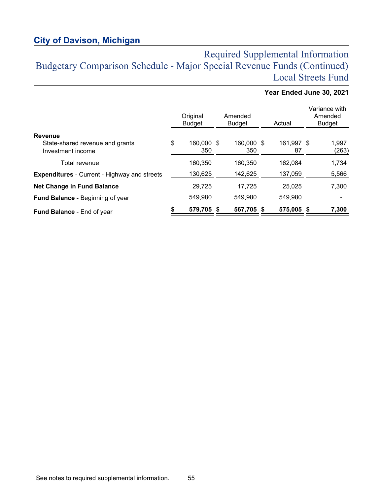# Required Supplemental Information Budgetary Comparison Schedule - Major Special Revenue Funds (Continued) Local Streets Fund

|                                                                        | Original<br><b>Budget</b> | Amended<br>Budget | Actual           | Variance with<br>Amended<br><b>Budget</b> |
|------------------------------------------------------------------------|---------------------------|-------------------|------------------|-------------------------------------------|
| <b>Revenue</b><br>State-shared revenue and grants<br>Investment income | \$<br>160,000 \$<br>350   | 160,000 \$<br>350 | 161,997 \$<br>87 | 1,997<br>(263)                            |
| Total revenue                                                          | 160.350                   | 160,350           | 162,084          | 1,734                                     |
| <b>Expenditures - Current - Highway and streets</b>                    | 130,625                   | 142,625           | 137,059          | 5,566                                     |
| <b>Net Change in Fund Balance</b>                                      | 29,725                    | 17,725            | 25,025           | 7,300                                     |
| Fund Balance - Beginning of year                                       | 549,980                   | 549,980           | 549,980          |                                           |
| <b>Fund Balance - End of year</b>                                      | 579,705 \$                | 567,705 \$        | 575,005 \$       | 7,300                                     |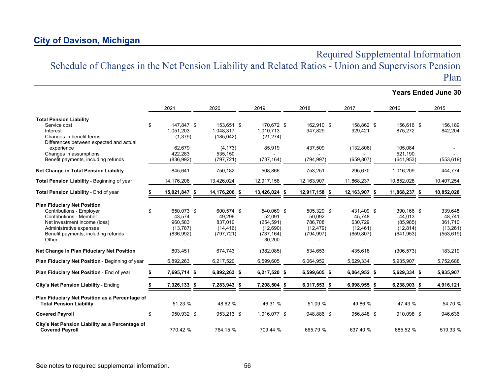# Required Supplemental Information Schedule of Changes in the Net Pension Liability and Related Ratios - Union and Supervisors Pension Plan

|                                                                                                                                                                                                                   | 2021                                                            | 2020                                                         | 2019                                                                   | 2018                                                       | 2017                                                       | 2016                                                        | 2015                                                    |
|-------------------------------------------------------------------------------------------------------------------------------------------------------------------------------------------------------------------|-----------------------------------------------------------------|--------------------------------------------------------------|------------------------------------------------------------------------|------------------------------------------------------------|------------------------------------------------------------|-------------------------------------------------------------|---------------------------------------------------------|
| <b>Total Pension Liability</b><br>Service cost<br>Interest<br>Changes in benefit terms<br>Differences between expected and actual<br>experience<br>Changes in assumptions                                         | \$<br>147.847 \$<br>1.051.203<br>(1, 379)<br>62,679<br>422.283  | 153.651 \$<br>1,048,317<br>(185, 042)<br>(4, 173)<br>535,150 | 170.672 \$<br>1,010,713<br>(21, 274)<br>85,919                         | 162,910 \$<br>947,829<br>437,509                           | 158,862 \$<br>929,421<br>(132, 806)                        | 156,616 \$<br>875,272<br>105,084<br>521,190                 | 156,189<br>842,204                                      |
| Benefit payments, including refunds                                                                                                                                                                               | (836, 992)                                                      | (797, 721)                                                   | (737, 164)                                                             | (794, 997)                                                 | (659, 807)                                                 | (641, 953)                                                  | (553, 619)                                              |
| Net Change in Total Pension Liability                                                                                                                                                                             | 845,641                                                         | 750,182                                                      | 508,866                                                                | 753,251                                                    | 295,670                                                    | 1,016,209                                                   | 444,774                                                 |
| Total Pension Liability - Beginning of year                                                                                                                                                                       | 14,176,206                                                      | 13,426,024                                                   | 12,917,158                                                             | 12,163,907                                                 | 11,868,237                                                 | 10,852,028                                                  | 10,407,254                                              |
| Total Pension Liability - End of year                                                                                                                                                                             | 15,021,847 \$                                                   | 14,176,206 \$                                                | 13,426,024 \$                                                          | 12,917,158 \$                                              | 12,163,907 \$                                              | 11,868,237 \$                                               | 10,852,028                                              |
| <b>Plan Fiduciary Net Position</b><br><b>Contributions - Employer</b><br><b>Contributions - Member</b><br>Net investment income (loss)<br>Administrative expenses<br>Benefit payments, including refunds<br>Other | \$<br>650,073 \$<br>43,574<br>960,583<br>(13, 787)<br>(836,992) | 600,574 \$<br>49,296<br>837,010<br>(14, 416)<br>(797, 721)   | 540,069 \$<br>52,091<br>(254, 591)<br>(12,690)<br>(737, 164)<br>30,200 | 505,329 \$<br>50,092<br>786,708<br>(12, 479)<br>(794, 997) | 431,409 \$<br>45,748<br>630,729<br>(12, 461)<br>(659, 807) | 390,166 \$<br>44,013<br>(85,985)<br>(12, 814)<br>(641, 953) | 339,648<br>48,741<br>361,710<br>(13, 261)<br>(553, 619) |
| Net Change in Plan Fiduciary Net Position                                                                                                                                                                         | 803,451                                                         | 674.743                                                      | (382,085)                                                              | 534,653                                                    | 435.618                                                    | (306, 573)                                                  | 183,219                                                 |
| Plan Fiduciary Net Position - Beginning of year                                                                                                                                                                   | 6,892,263                                                       | 6,217,520                                                    | 6,599,605                                                              | 6,064,952                                                  | 5,629,334                                                  | 5,935,907                                                   | 5,752,688                                               |
| Plan Fiduciary Net Position - End of year                                                                                                                                                                         | 7,695,714 \$                                                    | 6,892,263 \$                                                 | 6,217,520 \$                                                           | 6,599,605 \$                                               | 6,064,952 \$                                               | 5,629,334 \$                                                | 5,935,907                                               |
| City's Net Pension Liability - Ending                                                                                                                                                                             | 7,326,133 \$                                                    | 7,283,943 \$                                                 | 7,208,504 \$                                                           | 6,317,553 \$                                               | 6,098,955 \$                                               | 6,238,903 \$                                                | 4,916,121                                               |
| Plan Fiduciary Net Position as a Percentage of<br><b>Total Pension Liability</b>                                                                                                                                  | 51.23 %                                                         | 48.62 %                                                      | 46.31 %                                                                | 51.09 %                                                    | 49.86 %                                                    | 47.43 %                                                     | 54.70 %                                                 |
| <b>Covered Payroll</b>                                                                                                                                                                                            | \$<br>950,932 \$                                                | 953,213 \$                                                   | 1,016,077 \$                                                           | 948,886 \$                                                 | 956,848 \$                                                 | 910,098 \$                                                  | 946,636                                                 |
| City's Net Pension Liability as a Percentage of<br><b>Covered Payroll</b>                                                                                                                                         | 770.42 %                                                        | 764.15 %                                                     | 709.44 %                                                               | 665.79 %                                                   | 637.40 %                                                   | 685.52 %                                                    | 519.33 %                                                |

### **Years Ended June 30**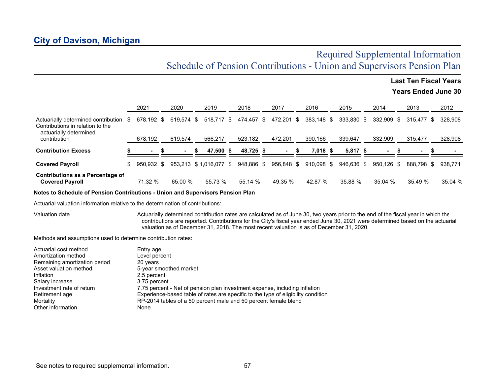# Required Supplemental Information Schedule of Pension Contributions - Union and Supervisors Pension Plan

### **Last Ten Fiscal Years**

### **Years Ended June 30**

|                                                                                                      |     | 2021       | 2020       | 2019                   | 2018       | 2017       | 2016       | 2015       | 2014                     | 2013       |      | 2012    |
|------------------------------------------------------------------------------------------------------|-----|------------|------------|------------------------|------------|------------|------------|------------|--------------------------|------------|------|---------|
| Actuarially determined contribution \$<br>Contributions in relation to the<br>actuarially determined |     | 678.192 \$ | 619.574 \$ | 518,717 \$             | 474,457 \$ | 472,201 \$ | 383,148 \$ | 333,830 \$ | 332,909 \$               | 315.477    | - \$ | 328.908 |
| contribution                                                                                         |     | 678,192    | 619.574    | 566,217                | 523,182    | 472,201    | 390,166    | 339,647    | 332,909                  | 315.477    |      | 328,908 |
| <b>Contribution Excess</b>                                                                           |     |            | $\sim$     | 47.500 \$              | 48.725 \$  |            | $7.018$ \$ | $5.817$ \$ | $\overline{\phantom{a}}$ |            |      |         |
| <b>Covered Payroll</b>                                                                               | \$. | 950.932 \$ |            | 953.213 \$1.016.077 \$ | 948.886 \$ | 956,848 \$ | 910.098 \$ | 946.636 \$ | 950,126 \$               | 888.798 \$ |      | 938.771 |
| <b>Contributions as a Percentage of</b>                                                              |     |            |            |                        |            |            |            |            |                          |            |      |         |

**Notes to Schedule of Pension Contributions - Union and Supervisors Pension Plan**

Actuarial valuation information relative to the determination of contributions:

Valuation date

 Actuarially determined contribution rates are calculated as of June 30, two years prior to the end of the fiscal year in which the contributions are reported. Contributions for the City's fiscal year ended June 30, 2021 were determined based on the actuarial valuation as of December 31, 2018. The most recent valuation is as of December 31, 2020.

Methods and assumptions used to determine contribution rates:

| Actuarial cost method         | Entry age                                                                         |
|-------------------------------|-----------------------------------------------------------------------------------|
| Amortization method           | Level percent                                                                     |
| Remaining amortization period | 20 years                                                                          |
| Asset valuation method        | 5-year smoothed market                                                            |
| Inflation                     | 2.5 percent                                                                       |
| Salary increase               | 3.75 percent                                                                      |
| Investment rate of return     | 7.75 percent - Net of pension plan investment expense, including inflation        |
| Retirement age                | Experience-based table of rates are specific to the type of eligibility condition |
| Mortality                     | RP-2014 tables of a 50 percent male and 50 percent female blend                   |
| Other information             | None                                                                              |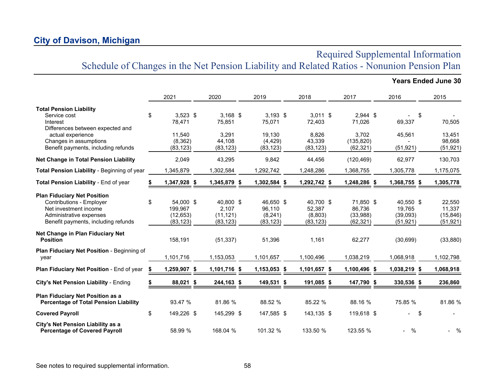### Schedule of Changes in the Net Pension Liability and Related Ratios - Nonunion Pension Plan **Years Ended June 30**2021 2020 2019 2018 2017 2016 2015 **Total Pension Liability** Service cost \$ 3,523 \$ 3,168 \$ 3,193 \$ 3,011 \$ 2,944 \$ - \$ -Interest 78,471 75,851 75,071 72,403 71,026 69,337 70,505 Differences between expected and actual experience 11,540 3,291 19,130 8,826 3,702 45,561 13,451 Changes in assumptions (8,362) 44,108 (4,429) 43,339 (135,820) - 98,668 Benefit payments, including refunds (83,123) (83,123) (83,123) (83,123) (62,321) (51,921) (51,921) **Net Change in Total Pension Liability** 2,049 43,295 9,842 44,456 (120,469) 62,977 130,703 **Total Pension Liability** - Beginning of year 1,345,879 1,302,584 1,292,742 1,248,286 1,368,755 1,305,778 1,175,075 Total Pension Liability - End of year \$ 1,347,928 \$ 1,345,879 \$ 1,302,584 \$ 1,292,742 \$ 1,248,286 \$ 1,368,755 \$ 1,305,778 **Plan Fiduciary Net Position** Contributions - Employer \$ 54,000 \$ 40,800 \$ 46,650 \$ 40,700 \$ 71,850 \$ 40,550 \$ 22,550 Net investment income 199,967 2,107 96,110 52,387 86,736 19,765 11,337 Administrative expenses (12,653) (11,121) (8,241) (8,803) (33,988) (39,093) (15,846) Benefit payments, including refunds (83,123) (83,123) (83,123) (83,123) (62,321) (51,921) (51,921) **Net Change in Plan Fiduciary Net Position** 158,191 (51,337) 51,396 1,161 62,277 (30,699) (33,880) **Plan Fiduciary Net Position** - Beginning of year 1,101,716 1,153,053 1,101,657 1,100,496 1,038,219 1,068,918 1,102,798 Plan Fiduciary Net Position - End of year \$1,259,907 \$1,101,716 \$1,153,053 \$1,101,657 \$1,100,496 \$1,038,219 \$1,068,918 City's Net Pension Liability - Ending \$ 88,021 \$ 244,163 \$ 149,531 \$ 191,085 \$ 147,790 \$ 330,536 \$ 236,860 **Plan Fiduciary Net Position as a Percentage of Total Pension Liability** 93.47 % 81.86 % 88.52 % 85.22 % 88.16 % 75.85 % 81.86 % **Covered Payroll \$ 149,226 \$ 145,299 \$ 147,585 \$ 143,135 \$ 119,618 \$ - \$ -City's Net Pension Liability as a Percentage of Covered Payroll 58.99 %** 168.04 % 101.32 % 133.50 % 123.55 % - % - % 8

Required Supplemental Information

# **City of Davison, Michigan**

See notes to required supplemental information. The notes to required supplemental information.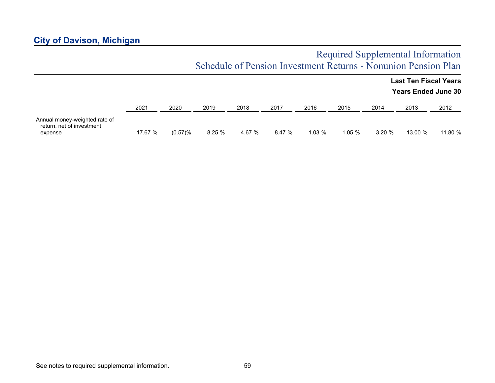# Required Supplemental Information Schedule of Pension Investment Returns - Nonunion Pension Plan

|                                                                       |         |            |       |        |        |       |       |       | <b>Last Ten Fiscal Years</b><br><b>Years Ended June 30</b> |         |
|-----------------------------------------------------------------------|---------|------------|-------|--------|--------|-------|-------|-------|------------------------------------------------------------|---------|
|                                                                       | 2021    | 2020       | 2019  | 2018   | 2017   | 2016  | 2015  | 2014  | 2013                                                       | 2012    |
| Annual money-weighted rate of<br>return, net of investment<br>expense | 17.67 % | $(0.57)$ % | 8.25% | 4.67 % | 8.47 % | 1.03% | 1.05% | 3.20% | 13.00 %                                                    | 11.80 % |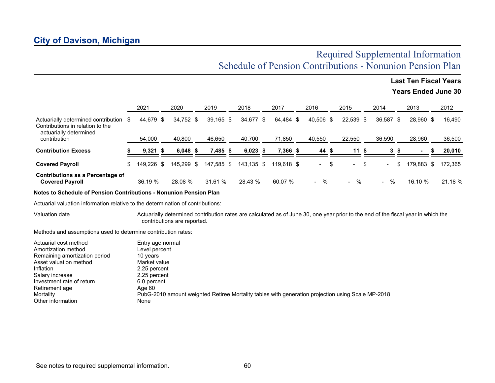# Required Supplemental Information Schedule of Pension Contributions - Nonunion Pension Plan

### **Last Ten Fiscal Years**

### **Years Ended June 30**

|                                                                                                      |   | 2021       | 2020       | 2019        | 2018       | 2017       | 2016        | 2015            |      | 2014                     | 2013      |      | 2012    |
|------------------------------------------------------------------------------------------------------|---|------------|------------|-------------|------------|------------|-------------|-----------------|------|--------------------------|-----------|------|---------|
| Actuarially determined contribution \$<br>Contributions in relation to the<br>actuarially determined |   | 44.679 \$  | 34.752 \$  | $39.165$ \$ | 34,677 \$  | 64,484 \$  | 40,506 \$   | 22,539 \$       |      | 36,587 \$                | 28,960 \$ |      | 16,490  |
| contribution                                                                                         |   | 54,000     | 40.800     | 46.650      | 40,700     | 71.850     | 40,550      | 22,550          |      | 36,590                   | 28,960    |      | 36,500  |
| <b>Contribution Excess</b>                                                                           |   | $9,321$ \$ | $6.048$ \$ | 7.485 \$    | $6,023$ \$ | 7,366 \$   | 44 \$       | 11 <sup>5</sup> |      | 3S                       | ۰         |      | 20,010  |
| <b>Covered Payroll</b>                                                                               | S | 149.226 \$ | 145.299 \$ | 147,585 \$  | 143,135 \$ | 119,618 \$ | - \$        | $\sim$          | - \$ | $\overline{\phantom{a}}$ | 179.883   | - \$ | 172,365 |
| <b>Contributions as a Percentage of</b><br><b>Covered Payroll</b>                                    |   | 36.19 %    | 28.08 %    | 31.61 %     | 28.43 %    | 60.07 %    | %<br>$\sim$ | $-$ %           |      | $-$ %                    | 16.10 %   |      | 21.18 % |

#### **Notes to Schedule of Pension Contributions - Nonunion Pension Plan**

Actuarial valuation information relative to the determination of contributions:

Valuation date

 Actuarially determined contribution rates are calculated as of June 30, one year prior to the end of the fiscal year in which the contributions are reported.

Methods and assumptions used to determine contribution rates:

| Actuarial cost method         | Entry age normal                                                                                  |
|-------------------------------|---------------------------------------------------------------------------------------------------|
| Amortization method           | Level percent                                                                                     |
| Remaining amortization period | 10 years                                                                                          |
| Asset valuation method        | Market value                                                                                      |
| Inflation                     | 2.25 percent                                                                                      |
| Salary increase               | 2.25 percent                                                                                      |
| Investment rate of return     | 6.0 percent                                                                                       |
| Retirement age                | Age 60                                                                                            |
| Mortality                     | PubG-2010 amount weighted Retiree Mortality tables with generation projection using Scale MP-2018 |
| Other information             | None                                                                                              |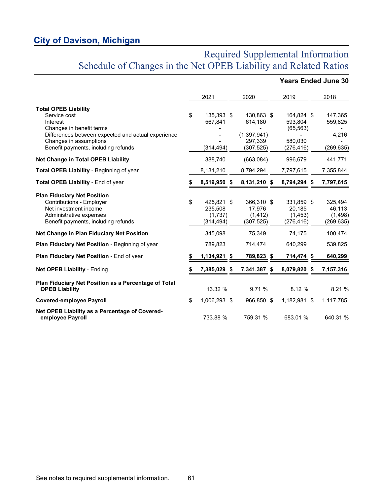# Required Supplemental Information Schedule of Changes in the Net OPEB Liability and Related Ratios

|                                                                                                                                                                                                                   |                                                      |                                                                 |                                                             | <b>Years Ended June 30</b>                 |
|-------------------------------------------------------------------------------------------------------------------------------------------------------------------------------------------------------------------|------------------------------------------------------|-----------------------------------------------------------------|-------------------------------------------------------------|--------------------------------------------|
|                                                                                                                                                                                                                   | 2021                                                 | 2020                                                            | 2019                                                        | 2018                                       |
| <b>Total OPEB Liability</b><br>Service cost<br><b>Interest</b><br>Changes in benefit terms<br>Differences between expected and actual experience<br>Changes in assumptions<br>Benefit payments, including refunds | \$<br>135,393 \$<br>567.841<br>(314, 494)            | 130,863 \$<br>614,180<br>(1, 397, 941)<br>297.339<br>(307, 525) | 164,824 \$<br>593,804<br>(65, 563)<br>580,030<br>(276, 416) | 147,365<br>559,825<br>4,216<br>(269, 635)  |
| <b>Net Change in Total OPEB Liability</b>                                                                                                                                                                         | 388,740                                              | (663,084)                                                       | 996,679                                                     | 441,771                                    |
| Total OPEB Liability - Beginning of year                                                                                                                                                                          | 8,131,210                                            | 8,794,294                                                       | 7,797,615                                                   | 7,355,844                                  |
| Total OPEB Liability - End of year                                                                                                                                                                                | 8,519,950 \$                                         | 8,131,210 \$                                                    | 8,794,294 \$                                                | 7,797,615                                  |
| <b>Plan Fiduciary Net Position</b><br><b>Contributions - Employer</b><br>Net investment income<br>Administrative expenses<br>Benefit payments, including refunds                                                  | \$<br>425.821 \$<br>235,508<br>(1,737)<br>(314, 494) | 366,310 \$<br>17,976<br>(1, 412)<br>(307, 525)                  | 331,859 \$<br>20,185<br>(1, 453)<br>(276, 416)              | 325.494<br>46,113<br>(1,498)<br>(269, 635) |
| Net Change in Plan Fiduciary Net Position                                                                                                                                                                         | 345,098                                              | 75,349                                                          | 74,175                                                      | 100,474                                    |
| <b>Plan Fiduciary Net Position - Beginning of year</b>                                                                                                                                                            | 789,823                                              | 714,474                                                         | 640,299                                                     | 539,825                                    |
| Plan Fiduciary Net Position - End of year                                                                                                                                                                         | 1,134,921 \$                                         | 789,823 \$                                                      | 714,474 \$                                                  | 640,299                                    |
| <b>Net OPEB Liability - Ending</b>                                                                                                                                                                                | 7,385,029 \$                                         | 7,341,387 \$                                                    | 8,079,820 \$                                                | 7,157,316                                  |
| Plan Fiduciary Net Position as a Percentage of Total<br><b>OPEB Liability</b>                                                                                                                                     | 13.32 %                                              | 9.71 %                                                          | 8.12 %                                                      | 8.21 %                                     |
| <b>Covered-employee Payroll</b>                                                                                                                                                                                   | \$<br>1,006,293 \$                                   | 966,850 \$                                                      | 1,182,981 \$                                                | 1,117,785                                  |
| Net OPEB Liability as a Percentage of Covered-<br>employee Payroll                                                                                                                                                | 733.88 %                                             | 759.31 %                                                        | 683.01 %                                                    | 640.31 %                                   |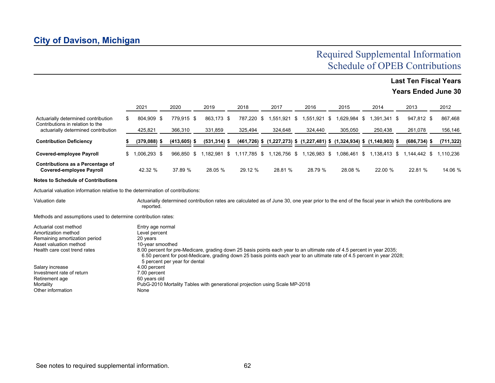# Required Supplemental Information Schedule of OPEB Contributions

### **Last Ten Fiscal Years**

### **Years Ended June 30**

|                                                                         |   | 2021           | 2020            | 2019            | 2018         | 2017         | 2016       | 2015                 | 2014                                                                               | 2013            | 2012       |
|-------------------------------------------------------------------------|---|----------------|-----------------|-----------------|--------------|--------------|------------|----------------------|------------------------------------------------------------------------------------|-----------------|------------|
| Actuarially determined contribution<br>Contributions in relation to the | S | 804.909 \$     | 779.915 \$      | 863.173 \$      | 787.220 \$   | 1.551.921 \$ | .551,921   | 1,629,984 \$<br>- \$ | 1.391.341 \$                                                                       | 947,812 \$      | 867,468    |
| actuarially determined contribution                                     |   | 425,821        | 366,310         | 331,859         | 325,494      | 324,648      | 324,440    | 305,050              | 250,438                                                                            | 261,078         | 156,146    |
| <b>Contribution Deficiency</b>                                          |   | $(379,088)$ \$ | $(413, 605)$ \$ | $(531, 314)$ \$ |              |              |            |                      | $(461,726)$ \$ $(1,227,273)$ \$ $(1,227,481)$ \$ $(1,324,934)$ \$ $(1,140,903)$ \$ | $(686, 734)$ \$ | (711, 322) |
| Covered-employee Payroll                                                |   | 1,006,293 \$   | 966.850 \$      | .182.981 \$     | 1.117.785 \$ | \$126,756.   | 126,983 \$ | 1,086,461 \$         | 1.138.413 \$                                                                       | 1.144.442 \$    | 1.110.236  |
| Contributions as a Percentage of<br>Covered-employee Payroll            |   | 42.32 %        | 37.89 %         | 28.05 %         | 29.12 %      | 28.81 %      | 28.79 %    | 28.08 %              | 22.00 %                                                                            | 22.81 %         | 14.06 %    |

**Notes to Schedule of Contributions**

Actuarial valuation information relative to the determination of contributions:

Valuation date

 Actuarially determined contribution rates are calculated as of June 30, one year prior to the end of the fiscal year in which the contributions are reported.

Methods and assumptions used to determine contribution rates:

| Entry age normal<br>Level percent<br>20 years                                                                                                                                                                                                                                      |
|------------------------------------------------------------------------------------------------------------------------------------------------------------------------------------------------------------------------------------------------------------------------------------|
| 10-year smoothed                                                                                                                                                                                                                                                                   |
| 8.00 percent for pre-Medicare, grading down 25 basis points each year to an ultimate rate of 4.5 percent in year 2035;<br>6.50 percent for post-Medicare, grading down 25 basis points each year to an ultimate rate of 4.5 percent in year 2028;<br>5 percent per year for dental |
| 4.00 percent                                                                                                                                                                                                                                                                       |
| 7.00 percent                                                                                                                                                                                                                                                                       |
| 60 years old                                                                                                                                                                                                                                                                       |
| PubG-2010 Mortality Tables with generational projection using Scale MP-2018<br>None                                                                                                                                                                                                |
|                                                                                                                                                                                                                                                                                    |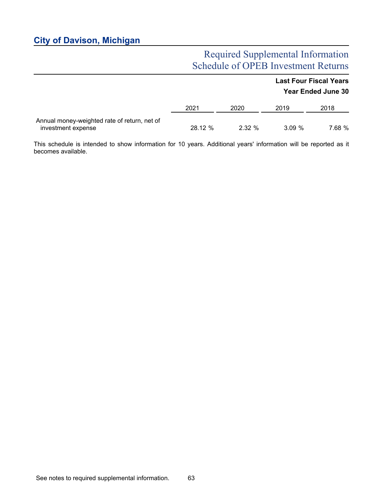# Required Supplemental Information Schedule of OPEB Investment Returns

|                                                                    |         |       |       | <b>Last Four Fiscal Years</b><br><b>Year Ended June 30</b> |
|--------------------------------------------------------------------|---------|-------|-------|------------------------------------------------------------|
|                                                                    | 2021    | 2020  | 2019  | 2018                                                       |
| Annual money-weighted rate of return, net of<br>investment expense | 28.12 % | 2.32% | 3.09% | 7.68 %                                                     |

This schedule is intended to show information for 10 years. Additional years' information will be reported as it becomes available.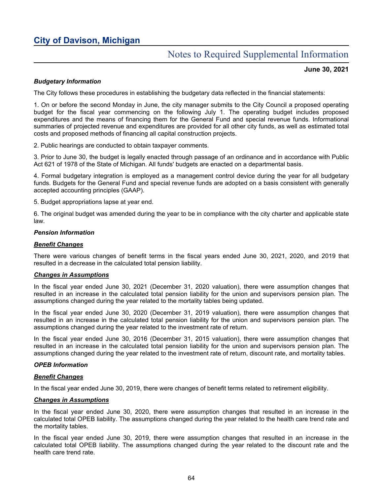# Notes to Required Supplemental Information

### **June 30, 2021**

### *Budgetary Information*

The City follows these procedures in establishing the budgetary data reflected in the financial statements:

1. On or before the second Monday in June, the city manager submits to the City Council a proposed operating budget for the fiscal year commencing on the following July 1. The operating budget includes proposed expenditures and the means of financing them for the General Fund and special revenue funds. Informational summaries of projected revenue and expenditures are provided for all other city funds, as well as estimated total costs and proposed methods of financing all capital construction projects.

2. Public hearings are conducted to obtain taxpayer comments.

3. Prior to June 30, the budget is legally enacted through passage of an ordinance and in accordance with Public Act 621 of 1978 of the State of Michigan. All funds' budgets are enacted on a departmental basis.

4. Formal budgetary integration is employed as a management control device during the year for all budgetary funds. Budgets for the General Fund and special revenue funds are adopted on a basis consistent with generally accepted accounting principles (GAAP).

5. Budget appropriations lapse at year end.

6. The original budget was amended during the year to be in compliance with the city charter and applicable state law.

#### *Pension Information*

#### *Benefit Changes*

There were various changes of benefit terms in the fiscal years ended June 30, 2021, 2020, and 2019 that resulted in a decrease in the calculated total pension liability.

### *Changes in Assumptions*

In the fiscal year ended June 30, 2021 (December 31, 2020 valuation), there were assumption changes that resulted in an increase in the calculated total pension liability for the union and supervisors pension plan. The assumptions changed during the year related to the mortality tables being updated.

In the fiscal year ended June 30, 2020 (December 31, 2019 valuation), there were assumption changes that resulted in an increase in the calculated total pension liability for the union and supervisors pension plan. The assumptions changed during the year related to the investment rate of return.

In the fiscal year ended June 30, 2016 (December 31, 2015 valuation), there were assumption changes that resulted in an increase in the calculated total pension liability for the union and supervisors pension plan. The assumptions changed during the year related to the investment rate of return, discount rate, and mortality tables.

#### *OPEB Information*

#### *Benefit Changes*

In the fiscal year ended June 30, 2019, there were changes of benefit terms related to retirement eligibility.

#### *Changes in Assumptions*

In the fiscal year ended June 30, 2020, there were assumption changes that resulted in an increase in the calculated total OPEB liability. The assumptions changed during the year related to the health care trend rate and the mortality tables.

In the fiscal year ended June 30, 2019, there were assumption changes that resulted in an increase in the calculated total OPEB liability. The assumptions changed during the year related to the discount rate and the health care trend rate.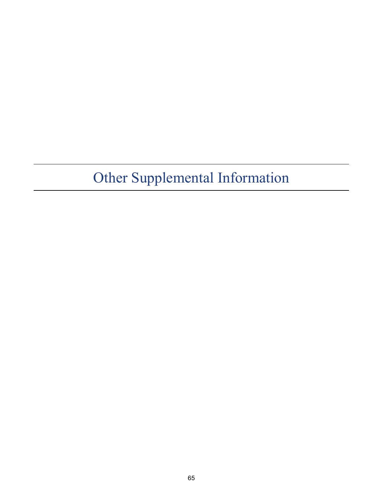# Other Supplemental Information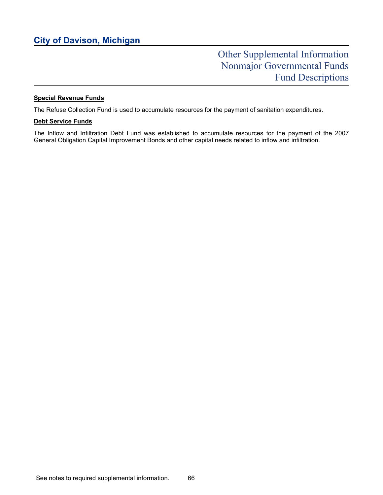# Other Supplemental Information Nonmajor Governmental Funds Fund Descriptions

### **Special Revenue Funds**

The Refuse Collection Fund is used to accumulate resources for the payment of sanitation expenditures.

### **Debt Service Funds**

The Inflow and Infiltration Debt Fund was established to accumulate resources for the payment of the 2007 General Obligation Capital Improvement Bonds and other capital needs related to inflow and infiltration.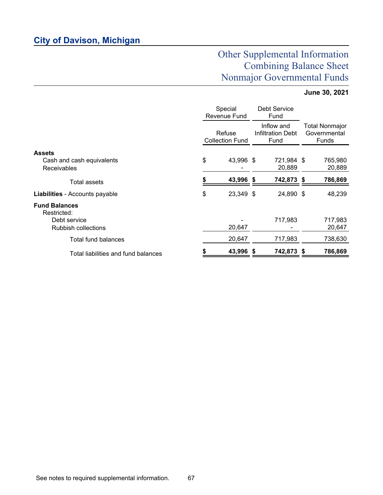# Other Supplemental Information Combining Balance Sheet Nonmajor Governmental Funds

### **June 30, 2021**

|                                                 | Special<br>Revenue Fund<br>Refuse<br><b>Collection Fund</b> |           |  | Debt Service<br>Fund<br>Inflow and<br><b>Infiltration Debt</b><br>Fund |  |                                                       |
|-------------------------------------------------|-------------------------------------------------------------|-----------|--|------------------------------------------------------------------------|--|-------------------------------------------------------|
|                                                 |                                                             |           |  |                                                                        |  | <b>Total Nonmajor</b><br>Governmental<br><b>Funds</b> |
| <b>Assets</b>                                   |                                                             |           |  |                                                                        |  |                                                       |
| Cash and cash equivalents<br><b>Receivables</b> | \$                                                          | 43,996 \$ |  | 721,984 \$<br>20,889                                                   |  | 765,980<br>20,889                                     |
| Total assets                                    |                                                             | 43,996 \$ |  | 742,873 \$                                                             |  | 786,869                                               |
| <b>Liabilities</b> - Accounts payable           | \$                                                          | 23,349 \$ |  | 24,890 \$                                                              |  | 48,239                                                |
| <b>Fund Balances</b><br>Restricted:             |                                                             |           |  |                                                                        |  |                                                       |
| Debt service                                    |                                                             |           |  | 717,983                                                                |  | 717,983                                               |
| Rubbish collections                             |                                                             | 20,647    |  |                                                                        |  | 20,647                                                |
| <b>Total fund balances</b>                      |                                                             | 20,647    |  | 717,983                                                                |  | 738,630                                               |
| Total liabilities and fund balances             |                                                             | 43,996 \$ |  | 742,873 \$                                                             |  | 786,869                                               |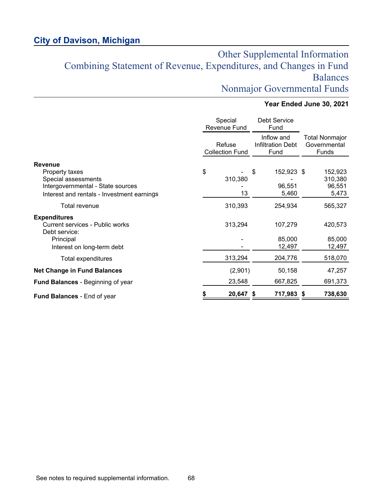# Other Supplemental Information Combining Statement of Revenue, Expenditures, and Changes in Fund Balances

# Nonmajor Governmental Funds

|                                                                                                                                            | Special<br>Revenue Fund |                                  | <b>Debt Service</b><br>Fund                    |    |                                                       |
|--------------------------------------------------------------------------------------------------------------------------------------------|-------------------------|----------------------------------|------------------------------------------------|----|-------------------------------------------------------|
|                                                                                                                                            |                         | Refuse<br><b>Collection Fund</b> | Inflow and<br><b>Infiltration Debt</b><br>Fund |    | <b>Total Nonmajor</b><br>Governmental<br><b>Funds</b> |
| <b>Revenue</b><br>Property taxes<br>Special assessments<br>Intergovernmental - State sources<br>Interest and rentals - Investment earnings | \$                      | 310,380<br>13                    | \$<br>152,923 \$<br>96,551<br>5,460            |    | 152,923<br>310,380<br>96,551<br>5,473                 |
| Total revenue                                                                                                                              |                         | 310,393                          | 254,934                                        |    | 565,327                                               |
| <b>Expenditures</b><br><b>Current services - Public works</b><br>Debt service:                                                             |                         | 313,294                          | 107,279                                        |    | 420,573                                               |
| Principal<br>Interest on long-term debt                                                                                                    |                         |                                  | 85,000<br>12,497                               |    | 85,000<br>12,497                                      |
| Total expenditures                                                                                                                         |                         | 313,294                          | 204,776                                        |    | 518,070                                               |
| <b>Net Change in Fund Balances</b>                                                                                                         |                         | (2,901)                          | 50,158                                         |    | 47,257                                                |
| Fund Balances - Beginning of year                                                                                                          |                         | 23,548                           | 667,825                                        |    | 691,373                                               |
| <b>Fund Balances - End of year</b>                                                                                                         |                         | 20,647 \$                        | 717,983                                        | \$ | 738,630                                               |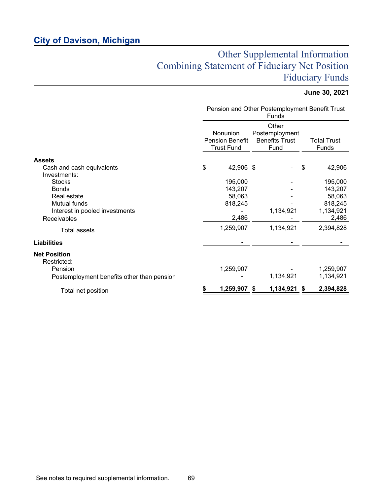# Other Supplemental Information Combining Statement of Fiduciary Net Position Fiduciary Funds

### **June 30, 2021**

|                                            |                                                         | Funds                                                    |    | Pension and Other Postemployment Benefit Trust |
|--------------------------------------------|---------------------------------------------------------|----------------------------------------------------------|----|------------------------------------------------|
|                                            | Nonunion<br><b>Pension Benefit</b><br><b>Trust Fund</b> | Other<br>Postemployment<br><b>Benefits Trust</b><br>Fund |    | <b>Total Trust</b><br><b>Funds</b>             |
| <b>Assets</b>                              |                                                         |                                                          |    |                                                |
| Cash and cash equivalents                  | \$<br>42,906 \$                                         |                                                          | \$ | 42,906                                         |
| Investments:                               |                                                         |                                                          |    |                                                |
| <b>Stocks</b>                              | 195,000                                                 |                                                          |    | 195,000                                        |
| <b>Bonds</b>                               | 143,207                                                 |                                                          |    | 143,207                                        |
| Real estate                                | 58,063                                                  |                                                          |    | 58,063                                         |
| Mutual funds                               | 818,245                                                 |                                                          |    | 818,245                                        |
| Interest in pooled investments             |                                                         | 1,134,921                                                |    | 1,134,921                                      |
| Receivables                                | 2,486                                                   |                                                          |    | 2,486                                          |
| <b>Total assets</b>                        | 1,259,907                                               | 1,134,921                                                |    | 2,394,828                                      |
| <b>Liabilities</b>                         |                                                         |                                                          |    |                                                |
| <b>Net Position</b><br>Restricted:         |                                                         |                                                          |    |                                                |
| Pension                                    | 1,259,907                                               |                                                          |    | 1,259,907                                      |
| Postemployment benefits other than pension |                                                         | 1,134,921                                                |    | 1,134,921                                      |
| Total net position                         | 1,259,907                                               | \$<br>1,134,921                                          | S  | 2,394,828                                      |
|                                            |                                                         |                                                          |    |                                                |